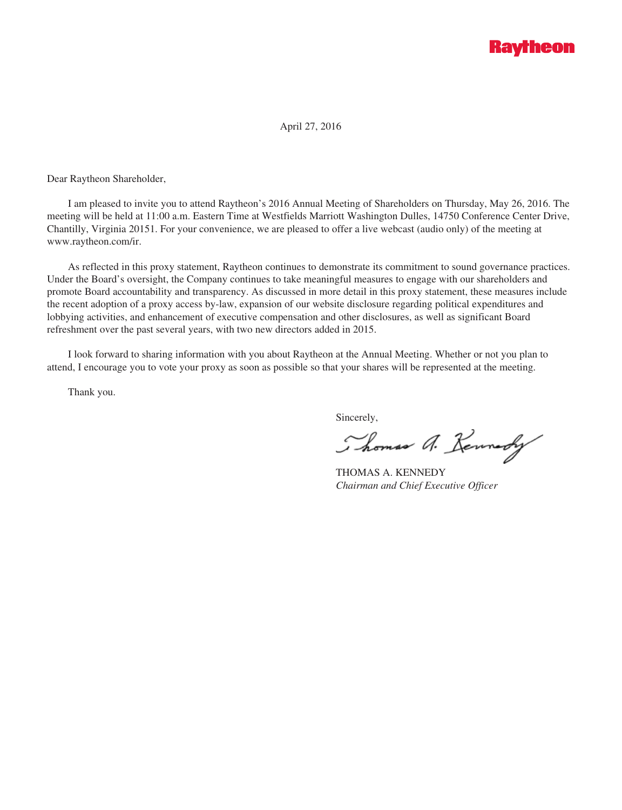# **Raytheon**

April 27, 2016

Dear Raytheon Shareholder,

I am pleased to invite you to attend Raytheon's 2016 Annual Meeting of Shareholders on Thursday, May 26, 2016. The meeting will be held at 11:00 a.m. Eastern Time at Westfields Marriott Washington Dulles, 14750 Conference Center Drive, Chantilly, Virginia 20151. For your convenience, we are pleased to offer a live webcast (audio only) of the meeting at www.raytheon.com/ir.

As reflected in this proxy statement, Raytheon continues to demonstrate its commitment to sound governance practices. Under the Board's oversight, the Company continues to take meaningful measures to engage with our shareholders and promote Board accountability and transparency. As discussed in more detail in this proxy statement, these measures include the recent adoption of a proxy access by-law, expansion of our website disclosure regarding political expenditures and lobbying activities, and enhancement of executive compensation and other disclosures, as well as significant Board refreshment over the past several years, with two new directors added in 2015.

I look forward to sharing information with you about Raytheon at the Annual Meeting. Whether or not you plan to attend, I encourage you to vote your proxy as soon as possible so that your shares will be represented at the meeting.

Thank you.

Sincerely,

Thomas A. Kennedy

THOMAS A. KENNEDY *Chairman and Chief Executive Officer*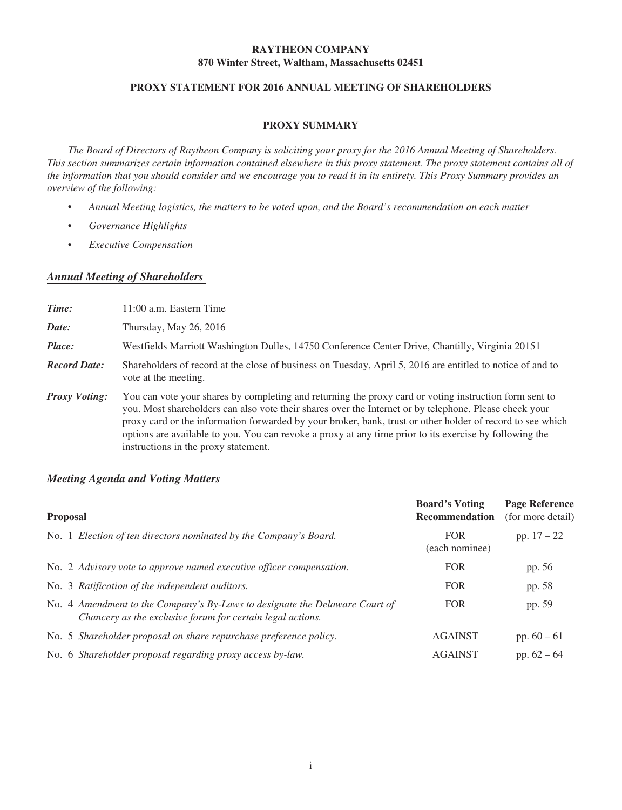## **RAYTHEON COMPANY 870 Winter Street, Waltham, Massachusetts 02451**

## **PROXY STATEMENT FOR 2016 ANNUAL MEETING OF SHAREHOLDERS**

#### **PROXY SUMMARY**

*The Board of Directors of Raytheon Company is soliciting your proxy for the 2016 Annual Meeting of Shareholders. This section summarizes certain information contained elsewhere in this proxy statement. The proxy statement contains all of the information that you should consider and we encourage you to read it in its entirety. This Proxy Summary provides an overview of the following:*

- *Annual Meeting logistics, the matters to be voted upon, and the Board's recommendation on each matter*
- *Governance Highlights*
- *Executive Compensation*

## *Annual Meeting of Shareholders*

| Time:                | $11:00$ a.m. Eastern Time                                                                                                                                                                                                                                                                                                                                                                                                                                                         |
|----------------------|-----------------------------------------------------------------------------------------------------------------------------------------------------------------------------------------------------------------------------------------------------------------------------------------------------------------------------------------------------------------------------------------------------------------------------------------------------------------------------------|
| Date:                | Thursday, May $26$ , $2016$                                                                                                                                                                                                                                                                                                                                                                                                                                                       |
| Place:               | Westfields Marriott Washington Dulles, 14750 Conference Center Drive, Chantilly, Virginia 20151                                                                                                                                                                                                                                                                                                                                                                                   |
| <b>Record Date:</b>  | Shareholders of record at the close of business on Tuesday, April 5, 2016 are entitled to notice of and to<br>vote at the meeting.                                                                                                                                                                                                                                                                                                                                                |
| <b>Proxy Voting:</b> | You can vote your shares by completing and returning the proxy card or voting instruction form sent to<br>you. Most shareholders can also vote their shares over the Internet or by telephone. Please check your<br>proxy card or the information forwarded by your broker, bank, trust or other holder of record to see which<br>options are available to you. You can revoke a proxy at any time prior to its exercise by following the<br>instructions in the proxy statement. |

## *Meeting Agenda and Voting Matters*

| <b>Proposal</b>                                                                                                                           | <b>Board's Voting</b><br><b>Recommendation</b> | <b>Page Reference</b><br>(for more detail) |  |
|-------------------------------------------------------------------------------------------------------------------------------------------|------------------------------------------------|--------------------------------------------|--|
| No. 1 Election of ten directors nominated by the Company's Board.                                                                         | <b>FOR</b><br>(each nominee)                   | pp. $17 - 22$                              |  |
| No. 2 Advisory vote to approve named executive officer compensation.                                                                      | <b>FOR</b>                                     | pp. 56                                     |  |
| No. 3 Ratification of the independent auditors.                                                                                           | <b>FOR</b>                                     | pp. 58                                     |  |
| No. 4 Amendment to the Company's By-Laws to designate the Delaware Court of<br>Chancery as the exclusive forum for certain legal actions. | <b>FOR</b>                                     | pp. 59                                     |  |
| No. 5 Shareholder proposal on share repurchase preference policy.                                                                         | <b>AGAINST</b>                                 | pp. $60 - 61$                              |  |
| No. 6 Shareholder proposal regarding proxy access by-law.                                                                                 | <b>AGAINST</b>                                 | pp. $62 - 64$                              |  |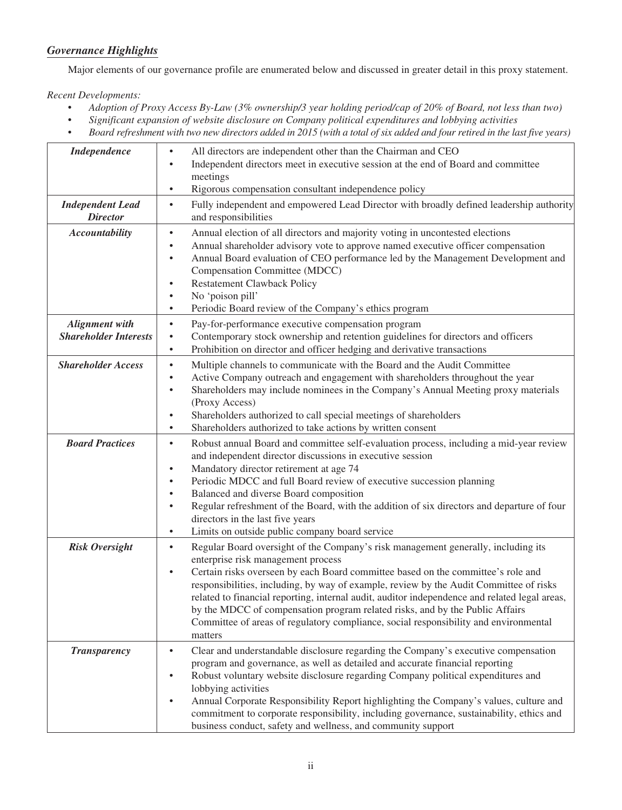## *Governance Highlights*

Major elements of our governance profile are enumerated below and discussed in greater detail in this proxy statement.

*Recent Developments:*

- *Adoption of Proxy Access By-Law (3% ownership/3 year holding period/cap of 20% of Board, not less than two)*
- *Significant expansion of website disclosure on Company political expenditures and lobbying activities*
- *Board refreshment with two new directors added in 2015 (with a total of six added and four retired in the last five years)*

| Independence                                          | All directors are independent other than the Chairman and CEO<br>$\bullet$<br>Independent directors meet in executive session at the end of Board and committee<br>$\bullet$<br>meetings<br>Rigorous compensation consultant independence policy<br>$\bullet$                                                                                                                                                                                                                                                                                                                                                       |
|-------------------------------------------------------|---------------------------------------------------------------------------------------------------------------------------------------------------------------------------------------------------------------------------------------------------------------------------------------------------------------------------------------------------------------------------------------------------------------------------------------------------------------------------------------------------------------------------------------------------------------------------------------------------------------------|
| <b>Independent Lead</b><br><b>Director</b>            | Fully independent and empowered Lead Director with broadly defined leadership authority<br>$\bullet$<br>and responsibilities                                                                                                                                                                                                                                                                                                                                                                                                                                                                                        |
| <b>Accountability</b>                                 | Annual election of all directors and majority voting in uncontested elections<br>$\bullet$<br>Annual shareholder advisory vote to approve named executive officer compensation<br>$\bullet$<br>Annual Board evaluation of CEO performance led by the Management Development and<br>$\bullet$<br>Compensation Committee (MDCC)<br><b>Restatement Clawback Policy</b><br>$\bullet$<br>No 'poison pill'<br>Periodic Board review of the Company's ethics program<br>$\bullet$                                                                                                                                          |
| <b>Alignment with</b><br><b>Shareholder Interests</b> | Pay-for-performance executive compensation program<br>$\bullet$<br>Contemporary stock ownership and retention guidelines for directors and officers<br>$\bullet$<br>Prohibition on director and officer hedging and derivative transactions<br>$\bullet$                                                                                                                                                                                                                                                                                                                                                            |
| <b>Shareholder Access</b>                             | Multiple channels to communicate with the Board and the Audit Committee<br>$\bullet$<br>Active Company outreach and engagement with shareholders throughout the year<br>$\bullet$<br>Shareholders may include nominees in the Company's Annual Meeting proxy materials<br>$\bullet$<br>(Proxy Access)<br>Shareholders authorized to call special meetings of shareholders<br>$\bullet$<br>Shareholders authorized to take actions by written consent<br>$\bullet$                                                                                                                                                   |
| <b>Board Practices</b>                                | Robust annual Board and committee self-evaluation process, including a mid-year review<br>$\bullet$<br>and independent director discussions in executive session<br>Mandatory director retirement at age 74<br>$\bullet$<br>Periodic MDCC and full Board review of executive succession planning<br>Balanced and diverse Board composition<br>$\bullet$<br>Regular refreshment of the Board, with the addition of six directors and departure of four<br>$\bullet$<br>directors in the last five years<br>Limits on outside public company board service<br>$\bullet$                                               |
| <b>Risk Oversight</b>                                 | Regular Board oversight of the Company's risk management generally, including its<br>$\bullet$<br>enterprise risk management process<br>Certain risks overseen by each Board committee based on the committee's role and<br>$\bullet$<br>responsibilities, including, by way of example, review by the Audit Committee of risks<br>related to financial reporting, internal audit, auditor independence and related legal areas,<br>by the MDCC of compensation program related risks, and by the Public Affairs<br>Committee of areas of regulatory compliance, social responsibility and environmental<br>matters |
| <b>Transparency</b>                                   | Clear and understandable disclosure regarding the Company's executive compensation<br>$\bullet$<br>program and governance, as well as detailed and accurate financial reporting<br>Robust voluntary website disclosure regarding Company political expenditures and<br>lobbying activities<br>Annual Corporate Responsibility Report highlighting the Company's values, culture and<br>commitment to corporate responsibility, including governance, sustainability, ethics and<br>business conduct, safety and wellness, and community support                                                                     |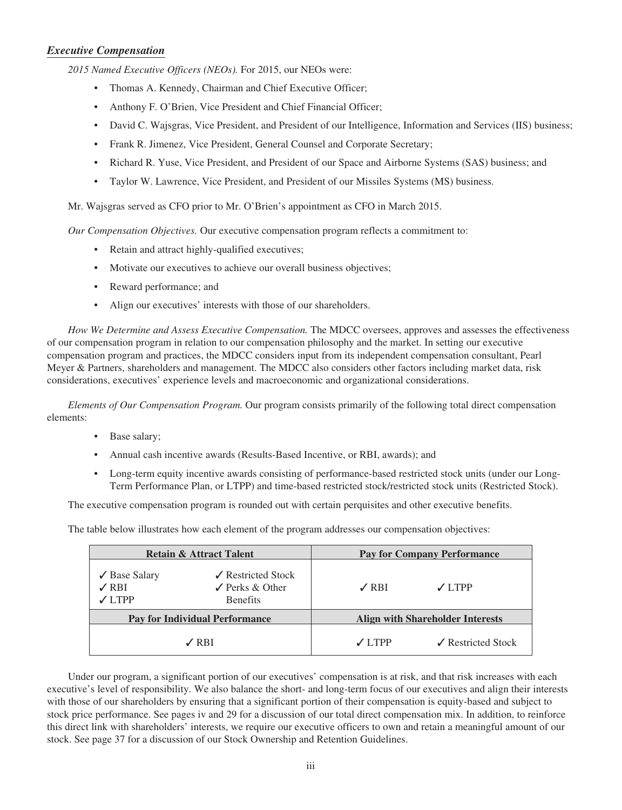## *Executive Compensation*

*2015 Named Executive Officers (NEOs).* For 2015, our NEOs were:

- Thomas A. Kennedy, Chairman and Chief Executive Officer;
- Anthony F. O'Brien, Vice President and Chief Financial Officer;
- David C. Wajsgras, Vice President, and President of our Intelligence, Information and Services (IIS) business;
- Frank R. Jimenez, Vice President, General Counsel and Corporate Secretary;
- Richard R. Yuse, Vice President, and President of our Space and Airborne Systems (SAS) business; and
- Taylor W. Lawrence, Vice President, and President of our Missiles Systems (MS) business.

Mr. Wajsgras served as CFO prior to Mr. O'Brien's appointment as CFO in March 2015.

*Our Compensation Objectives.* Our executive compensation program reflects a commitment to:

- Retain and attract highly-qualified executives;
- Motivate our executives to achieve our overall business objectives;
- Reward performance; and
- Align our executives' interests with those of our shareholders.

*How We Determine and Assess Executive Compensation.* The MDCC oversees, approves and assesses the effectiveness of our compensation program in relation to our compensation philosophy and the market. In setting our executive compensation program and practices, the MDCC considers input from its independent compensation consultant, Pearl Meyer & Partners, shareholders and management. The MDCC also considers other factors including market data, risk considerations, executives' experience levels and macroeconomic and organizational considerations.

*Elements of Our Compensation Program.* Our program consists primarily of the following total direct compensation elements:

- Base salary;
- Annual cash incentive awards (Results-Based Incentive, or RBI, awards); and
- Long-term equity incentive awards consisting of performance-based restricted stock units (under our Long-Term Performance Plan, or LTPP) and time-based restricted stock/restricted stock units (Restricted Stock).

The executive compensation program is rounded out with certain perquisites and other executive benefits.

The table below illustrates how each element of the program addresses our compensation objectives:

|                                                                                                                                                  | <b>Retain &amp; Attract Talent</b>    |                 | <b>Pay for Company Performance</b>      |
|--------------------------------------------------------------------------------------------------------------------------------------------------|---------------------------------------|-----------------|-----------------------------------------|
| $\sqrt{\phantom{a}}$ Restricted Stock<br>$\checkmark$ Base Salary<br>$\angle$ RBI<br>$\angle$ Perks & Other<br>$\sqrt{}$ LTPP<br><b>Benefits</b> |                                       | $\angle$ RBI    | $\sqrt{}$ I TPP                         |
|                                                                                                                                                  | <b>Pay for Individual Performance</b> |                 | <b>Align with Shareholder Interests</b> |
|                                                                                                                                                  | $\angle$ RBI                          | $\sqrt{}$ I TPP | $\angle$ Restricted Stock               |

Under our program, a significant portion of our executives' compensation is at risk, and that risk increases with each executive's level of responsibility. We also balance the short- and long-term focus of our executives and align their interests with those of our shareholders by ensuring that a significant portion of their compensation is equity-based and subject to stock price performance. See pages iv and 29 for a discussion of our total direct compensation mix. In addition, to reinforce this direct link with shareholders' interests, we require our executive officers to own and retain a meaningful amount of our stock. See page 37 for a discussion of our Stock Ownership and Retention Guidelines.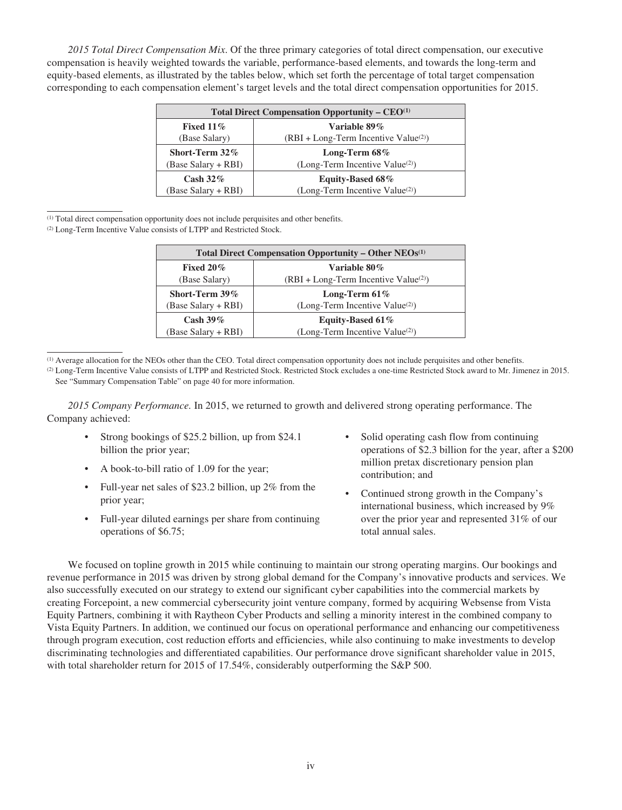*2015 Total Direct Compensation Mix*. Of the three primary categories of total direct compensation, our executive compensation is heavily weighted towards the variable, performance-based elements, and towards the long-term and equity-based elements, as illustrated by the tables below, which set forth the percentage of total target compensation corresponding to each compensation element's target levels and the total direct compensation opportunities for 2015.

| Total Direct Compensation Opportunity – $CEO(1)$        |                                             |  |  |  |  |  |
|---------------------------------------------------------|---------------------------------------------|--|--|--|--|--|
| Fixed $11\%$                                            | Variable 89%                                |  |  |  |  |  |
| $(RBI + Long-Term Incentive Value(2))$<br>(Base Salary) |                                             |  |  |  |  |  |
| Short-Term 32%                                          | Long-Term $68\%$                            |  |  |  |  |  |
| (Base Salary + RBI)                                     | (Long-Term Incentive Value <sup>(2)</sup> ) |  |  |  |  |  |
| Cash $32\%$                                             | <b>Equity-Based 68%</b>                     |  |  |  |  |  |
| (Base Salary + RBI)                                     | (Long-Term Incentive Value <sup>(2)</sup> ) |  |  |  |  |  |

(1) Total direct compensation opportunity does not include perquisites and other benefits.

(2) Long-Term Incentive Value consists of LTPP and Restricted Stock.

| Total Direct Compensation Opportunity – Other $NEOs(1)$ |                                             |  |  |  |  |
|---------------------------------------------------------|---------------------------------------------|--|--|--|--|
| Variable 80%<br>Fixed $20\%$                            |                                             |  |  |  |  |
| (Base Salary)                                           | $(RBI + Long-Term Incentive Value(2))$      |  |  |  |  |
| Short-Term 39%                                          | Long-Term $61\%$                            |  |  |  |  |
| (Base Salary + RBI)                                     | (Long-Term Incentive Value <sup>(2)</sup> ) |  |  |  |  |
| Cash $39\%$                                             | Equity-Based 61%                            |  |  |  |  |
| (Base Salary + RBI)                                     | (Long-Term Incentive Value <sup>(2)</sup> ) |  |  |  |  |

(1) Average allocation for the NEOs other than the CEO. Total direct compensation opportunity does not include perquisites and other benefits.

(2) Long-Term Incentive Value consists of LTPP and Restricted Stock. Restricted Stock excludes a one-time Restricted Stock award to Mr. Jimenez in 2015. See "Summary Compensation Table" on page 40 for more information.

*2015 Company Performance.* In 2015, we returned to growth and delivered strong operating performance. The Company achieved:

- Strong bookings of \$25.2 billion, up from \$24.1 billion the prior year;
- A book-to-bill ratio of 1.09 for the year;
- Full-year net sales of \$23.2 billion, up 2% from the prior year;
- Full-year diluted earnings per share from continuing operations of \$6.75;
- Solid operating cash flow from continuing operations of \$2.3 billion for the year, after a \$200 million pretax discretionary pension plan contribution; and
- Continued strong growth in the Company's international business, which increased by 9% over the prior year and represented 31% of our total annual sales.

We focused on topline growth in 2015 while continuing to maintain our strong operating margins. Our bookings and revenue performance in 2015 was driven by strong global demand for the Company's innovative products and services. We also successfully executed on our strategy to extend our significant cyber capabilities into the commercial markets by creating Forcepoint, a new commercial cybersecurity joint venture company, formed by acquiring Websense from Vista Equity Partners, combining it with Raytheon Cyber Products and selling a minority interest in the combined company to Vista Equity Partners. In addition, we continued our focus on operational performance and enhancing our competitiveness through program execution, cost reduction efforts and efficiencies, while also continuing to make investments to develop discriminating technologies and differentiated capabilities. Our performance drove significant shareholder value in 2015, with total shareholder return for 2015 of 17.54%, considerably outperforming the S&P 500.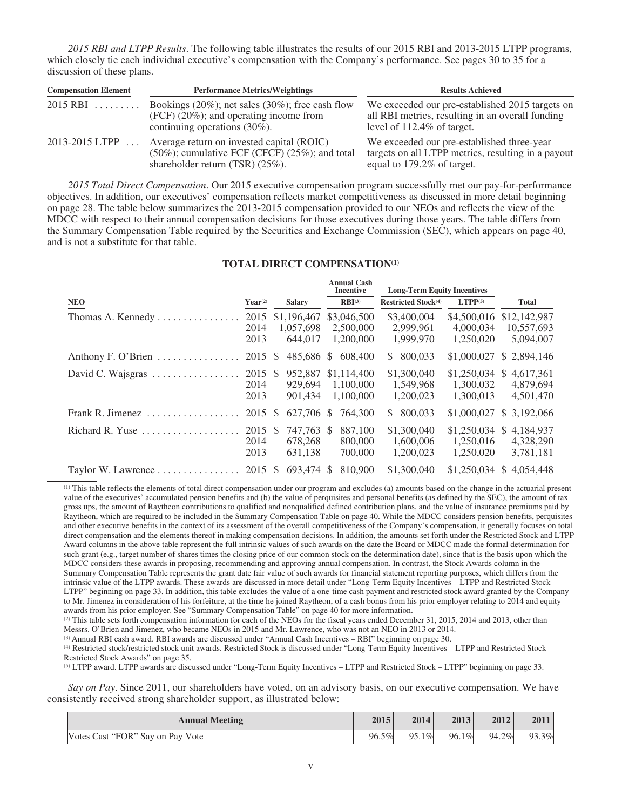*2015 RBI and LTPP Results*. The following table illustrates the results of our 2015 RBI and 2013-2015 LTPP programs, which closely tie each individual executive's compensation with the Company's performance. See pages 30 to 35 for a discussion of these plans.

| <b>Compensation Element</b> | <b>Performance Metrics/Weightings</b>                                                                                                 | <b>Results Achieved</b>                                                                                                           |  |  |  |
|-----------------------------|---------------------------------------------------------------------------------------------------------------------------------------|-----------------------------------------------------------------------------------------------------------------------------------|--|--|--|
| $2015$ RBI                  | Bookings $(20\%)$ ; net sales $(30\%)$ ; free cash flow<br>$(FCF)$ (20%); and operating income from<br>continuing operations (30%).   | We exceeded our pre-established 2015 targets on<br>all RBI metrics, resulting in an overall funding<br>level of 112.4% of target. |  |  |  |
| 2013-2015 LTPP              | Average return on invested capital (ROIC)<br>$(50\%)$ ; cumulative FCF (CFCF) $(25\%)$ ; and total<br>shareholder return (TSR) (25%). | We exceeded our pre-established three-year<br>targets on all LTPP metrics, resulting in a payout<br>equal to 179.2% of target.    |  |  |  |

*2015 Total Direct Compensation*. Our 2015 executive compensation program successfully met our pay-for-performance objectives. In addition, our executives' compensation reflects market competitiveness as discussed in more detail beginning on page 28. The table below summarizes the 2013-2015 compensation provided to our NEOs and reflects the view of the MDCC with respect to their annual compensation decisions for those executives during those years. The table differs from the Summary Compensation Table required by the Securities and Exchange Commission (SEC), which appears on page 40, and is not a substitute for that table.

#### **TOTAL DIRECT COMPENSATION(1)**

|                                                       |                         |    |                                     |               | <b>Annual Cash</b><br>Incentive       | <b>Long-Term Equity Incentives</b>    |                                            |                                         |
|-------------------------------------------------------|-------------------------|----|-------------------------------------|---------------|---------------------------------------|---------------------------------------|--------------------------------------------|-----------------------------------------|
| <b>NEO</b>                                            | $Year^{(2)}$            |    | <b>Salary</b>                       |               | $RBI^{(3)}$                           | Restricted Stock <sup>(4)</sup>       | $LTPP^{(5)}$                               | Total                                   |
| Thomas A. Kennedy $\dots \dots \dots \dots$           | 2015<br>2014<br>2013    |    | \$1,196,467<br>1.057.698<br>644.017 |               | \$3,046,500<br>2,500,000<br>1,200,000 | \$3,400,004<br>2,999,961<br>1.999.970 | \$4,500,016<br>4,000,034<br>1.250.020      | \$12,142,987<br>10,557,693<br>5,094,007 |
| Anthony F. O'Brien                                    | 2015                    | -S | 485,686 \$                          |               | 608,400                               | 800,033<br>S.                         | \$1,000,027                                | \$2,894,146                             |
| David C. Wajsgras $\dots \dots \dots \dots \dots$     | 2015 \$<br>2014<br>2013 |    | 952,887<br>929.694<br>901.434       |               | \$1,114,400<br>1.100.000<br>1.100.000 | \$1,300,040<br>1.549.968<br>1.200.023 | $$1,250,034$ \\$<br>1.300.032<br>1,300,013 | 4,617,361<br>4,879,694<br>4,501,470     |
| Frank R. Jimenez $\dots\dots\dots\dots\dots\dots$     | 2015                    | -S | 627.706                             | <sup>\$</sup> | 764,300                               | 800.033<br>S.                         | \$1,000,027                                | \$ 3,192,066                            |
| Richard R. Yuse $\dots \dots \dots \dots \dots \dots$ | 2015<br>2014<br>2013    | -S | 747.763 \$<br>678.268<br>631,138    |               | 887,100<br>800,000<br>700,000         | \$1,300,040<br>1,600,006<br>1.200.023 | $$1,250,034$ \$<br>1.250.016<br>1,250,020  | 4,184,937<br>4,328,290<br>3,781,181     |
| Taylor W. Lawrence                                    | 2015 \$                 |    | 693.474                             | -S            | 810,900                               | \$1,300,040                           | \$1,250,034                                | \$4.054.448                             |

(1) This table reflects the elements of total direct compensation under our program and excludes (a) amounts based on the change in the actuarial present value of the executives' accumulated pension benefits and (b) the value of perquisites and personal benefits (as defined by the SEC), the amount of taxgross ups, the amount of Raytheon contributions to qualified and nonqualified defined contribution plans, and the value of insurance premiums paid by Raytheon, which are required to be included in the Summary Compensation Table on page 40. While the MDCC considers pension benefits, perquisites and other executive benefits in the context of its assessment of the overall competitiveness of the Company's compensation, it generally focuses on total direct compensation and the elements thereof in making compensation decisions. In addition, the amounts set forth under the Restricted Stock and LTPP Award columns in the above table represent the full intrinsic values of such awards on the date the Board or MDCC made the formal determination for such grant (e.g., target number of shares times the closing price of our common stock on the determination date), since that is the basis upon which the MDCC considers these awards in proposing, recommending and approving annual compensation. In contrast, the Stock Awards column in the Summary Compensation Table represents the grant date fair value of such awards for financial statement reporting purposes, which differs from the intrinsic value of the LTPP awards. These awards are discussed in more detail under "Long-Term Equity Incentives – LTPP and Restricted Stock – LTPP" beginning on page 33. In addition, this table excludes the value of a one-time cash payment and restricted stock award granted by the Company to Mr. Jimenez in consideration of his forfeiture, at the time he joined Raytheon, of a cash bonus from his prior employer relating to 2014 and equity awards from his prior employer. See "Summary Compensation Table" on page 40 for more information.

(2) This table sets forth compensation information for each of the NEOs for the fiscal years ended December 31, 2015, 2014 and 2013, other than Messrs. O'Brien and Jimenez, who became NEOs in 2015 and Mr. Lawrence, who was not an NEO in 2013 or 2014.

(3) Annual RBI cash award. RBI awards are discussed under "Annual Cash Incentives – RBI" beginning on page 30.

(4) Restricted stock/restricted stock unit awards. Restricted Stock is discussed under "Long-Term Equity Incentives – LTPP and Restricted Stock – Restricted Stock Awards" on page 35.

(5) LTPP award. LTPP awards are discussed under "Long-Term Equity Incentives – LTPP and Restricted Stock – LTPP" beginning on page 33.

*Say on Pay*. Since 2011, our shareholders have voted, on an advisory basis, on our executive compensation. We have consistently received strong shareholder support, as illustrated below:

| <b>Annual Meeting</b>            | 2015  | 2014  | 2013  | 2012  | 2011  |
|----------------------------------|-------|-------|-------|-------|-------|
| Votes Cast "FOR" Say on Pay Vote | 96.5% | 95.1% | 96.1% | 94.2% | 93.3% |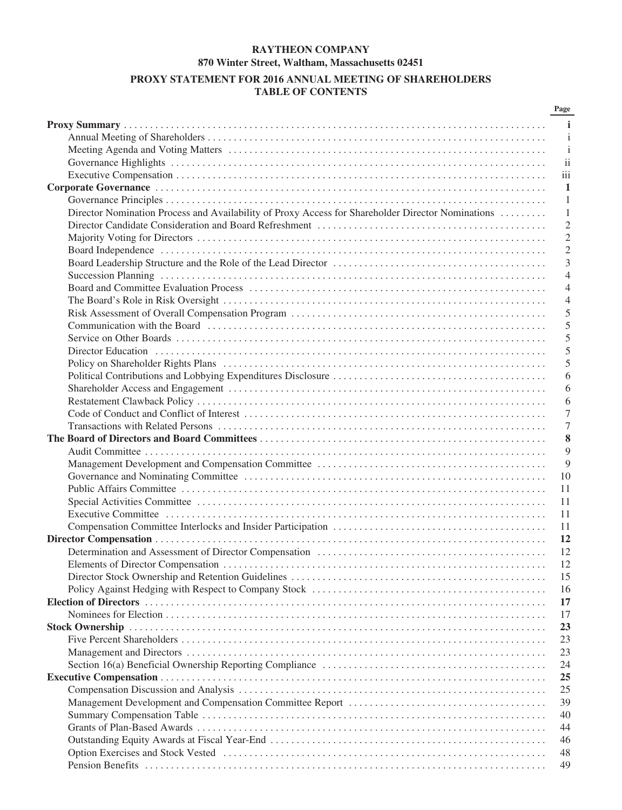## **RAYTHEON COMPANY 870 Winter Street, Waltham, Massachusetts 02451 PROXY STATEMENT FOR 2016 ANNUAL MEETING OF SHAREHOLDERS TABLE OF CONTENTS**

|                                                                                                   | Page                     |
|---------------------------------------------------------------------------------------------------|--------------------------|
|                                                                                                   | j.                       |
|                                                                                                   | i                        |
|                                                                                                   | i                        |
|                                                                                                   | $\overline{\mathbf{ii}}$ |
|                                                                                                   | iii                      |
|                                                                                                   | $\mathbf{1}$             |
|                                                                                                   | 1                        |
| Director Nomination Process and Availability of Proxy Access for Shareholder Director Nominations | 1                        |
|                                                                                                   | $\mathfrak{2}$           |
|                                                                                                   | $\overline{2}$           |
|                                                                                                   | $\overline{2}$           |
|                                                                                                   |                          |
|                                                                                                   | 3                        |
|                                                                                                   | $\overline{4}$           |
|                                                                                                   | $\overline{4}$           |
|                                                                                                   | $\overline{4}$           |
|                                                                                                   | 5                        |
|                                                                                                   | 5                        |
|                                                                                                   | 5                        |
|                                                                                                   | 5                        |
|                                                                                                   | 5                        |
|                                                                                                   | 6                        |
|                                                                                                   | 6                        |
|                                                                                                   | 6                        |
|                                                                                                   | 7                        |
|                                                                                                   | 7                        |
|                                                                                                   | 8                        |
|                                                                                                   | 9                        |
|                                                                                                   | 9                        |
|                                                                                                   | 10                       |
|                                                                                                   | 11                       |
|                                                                                                   | 11                       |
|                                                                                                   | 11                       |
|                                                                                                   |                          |
|                                                                                                   | 11                       |
|                                                                                                   | 12                       |
|                                                                                                   | 12                       |
|                                                                                                   | 12                       |
|                                                                                                   | 15                       |
|                                                                                                   | 16                       |
|                                                                                                   | 17                       |
|                                                                                                   | 17                       |
|                                                                                                   | 23                       |
|                                                                                                   | 23                       |
|                                                                                                   | 23                       |
|                                                                                                   | 24                       |
|                                                                                                   | 25                       |
|                                                                                                   | 25                       |
|                                                                                                   | 39                       |
|                                                                                                   | 40                       |
|                                                                                                   | 44                       |
|                                                                                                   | 46                       |
|                                                                                                   | 48                       |
|                                                                                                   | 49                       |
|                                                                                                   |                          |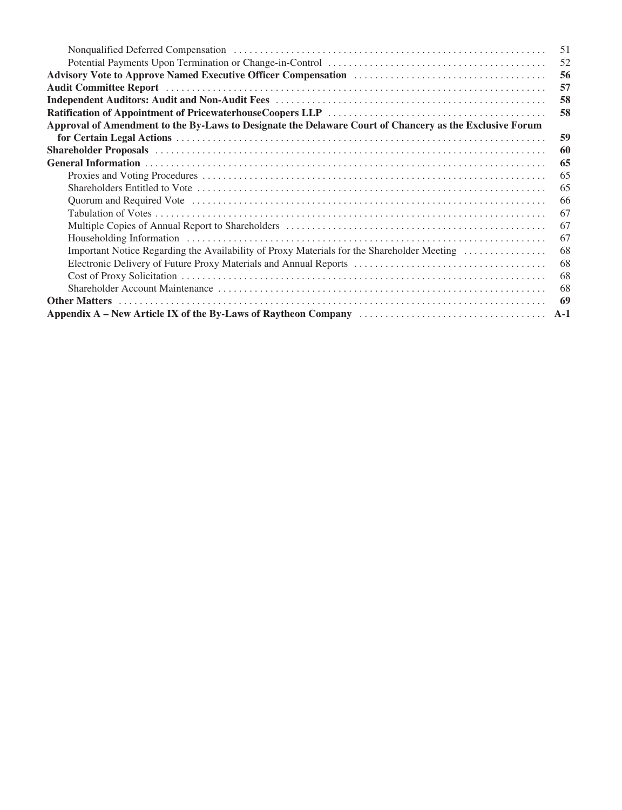|                                                                                                         | 51  |
|---------------------------------------------------------------------------------------------------------|-----|
|                                                                                                         | 52  |
|                                                                                                         | 56  |
|                                                                                                         | 57  |
|                                                                                                         | 58  |
|                                                                                                         | 58  |
| Approval of Amendment to the By-Laws to Designate the Delaware Court of Chancery as the Exclusive Forum |     |
|                                                                                                         | 59  |
|                                                                                                         | 60  |
|                                                                                                         | 65  |
|                                                                                                         | 65  |
|                                                                                                         | 65  |
|                                                                                                         | 66  |
|                                                                                                         | 67  |
|                                                                                                         | 67  |
|                                                                                                         | 67  |
| Important Notice Regarding the Availability of Proxy Materials for the Shareholder Meeting              | 68  |
|                                                                                                         | 68  |
|                                                                                                         | -68 |
|                                                                                                         | 68  |
|                                                                                                         | 69  |
|                                                                                                         |     |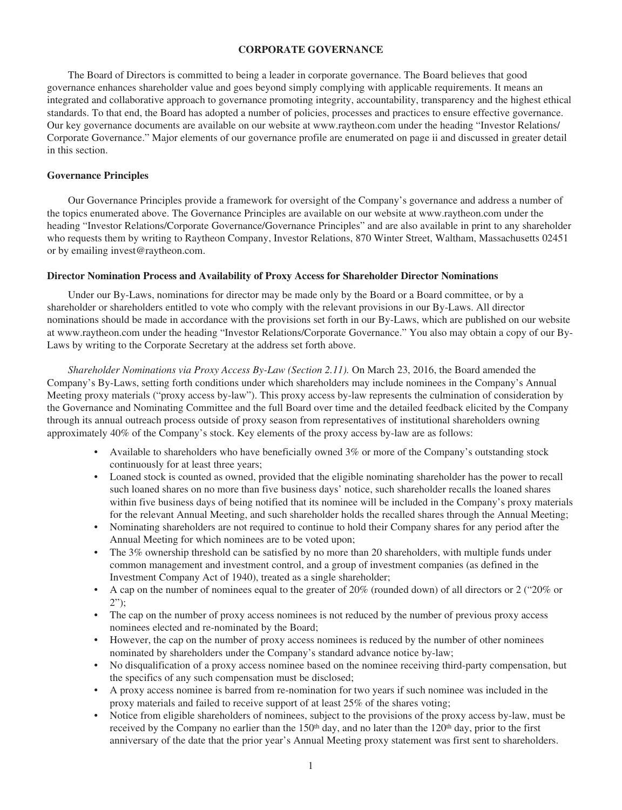#### **CORPORATE GOVERNANCE**

The Board of Directors is committed to being a leader in corporate governance. The Board believes that good governance enhances shareholder value and goes beyond simply complying with applicable requirements. It means an integrated and collaborative approach to governance promoting integrity, accountability, transparency and the highest ethical standards. To that end, the Board has adopted a number of policies, processes and practices to ensure effective governance. Our key governance documents are available on our website at www.raytheon.com under the heading "Investor Relations/ Corporate Governance." Major elements of our governance profile are enumerated on page ii and discussed in greater detail in this section.

#### **Governance Principles**

Our Governance Principles provide a framework for oversight of the Company's governance and address a number of the topics enumerated above. The Governance Principles are available on our website at www.raytheon.com under the heading "Investor Relations/Corporate Governance/Governance Principles" and are also available in print to any shareholder who requests them by writing to Raytheon Company, Investor Relations, 870 Winter Street, Waltham, Massachusetts 02451 or by emailing invest@raytheon.com.

#### **Director Nomination Process and Availability of Proxy Access for Shareholder Director Nominations**

Under our By-Laws, nominations for director may be made only by the Board or a Board committee, or by a shareholder or shareholders entitled to vote who comply with the relevant provisions in our By-Laws. All director nominations should be made in accordance with the provisions set forth in our By-Laws, which are published on our website at www.raytheon.com under the heading "Investor Relations/Corporate Governance." You also may obtain a copy of our By-Laws by writing to the Corporate Secretary at the address set forth above.

*Shareholder Nominations via Proxy Access By-Law (Section 2.11).* On March 23, 2016, the Board amended the Company's By-Laws, setting forth conditions under which shareholders may include nominees in the Company's Annual Meeting proxy materials ("proxy access by-law"). This proxy access by-law represents the culmination of consideration by the Governance and Nominating Committee and the full Board over time and the detailed feedback elicited by the Company through its annual outreach process outside of proxy season from representatives of institutional shareholders owning approximately 40% of the Company's stock. Key elements of the proxy access by-law are as follows:

- Available to shareholders who have beneficially owned 3% or more of the Company's outstanding stock continuously for at least three years;
- Loaned stock is counted as owned, provided that the eligible nominating shareholder has the power to recall such loaned shares on no more than five business days' notice, such shareholder recalls the loaned shares within five business days of being notified that its nominee will be included in the Company's proxy materials for the relevant Annual Meeting, and such shareholder holds the recalled shares through the Annual Meeting;
- Nominating shareholders are not required to continue to hold their Company shares for any period after the Annual Meeting for which nominees are to be voted upon;
- The 3% ownership threshold can be satisfied by no more than 20 shareholders, with multiple funds under common management and investment control, and a group of investment companies (as defined in the Investment Company Act of 1940), treated as a single shareholder;
- A cap on the number of nominees equal to the greater of 20% (rounded down) of all directors or 2 ("20% or 2");
- The cap on the number of proxy access nominees is not reduced by the number of previous proxy access nominees elected and re-nominated by the Board;
- However, the cap on the number of proxy access nominees is reduced by the number of other nominees nominated by shareholders under the Company's standard advance notice by-law;
- No disqualification of a proxy access nominee based on the nominee receiving third-party compensation, but the specifics of any such compensation must be disclosed;
- A proxy access nominee is barred from re-nomination for two years if such nominee was included in the proxy materials and failed to receive support of at least 25% of the shares voting;
- Notice from eligible shareholders of nominees, subject to the provisions of the proxy access by-law, must be received by the Company no earlier than the  $150<sup>th</sup>$  day, and no later than the  $120<sup>th</sup>$  day, prior to the first anniversary of the date that the prior year's Annual Meeting proxy statement was first sent to shareholders.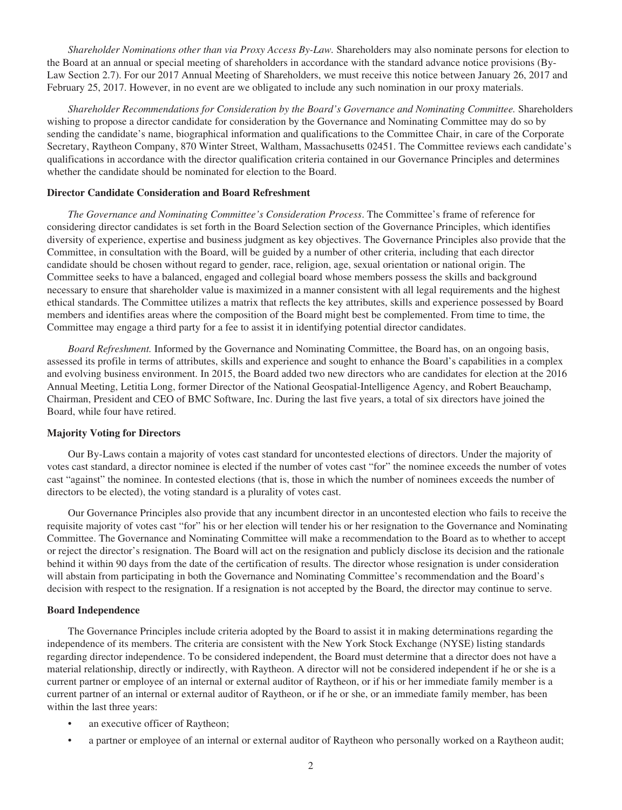*Shareholder Nominations other than via Proxy Access By-Law.* Shareholders may also nominate persons for election to the Board at an annual or special meeting of shareholders in accordance with the standard advance notice provisions (By-Law Section 2.7). For our 2017 Annual Meeting of Shareholders, we must receive this notice between January 26, 2017 and February 25, 2017. However, in no event are we obligated to include any such nomination in our proxy materials.

*Shareholder Recommendations for Consideration by the Board's Governance and Nominating Committee.* Shareholders wishing to propose a director candidate for consideration by the Governance and Nominating Committee may do so by sending the candidate's name, biographical information and qualifications to the Committee Chair, in care of the Corporate Secretary, Raytheon Company, 870 Winter Street, Waltham, Massachusetts 02451. The Committee reviews each candidate's qualifications in accordance with the director qualification criteria contained in our Governance Principles and determines whether the candidate should be nominated for election to the Board.

#### **Director Candidate Consideration and Board Refreshment**

*The Governance and Nominating Committee's Consideration Process*. The Committee's frame of reference for considering director candidates is set forth in the Board Selection section of the Governance Principles, which identifies diversity of experience, expertise and business judgment as key objectives. The Governance Principles also provide that the Committee, in consultation with the Board, will be guided by a number of other criteria, including that each director candidate should be chosen without regard to gender, race, religion, age, sexual orientation or national origin. The Committee seeks to have a balanced, engaged and collegial board whose members possess the skills and background necessary to ensure that shareholder value is maximized in a manner consistent with all legal requirements and the highest ethical standards. The Committee utilizes a matrix that reflects the key attributes, skills and experience possessed by Board members and identifies areas where the composition of the Board might best be complemented. From time to time, the Committee may engage a third party for a fee to assist it in identifying potential director candidates.

*Board Refreshment.* Informed by the Governance and Nominating Committee, the Board has, on an ongoing basis, assessed its profile in terms of attributes, skills and experience and sought to enhance the Board's capabilities in a complex and evolving business environment. In 2015, the Board added two new directors who are candidates for election at the 2016 Annual Meeting, Letitia Long, former Director of the National Geospatial-Intelligence Agency, and Robert Beauchamp, Chairman, President and CEO of BMC Software, Inc. During the last five years, a total of six directors have joined the Board, while four have retired.

#### **Majority Voting for Directors**

Our By-Laws contain a majority of votes cast standard for uncontested elections of directors. Under the majority of votes cast standard, a director nominee is elected if the number of votes cast "for" the nominee exceeds the number of votes cast "against" the nominee. In contested elections (that is, those in which the number of nominees exceeds the number of directors to be elected), the voting standard is a plurality of votes cast.

Our Governance Principles also provide that any incumbent director in an uncontested election who fails to receive the requisite majority of votes cast "for" his or her election will tender his or her resignation to the Governance and Nominating Committee. The Governance and Nominating Committee will make a recommendation to the Board as to whether to accept or reject the director's resignation. The Board will act on the resignation and publicly disclose its decision and the rationale behind it within 90 days from the date of the certification of results. The director whose resignation is under consideration will abstain from participating in both the Governance and Nominating Committee's recommendation and the Board's decision with respect to the resignation. If a resignation is not accepted by the Board, the director may continue to serve.

#### **Board Independence**

The Governance Principles include criteria adopted by the Board to assist it in making determinations regarding the independence of its members. The criteria are consistent with the New York Stock Exchange (NYSE) listing standards regarding director independence. To be considered independent, the Board must determine that a director does not have a material relationship, directly or indirectly, with Raytheon. A director will not be considered independent if he or she is a current partner or employee of an internal or external auditor of Raytheon, or if his or her immediate family member is a current partner of an internal or external auditor of Raytheon, or if he or she, or an immediate family member, has been within the last three years:

- an executive officer of Raytheon;
- a partner or employee of an internal or external auditor of Raytheon who personally worked on a Raytheon audit;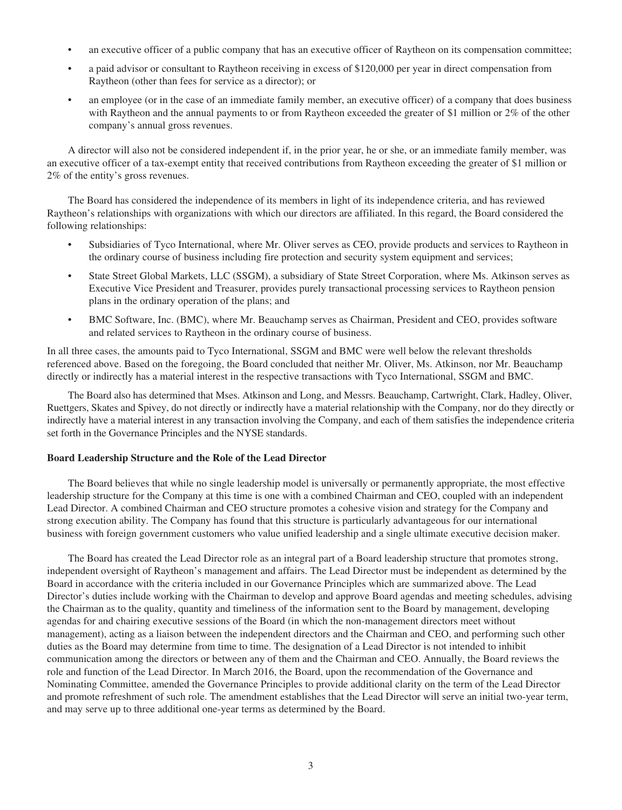- an executive officer of a public company that has an executive officer of Raytheon on its compensation committee;
- a paid advisor or consultant to Raytheon receiving in excess of \$120,000 per year in direct compensation from Raytheon (other than fees for service as a director); or
- an employee (or in the case of an immediate family member, an executive officer) of a company that does business with Raytheon and the annual payments to or from Raytheon exceeded the greater of \$1 million or 2% of the other company's annual gross revenues.

A director will also not be considered independent if, in the prior year, he or she, or an immediate family member, was an executive officer of a tax-exempt entity that received contributions from Raytheon exceeding the greater of \$1 million or 2% of the entity's gross revenues.

The Board has considered the independence of its members in light of its independence criteria, and has reviewed Raytheon's relationships with organizations with which our directors are affiliated. In this regard, the Board considered the following relationships:

- Subsidiaries of Tyco International, where Mr. Oliver serves as CEO, provide products and services to Raytheon in the ordinary course of business including fire protection and security system equipment and services;
- State Street Global Markets, LLC (SSGM), a subsidiary of State Street Corporation, where Ms. Atkinson serves as Executive Vice President and Treasurer, provides purely transactional processing services to Raytheon pension plans in the ordinary operation of the plans; and
- BMC Software, Inc. (BMC), where Mr. Beauchamp serves as Chairman, President and CEO, provides software and related services to Raytheon in the ordinary course of business.

In all three cases, the amounts paid to Tyco International, SSGM and BMC were well below the relevant thresholds referenced above. Based on the foregoing, the Board concluded that neither Mr. Oliver, Ms. Atkinson, nor Mr. Beauchamp directly or indirectly has a material interest in the respective transactions with Tyco International, SSGM and BMC.

The Board also has determined that Mses. Atkinson and Long, and Messrs. Beauchamp, Cartwright, Clark, Hadley, Oliver, Ruettgers, Skates and Spivey, do not directly or indirectly have a material relationship with the Company, nor do they directly or indirectly have a material interest in any transaction involving the Company, and each of them satisfies the independence criteria set forth in the Governance Principles and the NYSE standards.

#### **Board Leadership Structure and the Role of the Lead Director**

The Board believes that while no single leadership model is universally or permanently appropriate, the most effective leadership structure for the Company at this time is one with a combined Chairman and CEO, coupled with an independent Lead Director. A combined Chairman and CEO structure promotes a cohesive vision and strategy for the Company and strong execution ability. The Company has found that this structure is particularly advantageous for our international business with foreign government customers who value unified leadership and a single ultimate executive decision maker.

The Board has created the Lead Director role as an integral part of a Board leadership structure that promotes strong, independent oversight of Raytheon's management and affairs. The Lead Director must be independent as determined by the Board in accordance with the criteria included in our Governance Principles which are summarized above. The Lead Director's duties include working with the Chairman to develop and approve Board agendas and meeting schedules, advising the Chairman as to the quality, quantity and timeliness of the information sent to the Board by management, developing agendas for and chairing executive sessions of the Board (in which the non-management directors meet without management), acting as a liaison between the independent directors and the Chairman and CEO, and performing such other duties as the Board may determine from time to time. The designation of a Lead Director is not intended to inhibit communication among the directors or between any of them and the Chairman and CEO. Annually, the Board reviews the role and function of the Lead Director. In March 2016, the Board, upon the recommendation of the Governance and Nominating Committee, amended the Governance Principles to provide additional clarity on the term of the Lead Director and promote refreshment of such role. The amendment establishes that the Lead Director will serve an initial two-year term, and may serve up to three additional one-year terms as determined by the Board.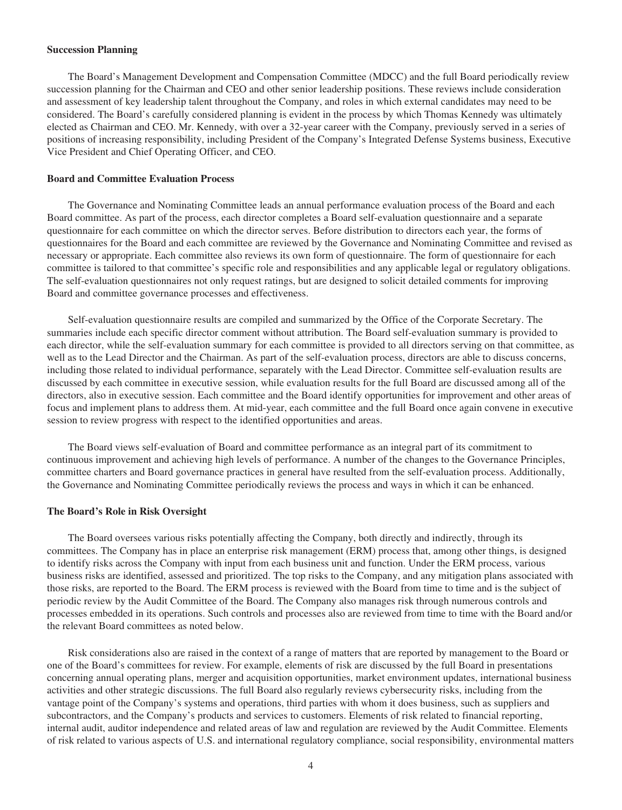#### **Succession Planning**

The Board's Management Development and Compensation Committee (MDCC) and the full Board periodically review succession planning for the Chairman and CEO and other senior leadership positions. These reviews include consideration and assessment of key leadership talent throughout the Company, and roles in which external candidates may need to be considered. The Board's carefully considered planning is evident in the process by which Thomas Kennedy was ultimately elected as Chairman and CEO. Mr. Kennedy, with over a 32-year career with the Company, previously served in a series of positions of increasing responsibility, including President of the Company's Integrated Defense Systems business, Executive Vice President and Chief Operating Officer, and CEO.

#### **Board and Committee Evaluation Process**

The Governance and Nominating Committee leads an annual performance evaluation process of the Board and each Board committee. As part of the process, each director completes a Board self-evaluation questionnaire and a separate questionnaire for each committee on which the director serves. Before distribution to directors each year, the forms of questionnaires for the Board and each committee are reviewed by the Governance and Nominating Committee and revised as necessary or appropriate. Each committee also reviews its own form of questionnaire. The form of questionnaire for each committee is tailored to that committee's specific role and responsibilities and any applicable legal or regulatory obligations. The self-evaluation questionnaires not only request ratings, but are designed to solicit detailed comments for improving Board and committee governance processes and effectiveness.

Self-evaluation questionnaire results are compiled and summarized by the Office of the Corporate Secretary. The summaries include each specific director comment without attribution. The Board self-evaluation summary is provided to each director, while the self-evaluation summary for each committee is provided to all directors serving on that committee, as well as to the Lead Director and the Chairman. As part of the self-evaluation process, directors are able to discuss concerns, including those related to individual performance, separately with the Lead Director. Committee self-evaluation results are discussed by each committee in executive session, while evaluation results for the full Board are discussed among all of the directors, also in executive session. Each committee and the Board identify opportunities for improvement and other areas of focus and implement plans to address them. At mid-year, each committee and the full Board once again convene in executive session to review progress with respect to the identified opportunities and areas.

The Board views self-evaluation of Board and committee performance as an integral part of its commitment to continuous improvement and achieving high levels of performance. A number of the changes to the Governance Principles, committee charters and Board governance practices in general have resulted from the self-evaluation process. Additionally, the Governance and Nominating Committee periodically reviews the process and ways in which it can be enhanced.

#### **The Board's Role in Risk Oversight**

The Board oversees various risks potentially affecting the Company, both directly and indirectly, through its committees. The Company has in place an enterprise risk management (ERM) process that, among other things, is designed to identify risks across the Company with input from each business unit and function. Under the ERM process, various business risks are identified, assessed and prioritized. The top risks to the Company, and any mitigation plans associated with those risks, are reported to the Board. The ERM process is reviewed with the Board from time to time and is the subject of periodic review by the Audit Committee of the Board. The Company also manages risk through numerous controls and processes embedded in its operations. Such controls and processes also are reviewed from time to time with the Board and/or the relevant Board committees as noted below.

Risk considerations also are raised in the context of a range of matters that are reported by management to the Board or one of the Board's committees for review. For example, elements of risk are discussed by the full Board in presentations concerning annual operating plans, merger and acquisition opportunities, market environment updates, international business activities and other strategic discussions. The full Board also regularly reviews cybersecurity risks, including from the vantage point of the Company's systems and operations, third parties with whom it does business, such as suppliers and subcontractors, and the Company's products and services to customers. Elements of risk related to financial reporting, internal audit, auditor independence and related areas of law and regulation are reviewed by the Audit Committee. Elements of risk related to various aspects of U.S. and international regulatory compliance, social responsibility, environmental matters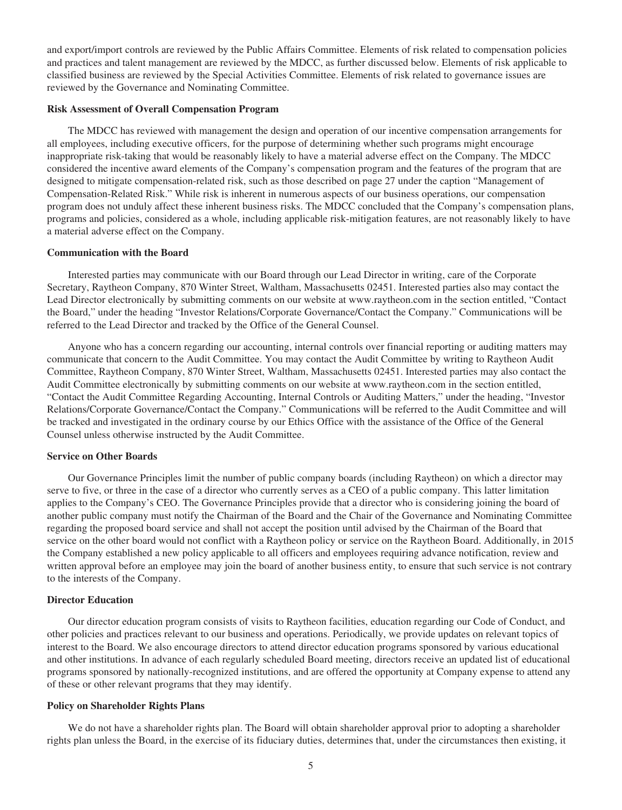and export/import controls are reviewed by the Public Affairs Committee. Elements of risk related to compensation policies and practices and talent management are reviewed by the MDCC, as further discussed below. Elements of risk applicable to classified business are reviewed by the Special Activities Committee. Elements of risk related to governance issues are reviewed by the Governance and Nominating Committee.

#### **Risk Assessment of Overall Compensation Program**

The MDCC has reviewed with management the design and operation of our incentive compensation arrangements for all employees, including executive officers, for the purpose of determining whether such programs might encourage inappropriate risk-taking that would be reasonably likely to have a material adverse effect on the Company. The MDCC considered the incentive award elements of the Company's compensation program and the features of the program that are designed to mitigate compensation-related risk, such as those described on page 27 under the caption "Management of Compensation-Related Risk." While risk is inherent in numerous aspects of our business operations, our compensation program does not unduly affect these inherent business risks. The MDCC concluded that the Company's compensation plans, programs and policies, considered as a whole, including applicable risk-mitigation features, are not reasonably likely to have a material adverse effect on the Company.

#### **Communication with the Board**

Interested parties may communicate with our Board through our Lead Director in writing, care of the Corporate Secretary, Raytheon Company, 870 Winter Street, Waltham, Massachusetts 02451. Interested parties also may contact the Lead Director electronically by submitting comments on our website at www.raytheon.com in the section entitled, "Contact the Board," under the heading "Investor Relations/Corporate Governance/Contact the Company." Communications will be referred to the Lead Director and tracked by the Office of the General Counsel.

Anyone who has a concern regarding our accounting, internal controls over financial reporting or auditing matters may communicate that concern to the Audit Committee. You may contact the Audit Committee by writing to Raytheon Audit Committee, Raytheon Company, 870 Winter Street, Waltham, Massachusetts 02451. Interested parties may also contact the Audit Committee electronically by submitting comments on our website at www.raytheon.com in the section entitled, "Contact the Audit Committee Regarding Accounting, Internal Controls or Auditing Matters," under the heading, "Investor Relations/Corporate Governance/Contact the Company." Communications will be referred to the Audit Committee and will be tracked and investigated in the ordinary course by our Ethics Office with the assistance of the Office of the General Counsel unless otherwise instructed by the Audit Committee.

#### **Service on Other Boards**

Our Governance Principles limit the number of public company boards (including Raytheon) on which a director may serve to five, or three in the case of a director who currently serves as a CEO of a public company. This latter limitation applies to the Company's CEO. The Governance Principles provide that a director who is considering joining the board of another public company must notify the Chairman of the Board and the Chair of the Governance and Nominating Committee regarding the proposed board service and shall not accept the position until advised by the Chairman of the Board that service on the other board would not conflict with a Raytheon policy or service on the Raytheon Board. Additionally, in 2015 the Company established a new policy applicable to all officers and employees requiring advance notification, review and written approval before an employee may join the board of another business entity, to ensure that such service is not contrary to the interests of the Company.

#### **Director Education**

Our director education program consists of visits to Raytheon facilities, education regarding our Code of Conduct, and other policies and practices relevant to our business and operations. Periodically, we provide updates on relevant topics of interest to the Board. We also encourage directors to attend director education programs sponsored by various educational and other institutions. In advance of each regularly scheduled Board meeting, directors receive an updated list of educational programs sponsored by nationally-recognized institutions, and are offered the opportunity at Company expense to attend any of these or other relevant programs that they may identify.

#### **Policy on Shareholder Rights Plans**

We do not have a shareholder rights plan. The Board will obtain shareholder approval prior to adopting a shareholder rights plan unless the Board, in the exercise of its fiduciary duties, determines that, under the circumstances then existing, it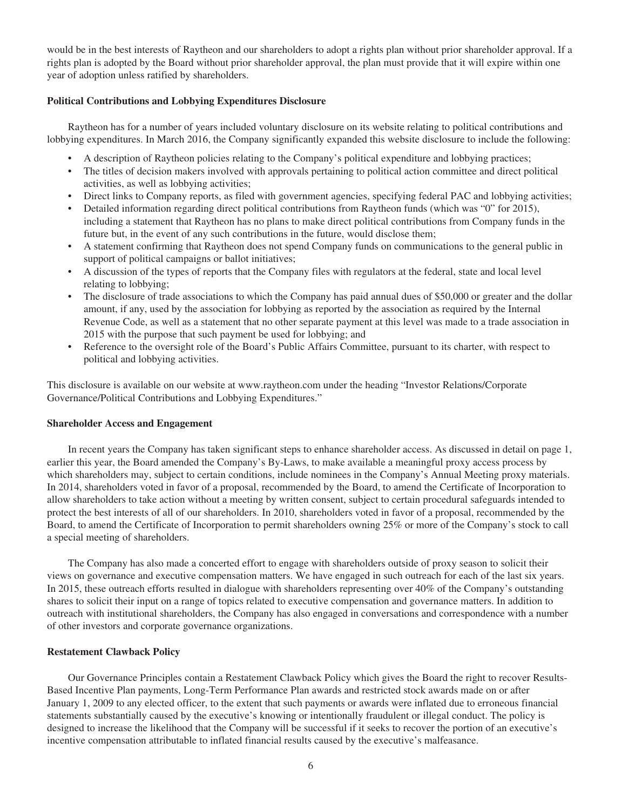would be in the best interests of Raytheon and our shareholders to adopt a rights plan without prior shareholder approval. If a rights plan is adopted by the Board without prior shareholder approval, the plan must provide that it will expire within one year of adoption unless ratified by shareholders.

#### **Political Contributions and Lobbying Expenditures Disclosure**

Raytheon has for a number of years included voluntary disclosure on its website relating to political contributions and lobbying expenditures. In March 2016, the Company significantly expanded this website disclosure to include the following:

- A description of Raytheon policies relating to the Company's political expenditure and lobbying practices;
- The titles of decision makers involved with approvals pertaining to political action committee and direct political activities, as well as lobbying activities;
- Direct links to Company reports, as filed with government agencies, specifying federal PAC and lobbying activities;
- Detailed information regarding direct political contributions from Raytheon funds (which was "0" for 2015), including a statement that Raytheon has no plans to make direct political contributions from Company funds in the future but, in the event of any such contributions in the future, would disclose them;
- A statement confirming that Raytheon does not spend Company funds on communications to the general public in support of political campaigns or ballot initiatives;
- A discussion of the types of reports that the Company files with regulators at the federal, state and local level relating to lobbying;
- The disclosure of trade associations to which the Company has paid annual dues of \$50,000 or greater and the dollar amount, if any, used by the association for lobbying as reported by the association as required by the Internal Revenue Code, as well as a statement that no other separate payment at this level was made to a trade association in 2015 with the purpose that such payment be used for lobbying; and
- Reference to the oversight role of the Board's Public Affairs Committee, pursuant to its charter, with respect to political and lobbying activities.

This disclosure is available on our website at www.raytheon.com under the heading "Investor Relations/Corporate Governance/Political Contributions and Lobbying Expenditures."

#### **Shareholder Access and Engagement**

In recent years the Company has taken significant steps to enhance shareholder access. As discussed in detail on page 1, earlier this year, the Board amended the Company's By-Laws, to make available a meaningful proxy access process by which shareholders may, subject to certain conditions, include nominees in the Company's Annual Meeting proxy materials. In 2014, shareholders voted in favor of a proposal, recommended by the Board, to amend the Certificate of Incorporation to allow shareholders to take action without a meeting by written consent, subject to certain procedural safeguards intended to protect the best interests of all of our shareholders. In 2010, shareholders voted in favor of a proposal, recommended by the Board, to amend the Certificate of Incorporation to permit shareholders owning 25% or more of the Company's stock to call a special meeting of shareholders.

The Company has also made a concerted effort to engage with shareholders outside of proxy season to solicit their views on governance and executive compensation matters. We have engaged in such outreach for each of the last six years. In 2015, these outreach efforts resulted in dialogue with shareholders representing over 40% of the Company's outstanding shares to solicit their input on a range of topics related to executive compensation and governance matters. In addition to outreach with institutional shareholders, the Company has also engaged in conversations and correspondence with a number of other investors and corporate governance organizations.

#### **Restatement Clawback Policy**

Our Governance Principles contain a Restatement Clawback Policy which gives the Board the right to recover Results-Based Incentive Plan payments, Long-Term Performance Plan awards and restricted stock awards made on or after January 1, 2009 to any elected officer, to the extent that such payments or awards were inflated due to erroneous financial statements substantially caused by the executive's knowing or intentionally fraudulent or illegal conduct. The policy is designed to increase the likelihood that the Company will be successful if it seeks to recover the portion of an executive's incentive compensation attributable to inflated financial results caused by the executive's malfeasance.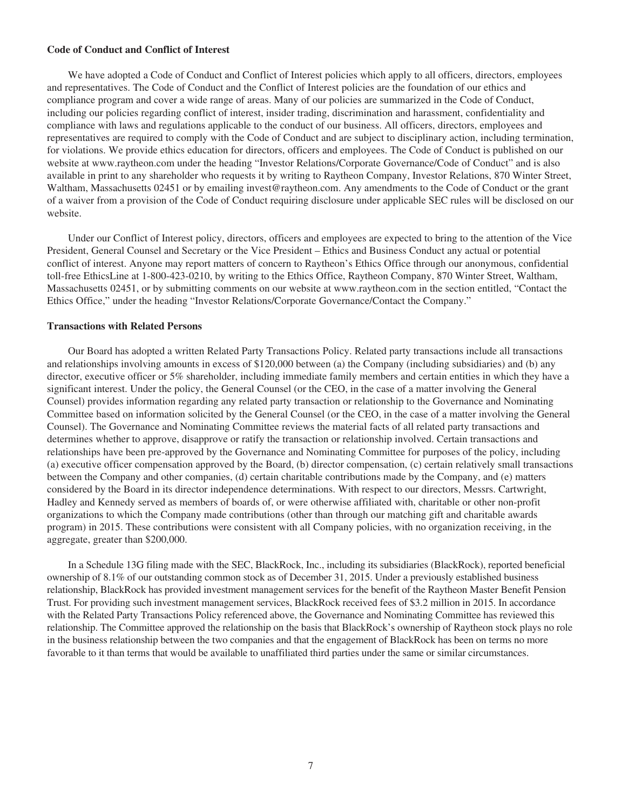#### **Code of Conduct and Conflict of Interest**

We have adopted a Code of Conduct and Conflict of Interest policies which apply to all officers, directors, employees and representatives. The Code of Conduct and the Conflict of Interest policies are the foundation of our ethics and compliance program and cover a wide range of areas. Many of our policies are summarized in the Code of Conduct, including our policies regarding conflict of interest, insider trading, discrimination and harassment, confidentiality and compliance with laws and regulations applicable to the conduct of our business. All officers, directors, employees and representatives are required to comply with the Code of Conduct and are subject to disciplinary action, including termination, for violations. We provide ethics education for directors, officers and employees. The Code of Conduct is published on our website at www.raytheon.com under the heading "Investor Relations/Corporate Governance/Code of Conduct" and is also available in print to any shareholder who requests it by writing to Raytheon Company, Investor Relations, 870 Winter Street, Waltham, Massachusetts 02451 or by emailing invest@raytheon.com. Any amendments to the Code of Conduct or the grant of a waiver from a provision of the Code of Conduct requiring disclosure under applicable SEC rules will be disclosed on our website.

Under our Conflict of Interest policy, directors, officers and employees are expected to bring to the attention of the Vice President, General Counsel and Secretary or the Vice President – Ethics and Business Conduct any actual or potential conflict of interest. Anyone may report matters of concern to Raytheon's Ethics Office through our anonymous, confidential toll-free EthicsLine at 1-800-423-0210, by writing to the Ethics Office, Raytheon Company, 870 Winter Street, Waltham, Massachusetts 02451, or by submitting comments on our website at www.raytheon.com in the section entitled, "Contact the Ethics Office," under the heading "Investor Relations/Corporate Governance/Contact the Company."

#### **Transactions with Related Persons**

Our Board has adopted a written Related Party Transactions Policy. Related party transactions include all transactions and relationships involving amounts in excess of \$120,000 between (a) the Company (including subsidiaries) and (b) any director, executive officer or 5% shareholder, including immediate family members and certain entities in which they have a significant interest. Under the policy, the General Counsel (or the CEO, in the case of a matter involving the General Counsel) provides information regarding any related party transaction or relationship to the Governance and Nominating Committee based on information solicited by the General Counsel (or the CEO, in the case of a matter involving the General Counsel). The Governance and Nominating Committee reviews the material facts of all related party transactions and determines whether to approve, disapprove or ratify the transaction or relationship involved. Certain transactions and relationships have been pre-approved by the Governance and Nominating Committee for purposes of the policy, including (a) executive officer compensation approved by the Board, (b) director compensation, (c) certain relatively small transactions between the Company and other companies, (d) certain charitable contributions made by the Company, and (e) matters considered by the Board in its director independence determinations. With respect to our directors, Messrs. Cartwright, Hadley and Kennedy served as members of boards of, or were otherwise affiliated with, charitable or other non-profit organizations to which the Company made contributions (other than through our matching gift and charitable awards program) in 2015. These contributions were consistent with all Company policies, with no organization receiving, in the aggregate, greater than \$200,000.

In a Schedule 13G filing made with the SEC, BlackRock, Inc., including its subsidiaries (BlackRock), reported beneficial ownership of 8.1% of our outstanding common stock as of December 31, 2015. Under a previously established business relationship, BlackRock has provided investment management services for the benefit of the Raytheon Master Benefit Pension Trust. For providing such investment management services, BlackRock received fees of \$3.2 million in 2015. In accordance with the Related Party Transactions Policy referenced above, the Governance and Nominating Committee has reviewed this relationship. The Committee approved the relationship on the basis that BlackRock's ownership of Raytheon stock plays no role in the business relationship between the two companies and that the engagement of BlackRock has been on terms no more favorable to it than terms that would be available to unaffiliated third parties under the same or similar circumstances.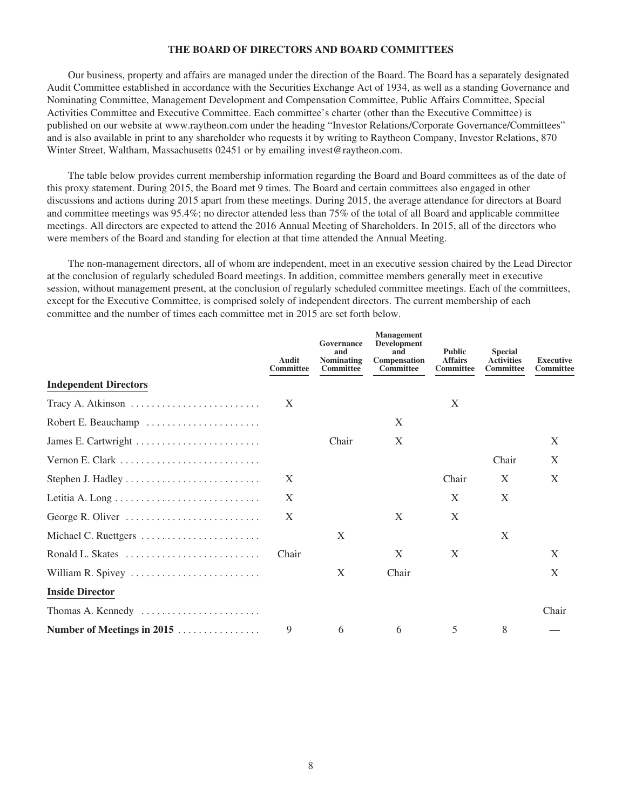#### **THE BOARD OF DIRECTORS AND BOARD COMMITTEES**

Our business, property and affairs are managed under the direction of the Board. The Board has a separately designated Audit Committee established in accordance with the Securities Exchange Act of 1934, as well as a standing Governance and Nominating Committee, Management Development and Compensation Committee, Public Affairs Committee, Special Activities Committee and Executive Committee. Each committee's charter (other than the Executive Committee) is published on our website at www.raytheon.com under the heading "Investor Relations/Corporate Governance/Committees" and is also available in print to any shareholder who requests it by writing to Raytheon Company, Investor Relations, 870 Winter Street, Waltham, Massachusetts 02451 or by emailing invest@raytheon.com.

The table below provides current membership information regarding the Board and Board committees as of the date of this proxy statement. During 2015, the Board met 9 times. The Board and certain committees also engaged in other discussions and actions during 2015 apart from these meetings. During 2015, the average attendance for directors at Board and committee meetings was 95.4%; no director attended less than 75% of the total of all Board and applicable committee meetings. All directors are expected to attend the 2016 Annual Meeting of Shareholders. In 2015, all of the directors who were members of the Board and standing for election at that time attended the Annual Meeting.

The non-management directors, all of whom are independent, meet in an executive session chaired by the Lead Director at the conclusion of regularly scheduled Board meetings. In addition, committee members generally meet in executive session, without management present, at the conclusion of regularly scheduled committee meetings. Each of the committees, except for the Executive Committee, is comprised solely of independent directors. The current membership of each committee and the number of times each committee met in 2015 are set forth below.

|                              | Audit<br>Committee | Governance<br>and<br><b>Nominating</b><br>Committee | <b>Management</b><br>Development<br>and<br>Compensation<br>Committee | <b>Public</b><br><b>Affairs</b><br>Committee | <b>Special</b><br><b>Activities</b><br><b>Committee</b> | <b>Executive</b><br>Committee |
|------------------------------|--------------------|-----------------------------------------------------|----------------------------------------------------------------------|----------------------------------------------|---------------------------------------------------------|-------------------------------|
| <b>Independent Directors</b> |                    |                                                     |                                                                      |                                              |                                                         |                               |
|                              | X                  |                                                     |                                                                      | X                                            |                                                         |                               |
| Robert E. Beauchamp          |                    |                                                     | X                                                                    |                                              |                                                         |                               |
|                              |                    | Chair                                               | X                                                                    |                                              |                                                         | X                             |
|                              |                    |                                                     |                                                                      |                                              | Chair                                                   | X                             |
|                              | X                  |                                                     |                                                                      | Chair                                        | X                                                       | X                             |
|                              | X                  |                                                     |                                                                      | X                                            | X                                                       |                               |
| George R. Oliver             | X                  |                                                     | X                                                                    | X                                            |                                                         |                               |
| Michael C. Ruettgers         |                    | X                                                   |                                                                      |                                              | X                                                       |                               |
| Ronald L. Skates             | Chair              |                                                     | X                                                                    | X                                            |                                                         | X                             |
| William R. Spivey            |                    | X                                                   | Chair                                                                |                                              |                                                         | X                             |
| <b>Inside Director</b>       |                    |                                                     |                                                                      |                                              |                                                         |                               |
| Thomas A. Kennedy            |                    |                                                     |                                                                      |                                              |                                                         | Chair                         |
| Number of Meetings in 2015   | 9                  | 6                                                   | 6                                                                    | 5                                            | 8                                                       |                               |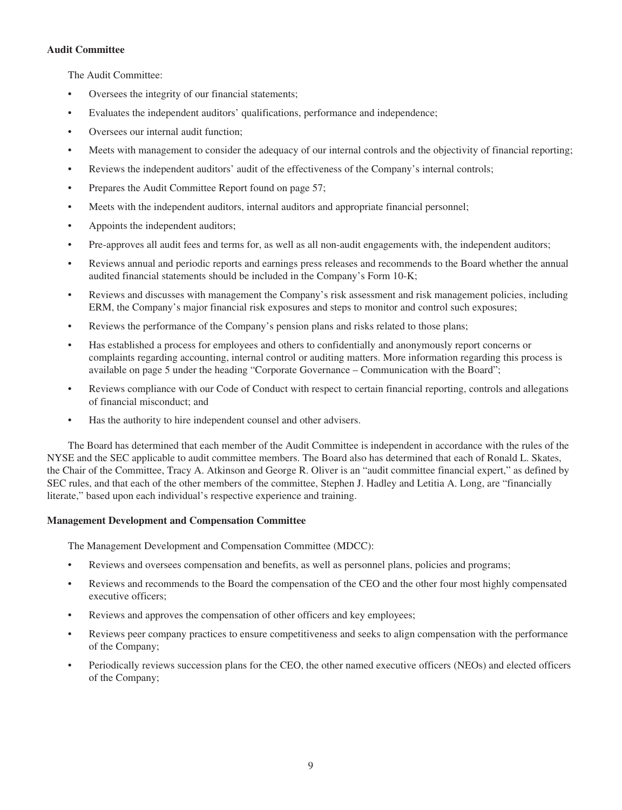### **Audit Committee**

The Audit Committee:

- Oversees the integrity of our financial statements;
- Evaluates the independent auditors' qualifications, performance and independence;
- Oversees our internal audit function;
- Meets with management to consider the adequacy of our internal controls and the objectivity of financial reporting;
- Reviews the independent auditors' audit of the effectiveness of the Company's internal controls;
- Prepares the Audit Committee Report found on page 57;
- Meets with the independent auditors, internal auditors and appropriate financial personnel;
- Appoints the independent auditors;
- Pre-approves all audit fees and terms for, as well as all non-audit engagements with, the independent auditors;
- Reviews annual and periodic reports and earnings press releases and recommends to the Board whether the annual audited financial statements should be included in the Company's Form 10-K;
- Reviews and discusses with management the Company's risk assessment and risk management policies, including ERM, the Company's major financial risk exposures and steps to monitor and control such exposures;
- Reviews the performance of the Company's pension plans and risks related to those plans;
- Has established a process for employees and others to confidentially and anonymously report concerns or complaints regarding accounting, internal control or auditing matters. More information regarding this process is available on page 5 under the heading "Corporate Governance – Communication with the Board";
- Reviews compliance with our Code of Conduct with respect to certain financial reporting, controls and allegations of financial misconduct; and
- Has the authority to hire independent counsel and other advisers.

The Board has determined that each member of the Audit Committee is independent in accordance with the rules of the NYSE and the SEC applicable to audit committee members. The Board also has determined that each of Ronald L. Skates, the Chair of the Committee, Tracy A. Atkinson and George R. Oliver is an "audit committee financial expert," as defined by SEC rules, and that each of the other members of the committee, Stephen J. Hadley and Letitia A. Long, are "financially literate," based upon each individual's respective experience and training.

## **Management Development and Compensation Committee**

The Management Development and Compensation Committee (MDCC):

- Reviews and oversees compensation and benefits, as well as personnel plans, policies and programs;
- Reviews and recommends to the Board the compensation of the CEO and the other four most highly compensated executive officers;
- Reviews and approves the compensation of other officers and key employees;
- Reviews peer company practices to ensure competitiveness and seeks to align compensation with the performance of the Company;
- Periodically reviews succession plans for the CEO, the other named executive officers (NEOs) and elected officers of the Company;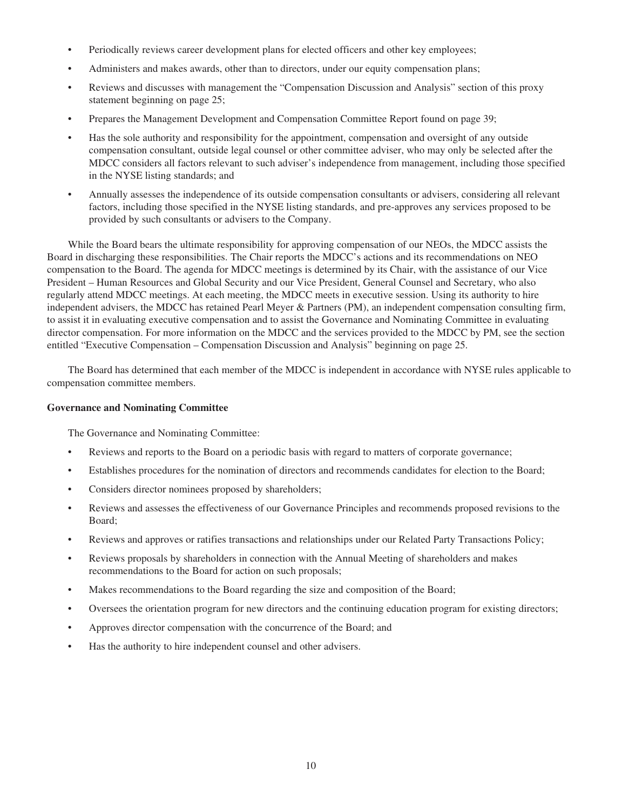- Periodically reviews career development plans for elected officers and other key employees;
- Administers and makes awards, other than to directors, under our equity compensation plans;
- Reviews and discusses with management the "Compensation Discussion and Analysis" section of this proxy statement beginning on page 25;
- Prepares the Management Development and Compensation Committee Report found on page 39;
- Has the sole authority and responsibility for the appointment, compensation and oversight of any outside compensation consultant, outside legal counsel or other committee adviser, who may only be selected after the MDCC considers all factors relevant to such adviser's independence from management, including those specified in the NYSE listing standards; and
- Annually assesses the independence of its outside compensation consultants or advisers, considering all relevant factors, including those specified in the NYSE listing standards, and pre-approves any services proposed to be provided by such consultants or advisers to the Company.

While the Board bears the ultimate responsibility for approving compensation of our NEOs, the MDCC assists the Board in discharging these responsibilities. The Chair reports the MDCC's actions and its recommendations on NEO compensation to the Board. The agenda for MDCC meetings is determined by its Chair, with the assistance of our Vice President – Human Resources and Global Security and our Vice President, General Counsel and Secretary, who also regularly attend MDCC meetings. At each meeting, the MDCC meets in executive session. Using its authority to hire independent advisers, the MDCC has retained Pearl Meyer & Partners (PM), an independent compensation consulting firm, to assist it in evaluating executive compensation and to assist the Governance and Nominating Committee in evaluating director compensation. For more information on the MDCC and the services provided to the MDCC by PM, see the section entitled "Executive Compensation – Compensation Discussion and Analysis" beginning on page 25.

The Board has determined that each member of the MDCC is independent in accordance with NYSE rules applicable to compensation committee members.

#### **Governance and Nominating Committee**

The Governance and Nominating Committee:

- Reviews and reports to the Board on a periodic basis with regard to matters of corporate governance;
- Establishes procedures for the nomination of directors and recommends candidates for election to the Board;
- Considers director nominees proposed by shareholders;
- Reviews and assesses the effectiveness of our Governance Principles and recommends proposed revisions to the Board;
- Reviews and approves or ratifies transactions and relationships under our Related Party Transactions Policy;
- Reviews proposals by shareholders in connection with the Annual Meeting of shareholders and makes recommendations to the Board for action on such proposals;
- Makes recommendations to the Board regarding the size and composition of the Board;
- Oversees the orientation program for new directors and the continuing education program for existing directors;
- Approves director compensation with the concurrence of the Board; and
- Has the authority to hire independent counsel and other advisers.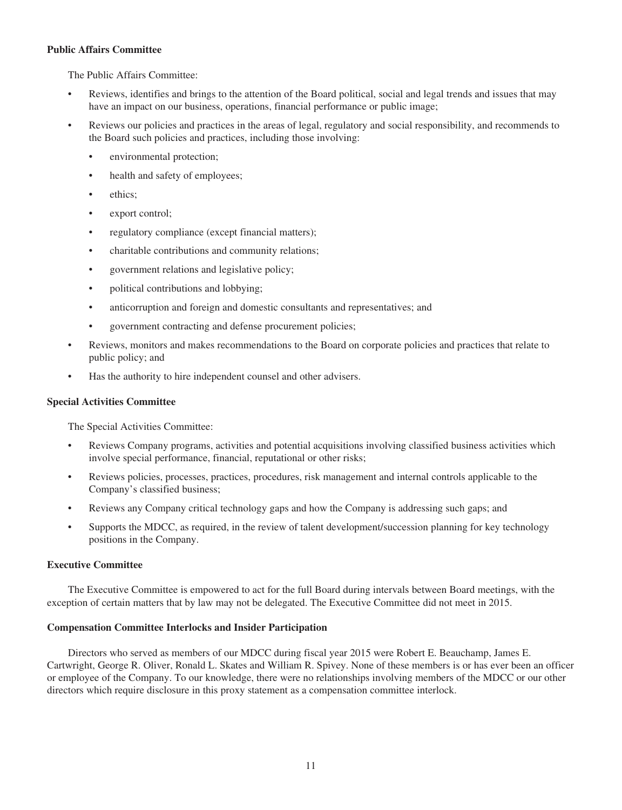#### **Public Affairs Committee**

The Public Affairs Committee:

- Reviews, identifies and brings to the attention of the Board political, social and legal trends and issues that may have an impact on our business, operations, financial performance or public image;
- Reviews our policies and practices in the areas of legal, regulatory and social responsibility, and recommends to the Board such policies and practices, including those involving:
	- environmental protection;
	- health and safety of employees;
	- ethics:
	- export control:
	- regulatory compliance (except financial matters);
	- charitable contributions and community relations;
	- government relations and legislative policy;
	- political contributions and lobbying;
	- anticorruption and foreign and domestic consultants and representatives; and
	- government contracting and defense procurement policies;
- Reviews, monitors and makes recommendations to the Board on corporate policies and practices that relate to public policy; and
- Has the authority to hire independent counsel and other advisers.

#### **Special Activities Committee**

The Special Activities Committee:

- Reviews Company programs, activities and potential acquisitions involving classified business activities which involve special performance, financial, reputational or other risks;
- Reviews policies, processes, practices, procedures, risk management and internal controls applicable to the Company's classified business;
- Reviews any Company critical technology gaps and how the Company is addressing such gaps; and
- Supports the MDCC, as required, in the review of talent development/succession planning for key technology positions in the Company.

#### **Executive Committee**

The Executive Committee is empowered to act for the full Board during intervals between Board meetings, with the exception of certain matters that by law may not be delegated. The Executive Committee did not meet in 2015.

#### **Compensation Committee Interlocks and Insider Participation**

Directors who served as members of our MDCC during fiscal year 2015 were Robert E. Beauchamp, James E. Cartwright, George R. Oliver, Ronald L. Skates and William R. Spivey. None of these members is or has ever been an officer or employee of the Company. To our knowledge, there were no relationships involving members of the MDCC or our other directors which require disclosure in this proxy statement as a compensation committee interlock.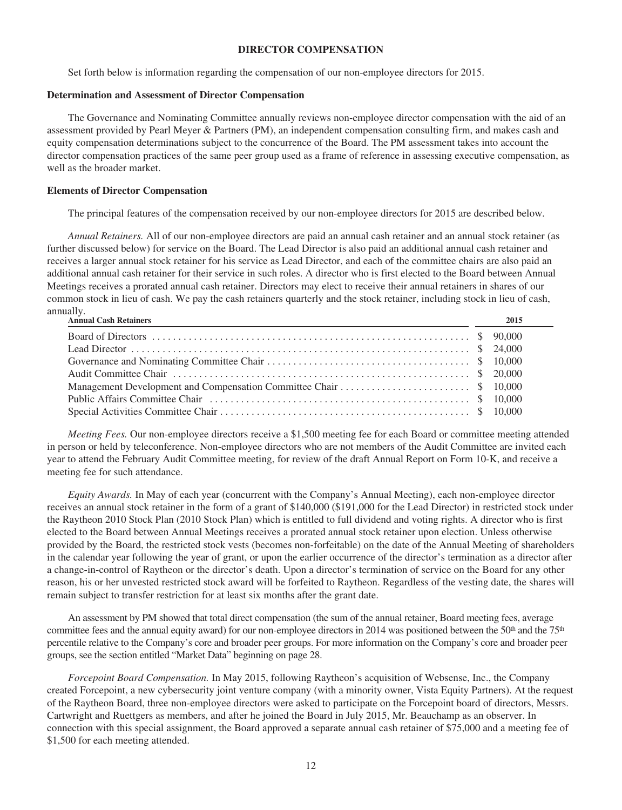#### **DIRECTOR COMPENSATION**

Set forth below is information regarding the compensation of our non-employee directors for 2015.

## **Determination and Assessment of Director Compensation**

The Governance and Nominating Committee annually reviews non-employee director compensation with the aid of an assessment provided by Pearl Meyer & Partners (PM), an independent compensation consulting firm, and makes cash and equity compensation determinations subject to the concurrence of the Board. The PM assessment takes into account the director compensation practices of the same peer group used as a frame of reference in assessing executive compensation, as well as the broader market.

## **Elements of Director Compensation**

The principal features of the compensation received by our non-employee directors for 2015 are described below.

*Annual Retainers.* All of our non-employee directors are paid an annual cash retainer and an annual stock retainer (as further discussed below) for service on the Board. The Lead Director is also paid an additional annual cash retainer and receives a larger annual stock retainer for his service as Lead Director, and each of the committee chairs are also paid an additional annual cash retainer for their service in such roles. A director who is first elected to the Board between Annual Meetings receives a prorated annual cash retainer. Directors may elect to receive their annual retainers in shares of our common stock in lieu of cash. We pay the cash retainers quarterly and the stock retainer, including stock in lieu of cash, annually.

| Annual Cash Retainers<br><u> 1990 - Johann Stoff, amerikansk politiker (d. 1980)</u> | 2015 |
|--------------------------------------------------------------------------------------|------|
|                                                                                      |      |
|                                                                                      |      |
|                                                                                      |      |
|                                                                                      |      |
|                                                                                      |      |
|                                                                                      |      |
|                                                                                      |      |

*Meeting Fees.* Our non-employee directors receive a \$1,500 meeting fee for each Board or committee meeting attended in person or held by teleconference. Non-employee directors who are not members of the Audit Committee are invited each year to attend the February Audit Committee meeting, for review of the draft Annual Report on Form 10-K, and receive a meeting fee for such attendance.

*Equity Awards.* In May of each year (concurrent with the Company's Annual Meeting), each non-employee director receives an annual stock retainer in the form of a grant of \$140,000 (\$191,000 for the Lead Director) in restricted stock under the Raytheon 2010 Stock Plan (2010 Stock Plan) which is entitled to full dividend and voting rights. A director who is first elected to the Board between Annual Meetings receives a prorated annual stock retainer upon election. Unless otherwise provided by the Board, the restricted stock vests (becomes non-forfeitable) on the date of the Annual Meeting of shareholders in the calendar year following the year of grant, or upon the earlier occurrence of the director's termination as a director after a change-in-control of Raytheon or the director's death. Upon a director's termination of service on the Board for any other reason, his or her unvested restricted stock award will be forfeited to Raytheon. Regardless of the vesting date, the shares will remain subject to transfer restriction for at least six months after the grant date.

An assessment by PM showed that total direct compensation (the sum of the annual retainer, Board meeting fees, average committee fees and the annual equity award) for our non-employee directors in 2014 was positioned between the 50<sup>th</sup> and the 75<sup>th</sup> percentile relative to the Company's core and broader peer groups. For more information on the Company's core and broader peer groups, see the section entitled "Market Data" beginning on page 28.

*Forcepoint Board Compensation.* In May 2015, following Raytheon's acquisition of Websense, Inc., the Company created Forcepoint, a new cybersecurity joint venture company (with a minority owner, Vista Equity Partners). At the request of the Raytheon Board, three non-employee directors were asked to participate on the Forcepoint board of directors, Messrs. Cartwright and Ruettgers as members, and after he joined the Board in July 2015, Mr. Beauchamp as an observer. In connection with this special assignment, the Board approved a separate annual cash retainer of \$75,000 and a meeting fee of \$1,500 for each meeting attended.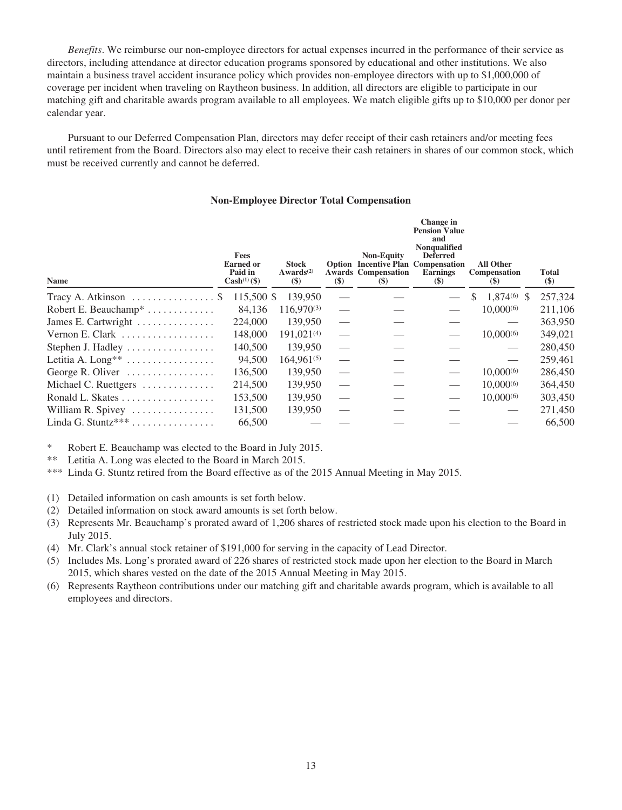*Benefits*. We reimburse our non-employee directors for actual expenses incurred in the performance of their service as directors, including attendance at director education programs sponsored by educational and other institutions. We also maintain a business travel accident insurance policy which provides non-employee directors with up to \$1,000,000 of coverage per incident when traveling on Raytheon business. In addition, all directors are eligible to participate in our matching gift and charitable awards program available to all employees. We match eligible gifts up to \$10,000 per donor per calendar year.

Pursuant to our Deferred Compensation Plan, directors may defer receipt of their cash retainers and/or meeting fees until retirement from the Board. Directors also may elect to receive their cash retainers in shares of our common stock, which must be received currently and cannot be deferred.

#### **Non-Employee Director Total Compensation**

| <b>Name</b>                                          | <b>Fees</b><br><b>Earned or</b><br>Paid in<br>$Cash^{(1)}(\$)$ | <b>Stock</b><br>Awards <sup>(2)</sup><br>$(\$)$ | $(\$)$                   | <b>Non-Equity</b><br><b>Option Incentive Plan Compensation</b><br><b>Awards Compensation</b><br>$\left( \mathbb{S}\right)$ | Change in<br><b>Pension Value</b><br>and<br><b>Nonqualified</b><br><b>Deferred</b><br><b>Earnings</b><br><b>(\$)</b> | <b>All Other</b><br><b>Compensation</b><br><b>(\$)</b> | <b>Total</b><br>$(\$)$ |
|------------------------------------------------------|----------------------------------------------------------------|-------------------------------------------------|--------------------------|----------------------------------------------------------------------------------------------------------------------------|----------------------------------------------------------------------------------------------------------------------|--------------------------------------------------------|------------------------|
| Tracy A. Atkinson $\dots \dots \dots \dots \dots$    | 115,500 \$                                                     | 139,950                                         |                          |                                                                                                                            |                                                                                                                      | $1.874(6)$ \$<br>\$.                                   | 257,324                |
| Robert E. Beauchamp <sup>*</sup> $\dots \dots \dots$ | 84.136                                                         | $116,970^{(3)}$                                 |                          |                                                                                                                            |                                                                                                                      | $10,000^{(6)}$                                         | 211,106                |
| James E. Cartwright                                  | 224,000                                                        | 139,950                                         |                          |                                                                                                                            |                                                                                                                      |                                                        | 363,950                |
| Vernon E. Clark                                      | 148,000                                                        | 191,021(4)                                      |                          |                                                                                                                            |                                                                                                                      | $10,000^{(6)}$                                         | 349,021                |
| Stephen J. Hadley                                    | 140,500                                                        | 139,950                                         | $\overline{\phantom{0}}$ |                                                                                                                            |                                                                                                                      |                                                        | 280,450                |
| Letitia A. Long <sup>**</sup>                        | 94.500                                                         | $164,961^{(5)}$                                 |                          |                                                                                                                            |                                                                                                                      |                                                        | 259,461                |
| George R. Oliver                                     | 136,500                                                        | 139,950                                         |                          |                                                                                                                            |                                                                                                                      | $10,000^{(6)}$                                         | 286,450                |
| Michael C. Ruettgers                                 | 214,500                                                        | 139,950                                         | $\overline{\phantom{0}}$ |                                                                                                                            |                                                                                                                      | $10,000^{(6)}$                                         | 364,450                |
| Ronald L. Skates                                     | 153,500                                                        | 139,950                                         |                          |                                                                                                                            |                                                                                                                      | $10,000^{(6)}$                                         | 303,450                |
| William R. Spivey                                    | 131,500                                                        | 139,950                                         |                          |                                                                                                                            |                                                                                                                      |                                                        | 271,450                |
| Linda G. Stuntz*** $\dots \dots \dots \dots$         | 66,500                                                         |                                                 |                          |                                                                                                                            |                                                                                                                      |                                                        | 66,500                 |

\* Robert E. Beauchamp was elected to the Board in July 2015.

\*\* Letitia A. Long was elected to the Board in March 2015.

\*\*\* Linda G. Stuntz retired from the Board effective as of the 2015 Annual Meeting in May 2015.

(1) Detailed information on cash amounts is set forth below.

- (2) Detailed information on stock award amounts is set forth below.
- (3) Represents Mr. Beauchamp's prorated award of 1,206 shares of restricted stock made upon his election to the Board in July 2015.

(4) Mr. Clark's annual stock retainer of \$191,000 for serving in the capacity of Lead Director.

- (5) Includes Ms. Long's prorated award of 226 shares of restricted stock made upon her election to the Board in March 2015, which shares vested on the date of the 2015 Annual Meeting in May 2015.
- (6) Represents Raytheon contributions under our matching gift and charitable awards program, which is available to all employees and directors.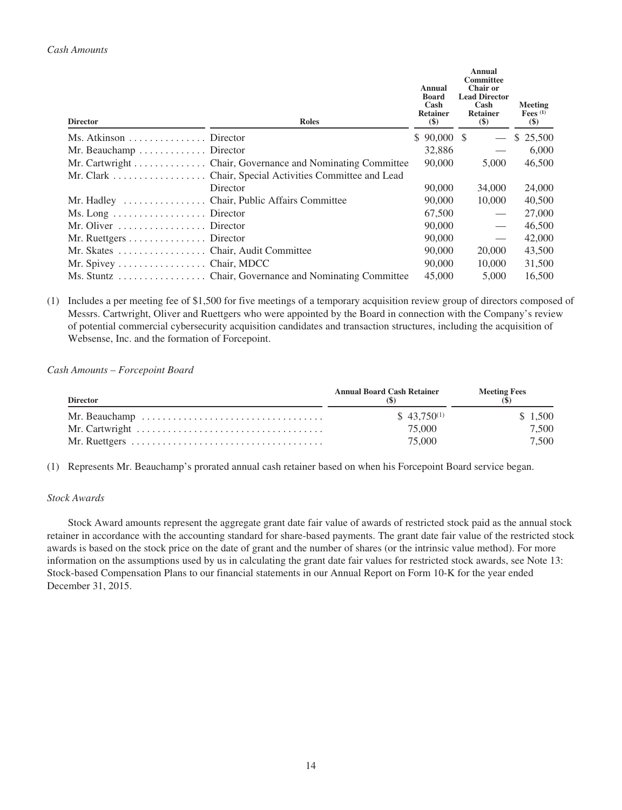| <b>Director</b>                                     | <b>Roles</b>                                              | Annual<br>Board<br>Cash<br><b>Retainer</b><br>$(\$)$ | Annual<br>Committee<br><b>Chair or</b><br><b>Lead Director</b><br>Cash<br><b>Retainer</b><br>$($)$ | <b>Meeting</b><br>Fees $(1)$<br>\$) |
|-----------------------------------------------------|-----------------------------------------------------------|------------------------------------------------------|----------------------------------------------------------------------------------------------------|-------------------------------------|
| Ms. Atkinson $\dots \dots \dots \dots$ . Director   |                                                           | $$90,000$ \$                                         | $\overbrace{\phantom{123331}}$                                                                     | \$ 25,500                           |
| Mr. Beauchamp $\dots \dots \dots$ . Director        |                                                           | 32,886                                               |                                                                                                    | 6,000                               |
|                                                     | Mr. Cartwright Chair, Governance and Nominating Committee | 90,000                                               | 5,000                                                                                              | 46,500                              |
|                                                     |                                                           |                                                      |                                                                                                    |                                     |
|                                                     | Director                                                  | 90,000                                               | 34,000                                                                                             | 24,000                              |
|                                                     |                                                           | 90,000                                               | 10,000                                                                                             | 40,500                              |
| $Ms. Long \dots \dots \dots \dots \dots$ . Director |                                                           | 67,500                                               |                                                                                                    | 27,000                              |
| Mr. Oliver $\dots\dots\dots\dots\dots$ . Director   |                                                           | 90,000                                               |                                                                                                    | 46,500                              |
| Mr. Ruettgers Director                              |                                                           | 90,000                                               |                                                                                                    | 42,000                              |
|                                                     |                                                           | 90,000                                               | 20,000                                                                                             | 43,500                              |
| Mr. Spivey $\dots \dots \dots \dots$ . Chair, MDCC  |                                                           | 90,000                                               | 10,000                                                                                             | 31,500                              |
|                                                     |                                                           | 45,000                                               | 5,000                                                                                              | 16,500                              |

(1) Includes a per meeting fee of \$1,500 for five meetings of a temporary acquisition review group of directors composed of Messrs. Cartwright, Oliver and Ruettgers who were appointed by the Board in connection with the Company's review of potential commercial cybersecurity acquisition candidates and transaction structures, including the acquisition of Websense, Inc. and the formation of Forcepoint.

*Cash Amounts – Forcepoint Board*

| <b>Director</b> | <b>Annual Board Cash Retainer</b> | <b>Meeting Fees</b> |
|-----------------|-----------------------------------|---------------------|
|                 | $$43.750^{(1)}$                   | \$1,500             |
|                 | 75,000                            | 7.500               |
|                 | 75,000                            | 7.500               |

(1) Represents Mr. Beauchamp's prorated annual cash retainer based on when his Forcepoint Board service began.

#### *Stock Awards*

Stock Award amounts represent the aggregate grant date fair value of awards of restricted stock paid as the annual stock retainer in accordance with the accounting standard for share-based payments. The grant date fair value of the restricted stock awards is based on the stock price on the date of grant and the number of shares (or the intrinsic value method). For more information on the assumptions used by us in calculating the grant date fair values for restricted stock awards, see Note 13: Stock-based Compensation Plans to our financial statements in our Annual Report on Form 10-K for the year ended December 31, 2015.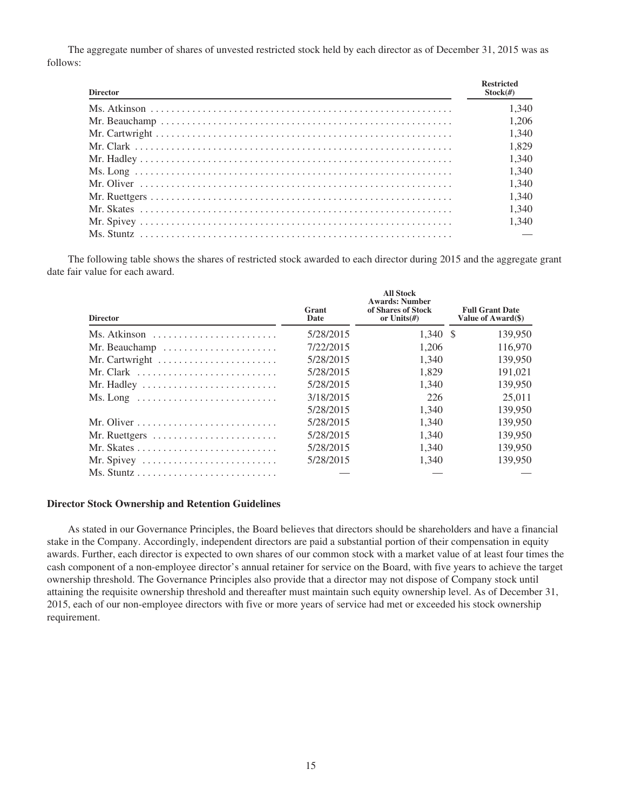The aggregate number of shares of unvested restricted stock held by each director as of December 31, 2015 was as follows:

| <b>Director</b> | <b>Restricted</b><br>$Stock(\#)$ |
|-----------------|----------------------------------|
|                 | 1.340                            |
|                 | 1.206                            |
|                 | 1.340                            |
|                 | 1.829                            |
|                 | 1.340                            |
|                 | 1.340                            |
|                 | 1.340                            |
|                 | 1.340                            |
|                 | 1.340                            |
|                 | 1.340                            |
|                 |                                  |

The following table shows the shares of restricted stock awarded to each director during 2015 and the aggregate grant date fair value for each award.

**All Stock**

| <b>Director</b>                                                  | Grant<br>Date | AII SLOCK<br><b>Awards: Number</b><br>of Shares of Stock<br>or Units $(f)$ | <b>Full Grant Date</b><br>Value of Award(\$) |
|------------------------------------------------------------------|---------------|----------------------------------------------------------------------------|----------------------------------------------|
| Ms. Atkinson                                                     | 5/28/2015     | $1.340 \text{ }$ \$                                                        | 139,950                                      |
| Mr. Beauchamp                                                    | 7/22/2015     | 1,206                                                                      | 116,970                                      |
| Mr. Cartwright                                                   | 5/28/2015     | 1.340                                                                      | 139,950                                      |
|                                                                  | 5/28/2015     | 1.829                                                                      | 191,021                                      |
|                                                                  | 5/28/2015     | 1.340                                                                      | 139,950                                      |
| $Ms. Long \dots \dots \dots \dots \dots \dots \dots \dots \dots$ | 3/18/2015     | 226                                                                        | 25,011                                       |
|                                                                  | 5/28/2015     | 1.340                                                                      | 139,950                                      |
|                                                                  | 5/28/2015     | 1,340                                                                      | 139,950                                      |
|                                                                  | 5/28/2015     | 1,340                                                                      | 139,950                                      |
|                                                                  | 5/28/2015     | 1.340                                                                      | 139,950                                      |
| Mr. Spivey                                                       | 5/28/2015     | 1.340                                                                      | 139,950                                      |
|                                                                  |               |                                                                            |                                              |

#### **Director Stock Ownership and Retention Guidelines**

As stated in our Governance Principles, the Board believes that directors should be shareholders and have a financial stake in the Company. Accordingly, independent directors are paid a substantial portion of their compensation in equity awards. Further, each director is expected to own shares of our common stock with a market value of at least four times the cash component of a non-employee director's annual retainer for service on the Board, with five years to achieve the target ownership threshold. The Governance Principles also provide that a director may not dispose of Company stock until attaining the requisite ownership threshold and thereafter must maintain such equity ownership level. As of December 31, 2015, each of our non-employee directors with five or more years of service had met or exceeded his stock ownership requirement.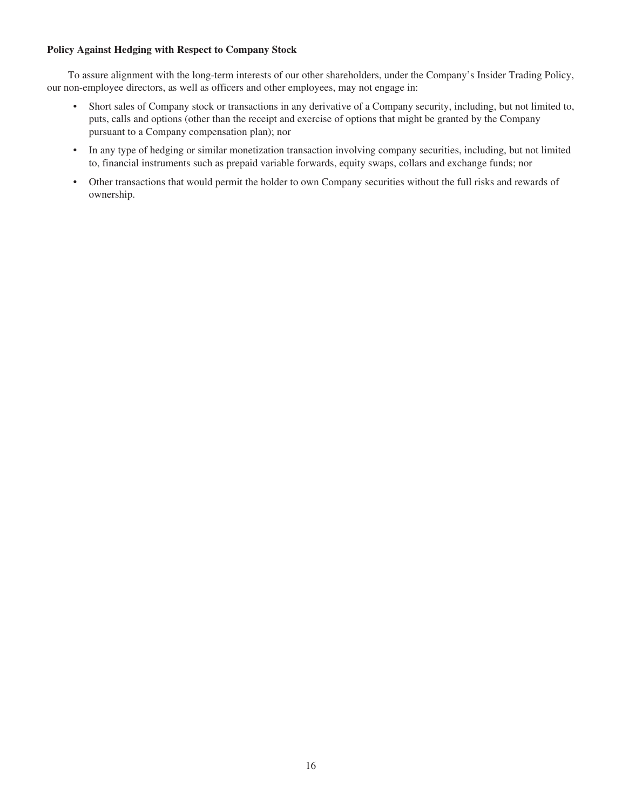## **Policy Against Hedging with Respect to Company Stock**

To assure alignment with the long-term interests of our other shareholders, under the Company's Insider Trading Policy, our non-employee directors, as well as officers and other employees, may not engage in:

- Short sales of Company stock or transactions in any derivative of a Company security, including, but not limited to, puts, calls and options (other than the receipt and exercise of options that might be granted by the Company pursuant to a Company compensation plan); nor
- In any type of hedging or similar monetization transaction involving company securities, including, but not limited to, financial instruments such as prepaid variable forwards, equity swaps, collars and exchange funds; nor
- Other transactions that would permit the holder to own Company securities without the full risks and rewards of ownership.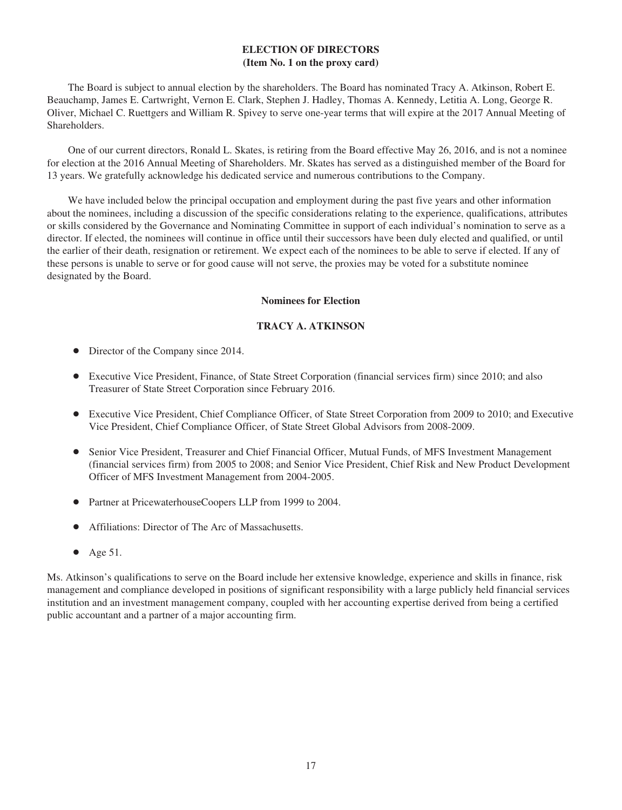## **ELECTION OF DIRECTORS (Item No. 1 on the proxy card)**

The Board is subject to annual election by the shareholders. The Board has nominated Tracy A. Atkinson, Robert E. Beauchamp, James E. Cartwright, Vernon E. Clark, Stephen J. Hadley, Thomas A. Kennedy, Letitia A. Long, George R. Oliver, Michael C. Ruettgers and William R. Spivey to serve one-year terms that will expire at the 2017 Annual Meeting of Shareholders.

One of our current directors, Ronald L. Skates, is retiring from the Board effective May 26, 2016, and is not a nominee for election at the 2016 Annual Meeting of Shareholders. Mr. Skates has served as a distinguished member of the Board for 13 years. We gratefully acknowledge his dedicated service and numerous contributions to the Company.

We have included below the principal occupation and employment during the past five years and other information about the nominees, including a discussion of the specific considerations relating to the experience, qualifications, attributes or skills considered by the Governance and Nominating Committee in support of each individual's nomination to serve as a director. If elected, the nominees will continue in office until their successors have been duly elected and qualified, or until the earlier of their death, resignation or retirement. We expect each of the nominees to be able to serve if elected. If any of these persons is unable to serve or for good cause will not serve, the proxies may be voted for a substitute nominee designated by the Board.

#### **Nominees for Election**

## **TRACY A. ATKINSON**

- Director of the Company since 2014.
- Executive Vice President, Finance, of State Street Corporation (financial services firm) since 2010; and also Treasurer of State Street Corporation since February 2016.
- Executive Vice President, Chief Compliance Officer, of State Street Corporation from 2009 to 2010; and Executive Vice President, Chief Compliance Officer, of State Street Global Advisors from 2008-2009.
- Senior Vice President, Treasurer and Chief Financial Officer, Mutual Funds, of MFS Investment Management (financial services firm) from 2005 to 2008; and Senior Vice President, Chief Risk and New Product Development Officer of MFS Investment Management from 2004-2005.
- Partner at PricewaterhouseCoopers LLP from 1999 to 2004.
- Affiliations: Director of The Arc of Massachusetts.
- $\bullet$  Age 51.

Ms. Atkinson's qualifications to serve on the Board include her extensive knowledge, experience and skills in finance, risk management and compliance developed in positions of significant responsibility with a large publicly held financial services institution and an investment management company, coupled with her accounting expertise derived from being a certified public accountant and a partner of a major accounting firm.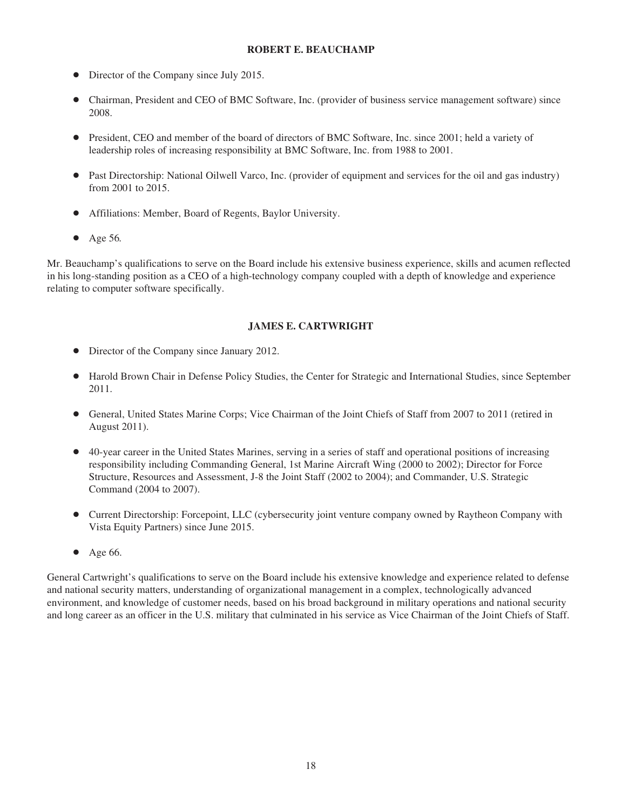#### **ROBERT E. BEAUCHAMP**

- $\bullet$  Director of the Company since July 2015.
- Chairman, President and CEO of BMC Software, Inc. (provider of business service management software) since 2008.
- President, CEO and member of the board of directors of BMC Software, Inc. since 2001; held a variety of leadership roles of increasing responsibility at BMC Software, Inc. from 1988 to 2001.
- Past Directorship: National Oilwell Varco, Inc. (provider of equipment and services for the oil and gas industry) from 2001 to 2015.
- Affiliations: Member, Board of Regents, Baylor University.
- Age 56.

Mr. Beauchamp's qualifications to serve on the Board include his extensive business experience, skills and acumen reflected in his long-standing position as a CEO of a high-technology company coupled with a depth of knowledge and experience relating to computer software specifically.

## **JAMES E. CARTWRIGHT**

- Director of the Company since January 2012.
- Harold Brown Chair in Defense Policy Studies, the Center for Strategic and International Studies, since September 2011.
- General, United States Marine Corps; Vice Chairman of the Joint Chiefs of Staff from 2007 to 2011 (retired in August 2011).
- 40-year career in the United States Marines, serving in a series of staff and operational positions of increasing responsibility including Commanding General, 1st Marine Aircraft Wing (2000 to 2002); Director for Force Structure, Resources and Assessment, J-8 the Joint Staff (2002 to 2004); and Commander, U.S. Strategic Command (2004 to 2007).
- Current Directorship: Forcepoint, LLC (cybersecurity joint venture company owned by Raytheon Company with Vista Equity Partners) since June 2015.
- $\bullet$  Age 66.

General Cartwright's qualifications to serve on the Board include his extensive knowledge and experience related to defense and national security matters, understanding of organizational management in a complex, technologically advanced environment, and knowledge of customer needs, based on his broad background in military operations and national security and long career as an officer in the U.S. military that culminated in his service as Vice Chairman of the Joint Chiefs of Staff.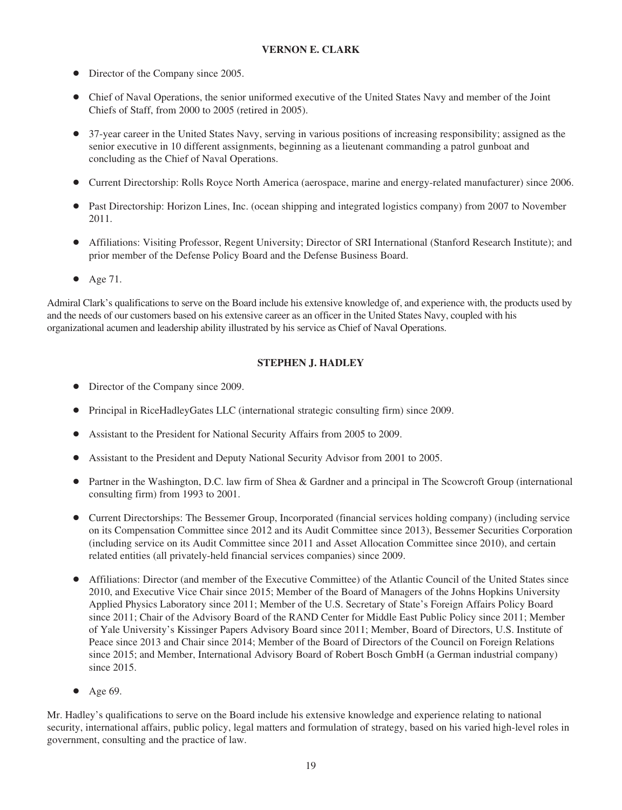## **VERNON E. CLARK**

- Director of the Company since 2005.
- Chief of Naval Operations, the senior uniformed executive of the United States Navy and member of the Joint Chiefs of Staff, from 2000 to 2005 (retired in 2005).
- 37-year career in the United States Navy, serving in various positions of increasing responsibility; assigned as the senior executive in 10 different assignments, beginning as a lieutenant commanding a patrol gunboat and concluding as the Chief of Naval Operations.
- Current Directorship: Rolls Royce North America (aerospace, marine and energy-related manufacturer) since 2006.
- Past Directorship: Horizon Lines, Inc. (ocean shipping and integrated logistics company) from 2007 to November 2011.
- Affiliations: Visiting Professor, Regent University; Director of SRI International (Stanford Research Institute); and prior member of the Defense Policy Board and the Defense Business Board.
- $\bullet$  Age 71.

Admiral Clark's qualifications to serve on the Board include his extensive knowledge of, and experience with, the products used by and the needs of our customers based on his extensive career as an officer in the United States Navy, coupled with his organizational acumen and leadership ability illustrated by his service as Chief of Naval Operations.

## **STEPHEN J. HADLEY**

- Director of the Company since 2009.
- Principal in RiceHadleyGates LLC (international strategic consulting firm) since 2009.
- Assistant to the President for National Security Affairs from 2005 to 2009.
- Assistant to the President and Deputy National Security Advisor from 2001 to 2005.
- Partner in the Washington, D.C. law firm of Shea & Gardner and a principal in The Scowcroft Group (international consulting firm) from 1993 to 2001.
- Current Directorships: The Bessemer Group, Incorporated (financial services holding company) (including service on its Compensation Committee since 2012 and its Audit Committee since 2013), Bessemer Securities Corporation (including service on its Audit Committee since 2011 and Asset Allocation Committee since 2010), and certain related entities (all privately-held financial services companies) since 2009.
- Affiliations: Director (and member of the Executive Committee) of the Atlantic Council of the United States since 2010, and Executive Vice Chair since 2015; Member of the Board of Managers of the Johns Hopkins University Applied Physics Laboratory since 2011; Member of the U.S. Secretary of State's Foreign Affairs Policy Board since 2011; Chair of the Advisory Board of the RAND Center for Middle East Public Policy since 2011; Member of Yale University's Kissinger Papers Advisory Board since 2011; Member, Board of Directors, U.S. Institute of Peace since 2013 and Chair since 2014; Member of the Board of Directors of the Council on Foreign Relations since 2015; and Member, International Advisory Board of Robert Bosch GmbH (a German industrial company) since 2015.
- $\bullet$  Age 69.

Mr. Hadley's qualifications to serve on the Board include his extensive knowledge and experience relating to national security, international affairs, public policy, legal matters and formulation of strategy, based on his varied high-level roles in government, consulting and the practice of law.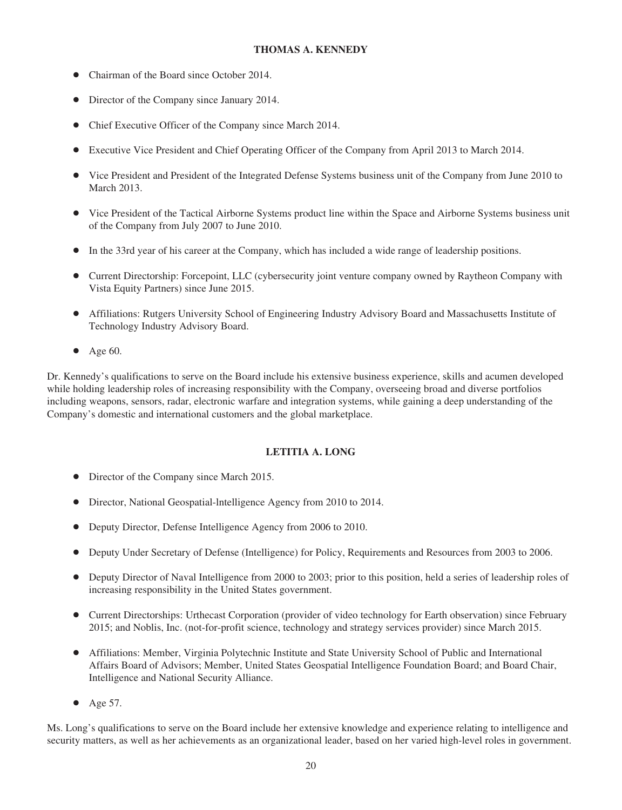## **THOMAS A. KENNEDY**

- Chairman of the Board since October 2014.
- Director of the Company since January 2014.
- Chief Executive Officer of the Company since March 2014.
- Executive Vice President and Chief Operating Officer of the Company from April 2013 to March 2014.
- Vice President and President of the Integrated Defense Systems business unit of the Company from June 2010 to March 2013.
- Vice President of the Tactical Airborne Systems product line within the Space and Airborne Systems business unit of the Company from July 2007 to June 2010.
- In the 33rd year of his career at the Company, which has included a wide range of leadership positions.
- Current Directorship: Forcepoint, LLC (cybersecurity joint venture company owned by Raytheon Company with Vista Equity Partners) since June 2015.
- Affiliations: Rutgers University School of Engineering Industry Advisory Board and Massachusetts Institute of Technology Industry Advisory Board.
- $\bullet$  Age 60.

Dr. Kennedy's qualifications to serve on the Board include his extensive business experience, skills and acumen developed while holding leadership roles of increasing responsibility with the Company, overseeing broad and diverse portfolios including weapons, sensors, radar, electronic warfare and integration systems, while gaining a deep understanding of the Company's domestic and international customers and the global marketplace.

#### **LETITIA A. LONG**

- Director of the Company since March 2015.
- Director, National Geospatial-Intelligence Agency from 2010 to 2014.
- Deputy Director, Defense Intelligence Agency from 2006 to 2010.
- Deputy Under Secretary of Defense (Intelligence) for Policy, Requirements and Resources from 2003 to 2006.
- Deputy Director of Naval Intelligence from 2000 to 2003; prior to this position, held a series of leadership roles of increasing responsibility in the United States government.
- Current Directorships: Urthecast Corporation (provider of video technology for Earth observation) since February 2015; and Noblis, Inc. (not-for-profit science, technology and strategy services provider) since March 2015.
- Affiliations: Member, Virginia Polytechnic Institute and State University School of Public and International Affairs Board of Advisors; Member, United States Geospatial Intelligence Foundation Board; and Board Chair, Intelligence and National Security Alliance.
- $\bullet$  Age 57.

Ms. Long's qualifications to serve on the Board include her extensive knowledge and experience relating to intelligence and security matters, as well as her achievements as an organizational leader, based on her varied high-level roles in government.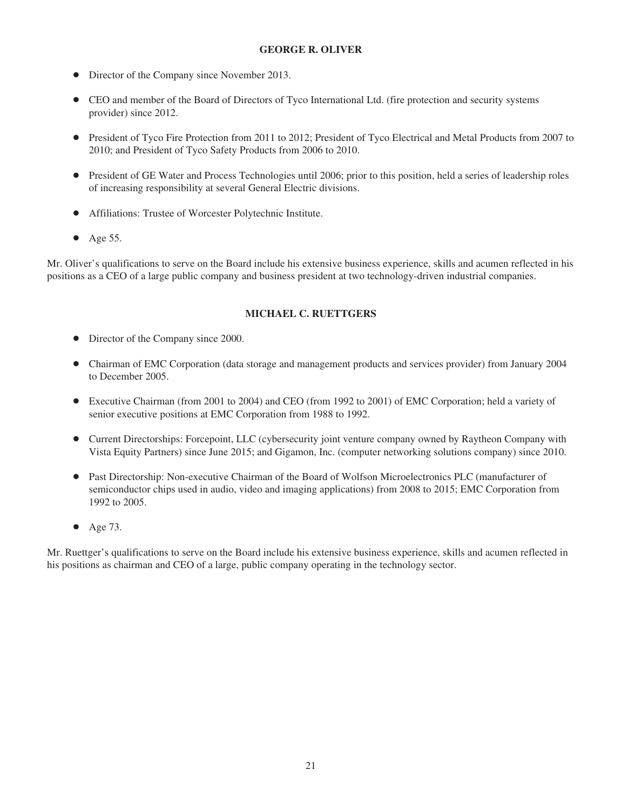#### **GEORGE R. OLIVER**

- Director of the Company since November 2013.
- CEO and member of the Board of Directors of Tyco International Ltd. (fire protection and security systems provider) since 2012.
- President of Tyco Fire Protection from 2011 to 2012; President of Tyco Electrical and Metal Products from 2007 to 2010; and President of Tyco Safety Products from 2006 to 2010.
- President of GE Water and Process Technologies until 2006; prior to this position, held a series of leadership roles of increasing responsibility at several General Electric divisions.
- Affiliations: Trustee of Worcester Polytechnic Institute.
- $\bullet$  Age 55.

Mr. Oliver's qualifications to serve on the Board include his extensive business experience, skills and acumen reflected in his positions as a CEO of a large public company and business president at two technology-driven industrial companies.

#### **MICHAEL C. RUETTGERS**

- Director of the Company since 2000.
- Chairman of EMC Corporation (data storage and management products and services provider) from January 2004 to December 2005.
- Executive Chairman (from 2001 to 2004) and CEO (from 1992 to 2001) of EMC Corporation; held a variety of senior executive positions at EMC Corporation from 1988 to 1992.
- Current Directorships: Forcepoint, LLC (cybersecurity joint venture company owned by Raytheon Company with Vista Equity Partners) since June 2015; and Gigamon, Inc. (computer networking solutions company) since 2010.
- Past Directorship: Non-executive Chairman of the Board of Wolfson Microelectronics PLC (manufacturer of semiconductor chips used in audio, video and imaging applications) from 2008 to 2015; EMC Corporation from 1992 to 2005.
- $\bullet$  Age 73.

Mr. Ruettger's qualifications to serve on the Board include his extensive business experience, skills and acumen reflected in his positions as chairman and CEO of a large, public company operating in the technology sector.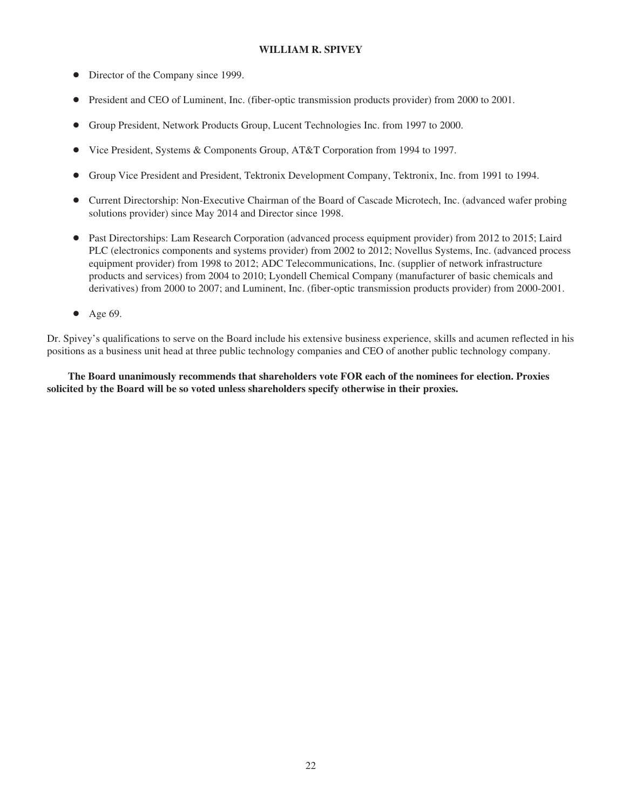#### **WILLIAM R. SPIVEY**

- Director of the Company since 1999.
- President and CEO of Luminent, Inc. (fiber-optic transmission products provider) from 2000 to 2001.
- Š Group President, Network Products Group, Lucent Technologies Inc. from 1997 to 2000.
- Vice President, Systems & Components Group, AT&T Corporation from 1994 to 1997.
- Š Group Vice President and President, Tektronix Development Company, Tektronix, Inc. from 1991 to 1994.
- Š Current Directorship: Non-Executive Chairman of the Board of Cascade Microtech, Inc. (advanced wafer probing solutions provider) since May 2014 and Director since 1998.
- Past Directorships: Lam Research Corporation (advanced process equipment provider) from 2012 to 2015; Laird PLC (electronics components and systems provider) from 2002 to 2012; Novellus Systems, Inc. (advanced process equipment provider) from 1998 to 2012; ADC Telecommunications, Inc. (supplier of network infrastructure products and services) from 2004 to 2010; Lyondell Chemical Company (manufacturer of basic chemicals and derivatives) from 2000 to 2007; and Luminent, Inc. (fiber-optic transmission products provider) from 2000-2001.
- $\bullet$  Age 69.

Dr. Spivey's qualifications to serve on the Board include his extensive business experience, skills and acumen reflected in his positions as a business unit head at three public technology companies and CEO of another public technology company.

**The Board unanimously recommends that shareholders vote FOR each of the nominees for election. Proxies solicited by the Board will be so voted unless shareholders specify otherwise in their proxies.**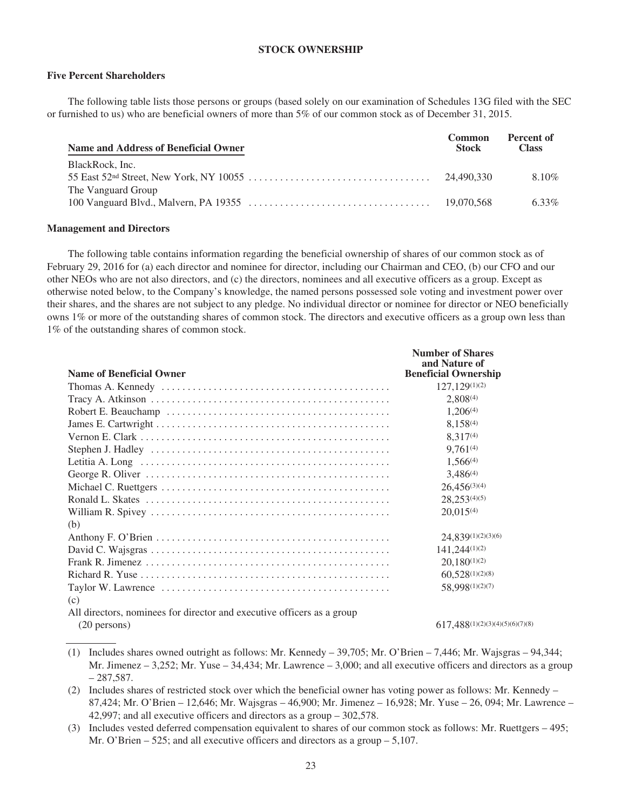#### **STOCK OWNERSHIP**

#### **Five Percent Shareholders**

The following table lists those persons or groups (based solely on our examination of Schedules 13G filed with the SEC or furnished to us) who are beneficial owners of more than 5% of our common stock as of December 31, 2015.

| Name and Address of Beneficial Owner | <b>Common</b><br>Stock | Percent of<br><b>Class</b> |
|--------------------------------------|------------------------|----------------------------|
| BlackRock, Inc.                      | 24.490.330             | $8.10\%$                   |
| The Vanguard Group                   |                        |                            |
|                                      | 19,070,568             | $6.33\%$                   |

#### **Management and Directors**

The following table contains information regarding the beneficial ownership of shares of our common stock as of February 29, 2016 for (a) each director and nominee for director, including our Chairman and CEO, (b) our CFO and our other NEOs who are not also directors, and (c) the directors, nominees and all executive officers as a group. Except as otherwise noted below, to the Company's knowledge, the named persons possessed sole voting and investment power over their shares, and the shares are not subject to any pledge. No individual director or nominee for director or NEO beneficially owns 1% or more of the outstanding shares of common stock. The directors and executive officers as a group own less than 1% of the outstanding shares of common stock.

| <b>Name of Beneficial Owner</b>                                        | <b>Number of Shares</b><br>and Nature of<br><b>Beneficial Ownership</b> |
|------------------------------------------------------------------------|-------------------------------------------------------------------------|
|                                                                        | $127,129^{(1)(2)}$                                                      |
|                                                                        | $2.808^{(4)}$                                                           |
|                                                                        | $1,206^{(4)}$                                                           |
|                                                                        | $8.158^{(4)}$                                                           |
|                                                                        | $8.317^{(4)}$                                                           |
|                                                                        | $9.761^{(4)}$                                                           |
|                                                                        | $1.566^{(4)}$                                                           |
|                                                                        | $3,486^{(4)}$                                                           |
|                                                                        | $26.456^{(3)(4)}$                                                       |
|                                                                        | $28,253^{(4)(5)}$                                                       |
|                                                                        | 20.015(4)                                                               |
| (b)                                                                    |                                                                         |
|                                                                        | $24,839^{(1)(2)(3)(6)}$                                                 |
|                                                                        | $141,244^{(1)(2)}$                                                      |
|                                                                        | $20.180^{(1)(2)}$                                                       |
|                                                                        | $60.528^{(1)(2)(8)}$                                                    |
|                                                                        | 58,998(1)(2)(7)                                                         |
| (c)                                                                    |                                                                         |
| All directors, nominees for director and executive officers as a group |                                                                         |
| $(20 \text{ persons})$                                                 | $617,488^{(1)(2)(3)(4)(5)(6)(7)(8)}$                                    |

- (1) Includes shares owned outright as follows: Mr. Kennedy 39,705; Mr. O'Brien 7,446; Mr. Wajsgras 94,344; Mr. Jimenez  $-3,252$ ; Mr. Yuse  $-34,434$ ; Mr. Lawrence  $-3,000$ ; and all executive officers and directors as a group  $-287.587.$
- (2) Includes shares of restricted stock over which the beneficial owner has voting power as follows: Mr. Kennedy 87,424; Mr. O'Brien – 12,646; Mr. Wajsgras – 46,900; Mr. Jimenez – 16,928; Mr. Yuse – 26, 094; Mr. Lawrence – 42,997; and all executive officers and directors as a group – 302,578.
- (3) Includes vested deferred compensation equivalent to shares of our common stock as follows: Mr. Ruettgers 495; Mr. O'Brien – 525; and all executive officers and directors as a group – 5,107.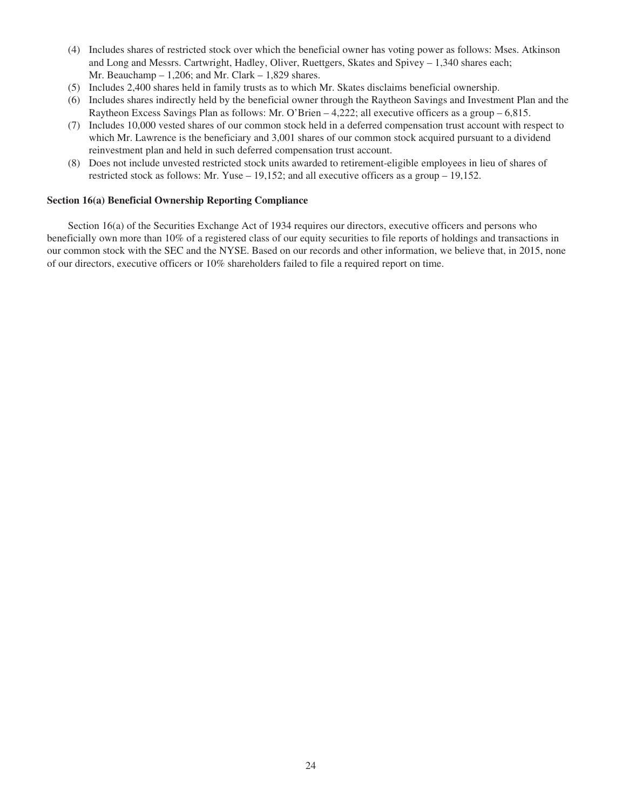- (4) Includes shares of restricted stock over which the beneficial owner has voting power as follows: Mses. Atkinson and Long and Messrs. Cartwright, Hadley, Oliver, Ruettgers, Skates and Spivey – 1,340 shares each; Mr. Beauchamp  $-1,206$ ; and Mr. Clark  $-1,829$  shares.
- (5) Includes 2,400 shares held in family trusts as to which Mr. Skates disclaims beneficial ownership.
- (6) Includes shares indirectly held by the beneficial owner through the Raytheon Savings and Investment Plan and the Raytheon Excess Savings Plan as follows: Mr. O'Brien – 4,222; all executive officers as a group – 6,815.
- (7) Includes 10,000 vested shares of our common stock held in a deferred compensation trust account with respect to which Mr. Lawrence is the beneficiary and 3,001 shares of our common stock acquired pursuant to a dividend reinvestment plan and held in such deferred compensation trust account.
- (8) Does not include unvested restricted stock units awarded to retirement-eligible employees in lieu of shares of restricted stock as follows: Mr. Yuse – 19,152; and all executive officers as a group – 19,152.

#### **Section 16(a) Beneficial Ownership Reporting Compliance**

Section 16(a) of the Securities Exchange Act of 1934 requires our directors, executive officers and persons who beneficially own more than 10% of a registered class of our equity securities to file reports of holdings and transactions in our common stock with the SEC and the NYSE. Based on our records and other information, we believe that, in 2015, none of our directors, executive officers or 10% shareholders failed to file a required report on time.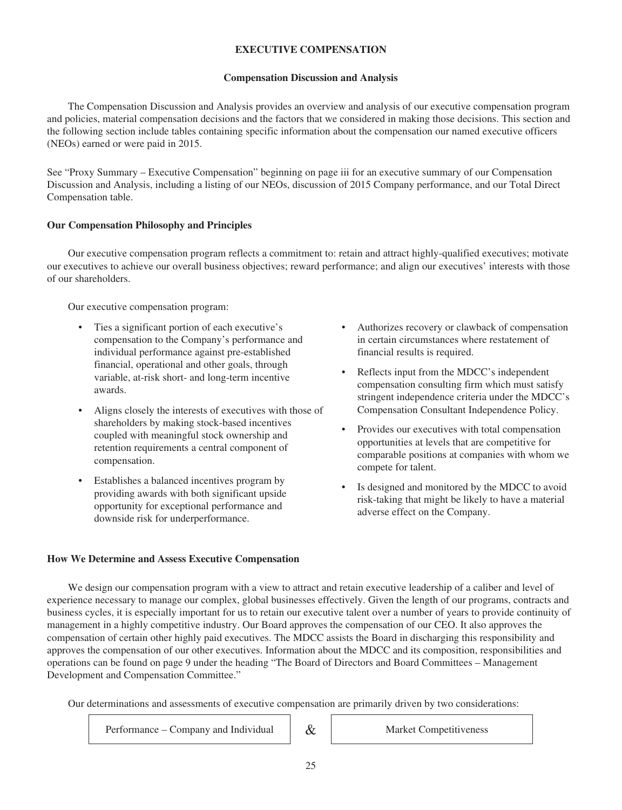## **EXECUTIVE COMPENSATION**

#### **Compensation Discussion and Analysis**

The Compensation Discussion and Analysis provides an overview and analysis of our executive compensation program and policies, material compensation decisions and the factors that we considered in making those decisions. This section and the following section include tables containing specific information about the compensation our named executive officers (NEOs) earned or were paid in 2015.

See "Proxy Summary – Executive Compensation" beginning on page iii for an executive summary of our Compensation Discussion and Analysis, including a listing of our NEOs, discussion of 2015 Company performance, and our Total Direct Compensation table.

## **Our Compensation Philosophy and Principles**

Our executive compensation program reflects a commitment to: retain and attract highly-qualified executives; motivate our executives to achieve our overall business objectives; reward performance; and align our executives' interests with those of our shareholders.

Our executive compensation program:

- Ties a significant portion of each executive's compensation to the Company's performance and individual performance against pre-established financial, operational and other goals, through variable, at-risk short- and long-term incentive awards.
- Aligns closely the interests of executives with those of shareholders by making stock-based incentives coupled with meaningful stock ownership and retention requirements a central component of compensation.
- Establishes a balanced incentives program by providing awards with both significant upside opportunity for exceptional performance and downside risk for underperformance.
- Authorizes recovery or clawback of compensation in certain circumstances where restatement of financial results is required.
- Reflects input from the MDCC's independent compensation consulting firm which must satisfy stringent independence criteria under the MDCC's Compensation Consultant Independence Policy.
- Provides our executives with total compensation opportunities at levels that are competitive for comparable positions at companies with whom we compete for talent.
- Is designed and monitored by the MDCC to avoid risk-taking that might be likely to have a material adverse effect on the Company.

#### **How We Determine and Assess Executive Compensation**

We design our compensation program with a view to attract and retain executive leadership of a caliber and level of experience necessary to manage our complex, global businesses effectively. Given the length of our programs, contracts and business cycles, it is especially important for us to retain our executive talent over a number of years to provide continuity of management in a highly competitive industry. Our Board approves the compensation of our CEO. It also approves the compensation of certain other highly paid executives. The MDCC assists the Board in discharging this responsibility and approves the compensation of our other executives. Information about the MDCC and its composition, responsibilities and operations can be found on page 9 under the heading "The Board of Directors and Board Committees – Management Development and Compensation Committee."

Our determinations and assessments of executive compensation are primarily driven by two considerations:

Performance – Company and Individual & Market Competitiveness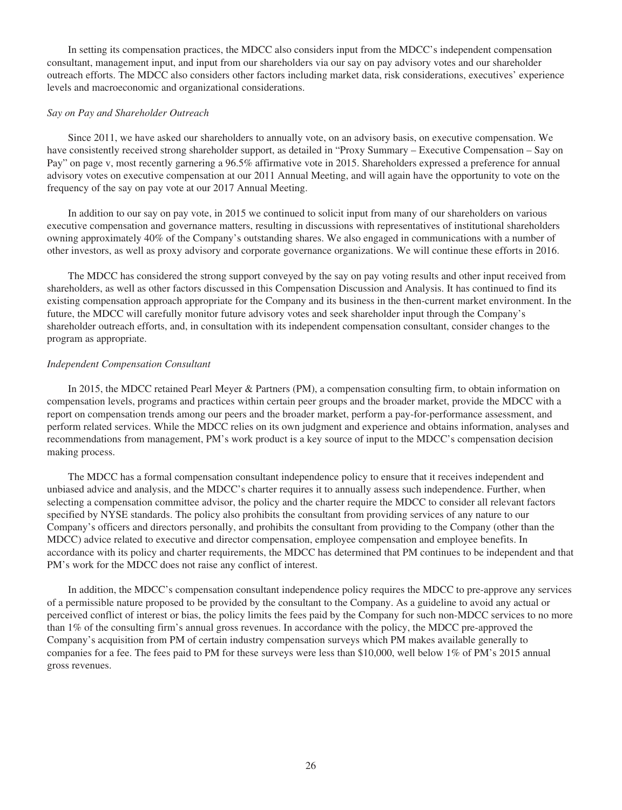In setting its compensation practices, the MDCC also considers input from the MDCC's independent compensation consultant, management input, and input from our shareholders via our say on pay advisory votes and our shareholder outreach efforts. The MDCC also considers other factors including market data, risk considerations, executives' experience levels and macroeconomic and organizational considerations.

#### *Say on Pay and Shareholder Outreach*

Since 2011, we have asked our shareholders to annually vote, on an advisory basis, on executive compensation. We have consistently received strong shareholder support, as detailed in "Proxy Summary – Executive Compensation – Say on Pay" on page v, most recently garnering a 96.5% affirmative vote in 2015. Shareholders expressed a preference for annual advisory votes on executive compensation at our 2011 Annual Meeting, and will again have the opportunity to vote on the frequency of the say on pay vote at our 2017 Annual Meeting.

In addition to our say on pay vote, in 2015 we continued to solicit input from many of our shareholders on various executive compensation and governance matters, resulting in discussions with representatives of institutional shareholders owning approximately 40% of the Company's outstanding shares. We also engaged in communications with a number of other investors, as well as proxy advisory and corporate governance organizations. We will continue these efforts in 2016.

The MDCC has considered the strong support conveyed by the say on pay voting results and other input received from shareholders, as well as other factors discussed in this Compensation Discussion and Analysis. It has continued to find its existing compensation approach appropriate for the Company and its business in the then-current market environment. In the future, the MDCC will carefully monitor future advisory votes and seek shareholder input through the Company's shareholder outreach efforts, and, in consultation with its independent compensation consultant, consider changes to the program as appropriate.

#### *Independent Compensation Consultant*

In 2015, the MDCC retained Pearl Meyer & Partners (PM), a compensation consulting firm, to obtain information on compensation levels, programs and practices within certain peer groups and the broader market, provide the MDCC with a report on compensation trends among our peers and the broader market, perform a pay-for-performance assessment, and perform related services. While the MDCC relies on its own judgment and experience and obtains information, analyses and recommendations from management, PM's work product is a key source of input to the MDCC's compensation decision making process.

The MDCC has a formal compensation consultant independence policy to ensure that it receives independent and unbiased advice and analysis, and the MDCC's charter requires it to annually assess such independence. Further, when selecting a compensation committee advisor, the policy and the charter require the MDCC to consider all relevant factors specified by NYSE standards. The policy also prohibits the consultant from providing services of any nature to our Company's officers and directors personally, and prohibits the consultant from providing to the Company (other than the MDCC) advice related to executive and director compensation, employee compensation and employee benefits. In accordance with its policy and charter requirements, the MDCC has determined that PM continues to be independent and that PM's work for the MDCC does not raise any conflict of interest.

In addition, the MDCC's compensation consultant independence policy requires the MDCC to pre-approve any services of a permissible nature proposed to be provided by the consultant to the Company. As a guideline to avoid any actual or perceived conflict of interest or bias, the policy limits the fees paid by the Company for such non-MDCC services to no more than 1% of the consulting firm's annual gross revenues. In accordance with the policy, the MDCC pre-approved the Company's acquisition from PM of certain industry compensation surveys which PM makes available generally to companies for a fee. The fees paid to PM for these surveys were less than \$10,000, well below 1% of PM's 2015 annual gross revenues.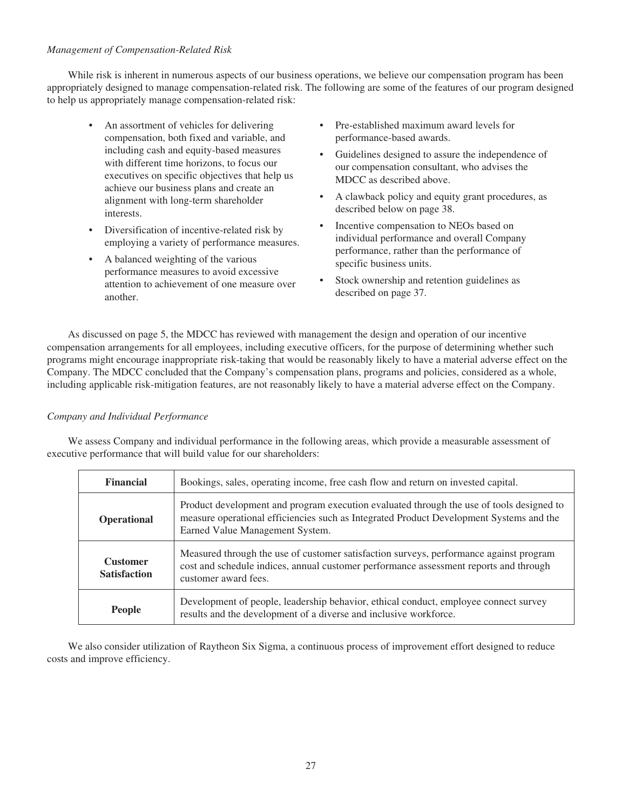## *Management of Compensation-Related Risk*

While risk is inherent in numerous aspects of our business operations, we believe our compensation program has been appropriately designed to manage compensation-related risk. The following are some of the features of our program designed to help us appropriately manage compensation-related risk:

- An assortment of vehicles for delivering compensation, both fixed and variable, and including cash and equity-based measures with different time horizons, to focus our executives on specific objectives that help us achieve our business plans and create an alignment with long-term shareholder interests.
- Diversification of incentive-related risk by employing a variety of performance measures.
- A balanced weighting of the various performance measures to avoid excessive attention to achievement of one measure over another.
- Pre-established maximum award levels for performance-based awards.
- Guidelines designed to assure the independence of our compensation consultant, who advises the MDCC as described above.
- A clawback policy and equity grant procedures, as described below on page 38.
- Incentive compensation to NEOs based on individual performance and overall Company performance, rather than the performance of specific business units.
- Stock ownership and retention guidelines as described on page 37.

As discussed on page 5, the MDCC has reviewed with management the design and operation of our incentive compensation arrangements for all employees, including executive officers, for the purpose of determining whether such programs might encourage inappropriate risk-taking that would be reasonably likely to have a material adverse effect on the Company. The MDCC concluded that the Company's compensation plans, programs and policies, considered as a whole, including applicable risk-mitigation features, are not reasonably likely to have a material adverse effect on the Company.

#### *Company and Individual Performance*

We assess Company and individual performance in the following areas, which provide a measurable assessment of executive performance that will build value for our shareholders:

| <b>Financial</b>                       | Bookings, sales, operating income, free cash flow and return on invested capital.                                                                                                                                      |
|----------------------------------------|------------------------------------------------------------------------------------------------------------------------------------------------------------------------------------------------------------------------|
| <b>Operational</b>                     | Product development and program execution evaluated through the use of tools designed to<br>measure operational efficiencies such as Integrated Product Development Systems and the<br>Earned Value Management System. |
| <b>Customer</b><br><b>Satisfaction</b> | Measured through the use of customer satisfaction surveys, performance against program<br>cost and schedule indices, annual customer performance assessment reports and through<br>customer award fees.                |
| <b>People</b>                          | Development of people, leadership behavior, ethical conduct, employee connect survey<br>results and the development of a diverse and inclusive workforce.                                                              |

We also consider utilization of Raytheon Six Sigma, a continuous process of improvement effort designed to reduce costs and improve efficiency.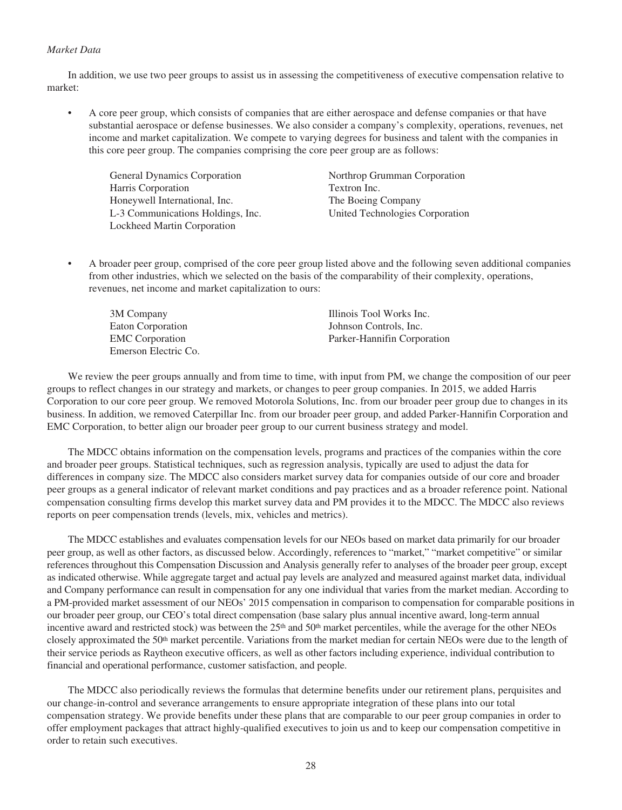#### *Market Data*

In addition, we use two peer groups to assist us in assessing the competitiveness of executive compensation relative to market:

• A core peer group, which consists of companies that are either aerospace and defense companies or that have substantial aerospace or defense businesses. We also consider a company's complexity, operations, revenues, net income and market capitalization. We compete to varying degrees for business and talent with the companies in this core peer group. The companies comprising the core peer group are as follows:

General Dynamics Corporation Harris Corporation Honeywell International, Inc. L-3 Communications Holdings, Inc. Lockheed Martin Corporation

Northrop Grumman Corporation Textron Inc. The Boeing Company United Technologies Corporation

• A broader peer group, comprised of the core peer group listed above and the following seven additional companies from other industries, which we selected on the basis of the comparability of their complexity, operations, revenues, net income and market capitalization to ours:

| 3M Company             | Illinois Tool Works Inc.    |
|------------------------|-----------------------------|
| Eaton Corporation      | Johnson Controls, Inc.      |
| <b>EMC</b> Corporation | Parker-Hannifin Corporation |
| Emerson Electric Co.   |                             |

We review the peer groups annually and from time to time, with input from PM, we change the composition of our peer groups to reflect changes in our strategy and markets, or changes to peer group companies. In 2015, we added Harris Corporation to our core peer group. We removed Motorola Solutions, Inc. from our broader peer group due to changes in its business. In addition, we removed Caterpillar Inc. from our broader peer group, and added Parker-Hannifin Corporation and EMC Corporation, to better align our broader peer group to our current business strategy and model.

The MDCC obtains information on the compensation levels, programs and practices of the companies within the core and broader peer groups. Statistical techniques, such as regression analysis, typically are used to adjust the data for differences in company size. The MDCC also considers market survey data for companies outside of our core and broader peer groups as a general indicator of relevant market conditions and pay practices and as a broader reference point. National compensation consulting firms develop this market survey data and PM provides it to the MDCC. The MDCC also reviews reports on peer compensation trends (levels, mix, vehicles and metrics).

The MDCC establishes and evaluates compensation levels for our NEOs based on market data primarily for our broader peer group, as well as other factors, as discussed below. Accordingly, references to "market," "market competitive" or similar references throughout this Compensation Discussion and Analysis generally refer to analyses of the broader peer group, except as indicated otherwise. While aggregate target and actual pay levels are analyzed and measured against market data, individual and Company performance can result in compensation for any one individual that varies from the market median. According to a PM-provided market assessment of our NEOs' 2015 compensation in comparison to compensation for comparable positions in our broader peer group, our CEO's total direct compensation (base salary plus annual incentive award, long-term annual incentive award and restricted stock) was between the  $25<sup>th</sup>$  and  $50<sup>th</sup>$  market percentiles, while the average for the other NEOs closely approximated the  $50<sup>th</sup>$  market percentile. Variations from the market median for certain NEOs were due to the length of their service periods as Raytheon executive officers, as well as other factors including experience, individual contribution to financial and operational performance, customer satisfaction, and people.

The MDCC also periodically reviews the formulas that determine benefits under our retirement plans, perquisites and our change-in-control and severance arrangements to ensure appropriate integration of these plans into our total compensation strategy. We provide benefits under these plans that are comparable to our peer group companies in order to offer employment packages that attract highly-qualified executives to join us and to keep our compensation competitive in order to retain such executives.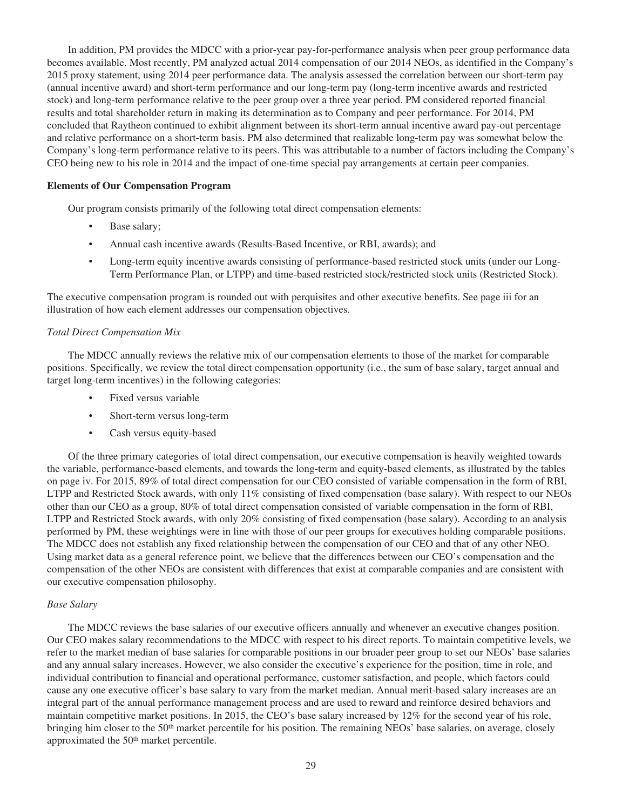In addition, PM provides the MDCC with a prior-year pay-for-performance analysis when peer group performance data becomes available. Most recently, PM analyzed actual 2014 compensation of our 2014 NEOs, as identified in the Company's 2015 proxy statement, using 2014 peer performance data. The analysis assessed the correlation between our short-term pay (annual incentive award) and short-term performance and our long-term pay (long-term incentive awards and restricted stock) and long-term performance relative to the peer group over a three year period. PM considered reported financial results and total shareholder return in making its determination as to Company and peer performance. For 2014, PM concluded that Raytheon continued to exhibit alignment between its short-term annual incentive award pay-out percentage and relative performance on a short-term basis. PM also determined that realizable long-term pay was somewhat below the Company's long-term performance relative to its peers. This was attributable to a number of factors including the Company's CEO being new to his role in 2014 and the impact of one-time special pay arrangements at certain peer companies.

#### **Elements of Our Compensation Program**

Our program consists primarily of the following total direct compensation elements:

- Base salary;
- Annual cash incentive awards (Results-Based Incentive, or RBI, awards); and
- Long-term equity incentive awards consisting of performance-based restricted stock units (under our Long-Term Performance Plan, or LTPP) and time-based restricted stock/restricted stock units (Restricted Stock).

The executive compensation program is rounded out with perquisites and other executive benefits. See page iii for an illustration of how each element addresses our compensation objectives.

#### *Total Direct Compensation Mix*

The MDCC annually reviews the relative mix of our compensation elements to those of the market for comparable positions. Specifically, we review the total direct compensation opportunity (i.e., the sum of base salary, target annual and target long-term incentives) in the following categories:

- Fixed versus variable
- Short-term versus long-term
- Cash versus equity-based

Of the three primary categories of total direct compensation, our executive compensation is heavily weighted towards the variable, performance-based elements, and towards the long-term and equity-based elements, as illustrated by the tables on page iv. For 2015, 89% of total direct compensation for our CEO consisted of variable compensation in the form of RBI, LTPP and Restricted Stock awards, with only 11% consisting of fixed compensation (base salary). With respect to our NEOs other than our CEO as a group, 80% of total direct compensation consisted of variable compensation in the form of RBI, LTPP and Restricted Stock awards, with only 20% consisting of fixed compensation (base salary). According to an analysis performed by PM, these weightings were in line with those of our peer groups for executives holding comparable positions. The MDCC does not establish any fixed relationship between the compensation of our CEO and that of any other NEO. Using market data as a general reference point, we believe that the differences between our CEO's compensation and the compensation of the other NEOs are consistent with differences that exist at comparable companies and are consistent with our executive compensation philosophy.

### *Base Salary*

The MDCC reviews the base salaries of our executive officers annually and whenever an executive changes position. Our CEO makes salary recommendations to the MDCC with respect to his direct reports. To maintain competitive levels, we refer to the market median of base salaries for comparable positions in our broader peer group to set our NEOs' base salaries and any annual salary increases. However, we also consider the executive's experience for the position, time in role, and individual contribution to financial and operational performance, customer satisfaction, and people, which factors could cause any one executive officer's base salary to vary from the market median. Annual merit-based salary increases are an integral part of the annual performance management process and are used to reward and reinforce desired behaviors and maintain competitive market positions. In 2015, the CEO's base salary increased by 12% for the second year of his role, bringing him closer to the 50<sup>th</sup> market percentile for his position. The remaining NEOs' base salaries, on average, closely approximated the 50<sup>th</sup> market percentile.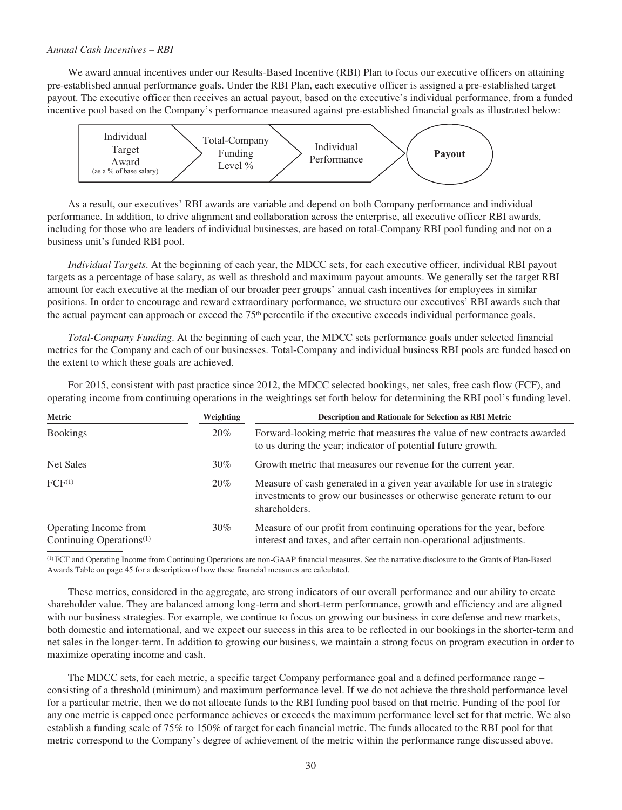## *Annual Cash Incentives – RBI*

We award annual incentives under our Results-Based Incentive (RBI) Plan to focus our executive officers on attaining pre-established annual performance goals. Under the RBI Plan, each executive officer is assigned a pre-established target payout. The executive officer then receives an actual payout, based on the executive's individual performance, from a funded incentive pool based on the Company's performance measured against pre-established financial goals as illustrated below:



As a result, our executives' RBI awards are variable and depend on both Company performance and individual performance. In addition, to drive alignment and collaboration across the enterprise, all executive officer RBI awards, including for those who are leaders of individual businesses, are based on total-Company RBI pool funding and not on a business unit's funded RBI pool.

*Individual Targets*. At the beginning of each year, the MDCC sets, for each executive officer, individual RBI payout targets as a percentage of base salary, as well as threshold and maximum payout amounts. We generally set the target RBI amount for each executive at the median of our broader peer groups' annual cash incentives for employees in similar positions. In order to encourage and reward extraordinary performance, we structure our executives' RBI awards such that the actual payment can approach or exceed the 75th percentile if the executive exceeds individual performance goals.

*Total-Company Funding*. At the beginning of each year, the MDCC sets performance goals under selected financial metrics for the Company and each of our businesses. Total-Company and individual business RBI pools are funded based on the extent to which these goals are achieved.

For 2015, consistent with past practice since 2012, the MDCC selected bookings, net sales, free cash flow (FCF), and operating income from continuing operations in the weightings set forth below for determining the RBI pool's funding level.

| Metric                                                        | Weighting | <b>Description and Rationale for Selection as RBI Metric</b>                                                                                                        |
|---------------------------------------------------------------|-----------|---------------------------------------------------------------------------------------------------------------------------------------------------------------------|
| <b>Bookings</b>                                               | 20%       | Forward-looking metric that measures the value of new contracts awarded<br>to us during the year; indicator of potential future growth.                             |
| Net Sales                                                     | $30\%$    | Growth metric that measures our revenue for the current year.                                                                                                       |
| FCF <sup>(1)</sup>                                            | 20%       | Measure of cash generated in a given year available for use in strategic<br>investments to grow our businesses or otherwise generate return to our<br>shareholders. |
| Operating Income from<br>Continuing Operations <sup>(1)</sup> | $30\%$    | Measure of our profit from continuing operations for the year, before<br>interest and taxes, and after certain non-operational adjustments.                         |

(1) FCF and Operating Income from Continuing Operations are non-GAAP financial measures. See the narrative disclosure to the Grants of Plan-Based Awards Table on page 45 for a description of how these financial measures are calculated.

These metrics, considered in the aggregate, are strong indicators of our overall performance and our ability to create shareholder value. They are balanced among long-term and short-term performance, growth and efficiency and are aligned with our business strategies. For example, we continue to focus on growing our business in core defense and new markets, both domestic and international, and we expect our success in this area to be reflected in our bookings in the shorter-term and net sales in the longer-term. In addition to growing our business, we maintain a strong focus on program execution in order to maximize operating income and cash.

The MDCC sets, for each metric, a specific target Company performance goal and a defined performance range – consisting of a threshold (minimum) and maximum performance level. If we do not achieve the threshold performance level for a particular metric, then we do not allocate funds to the RBI funding pool based on that metric. Funding of the pool for any one metric is capped once performance achieves or exceeds the maximum performance level set for that metric. We also establish a funding scale of 75% to 150% of target for each financial metric. The funds allocated to the RBI pool for that metric correspond to the Company's degree of achievement of the metric within the performance range discussed above.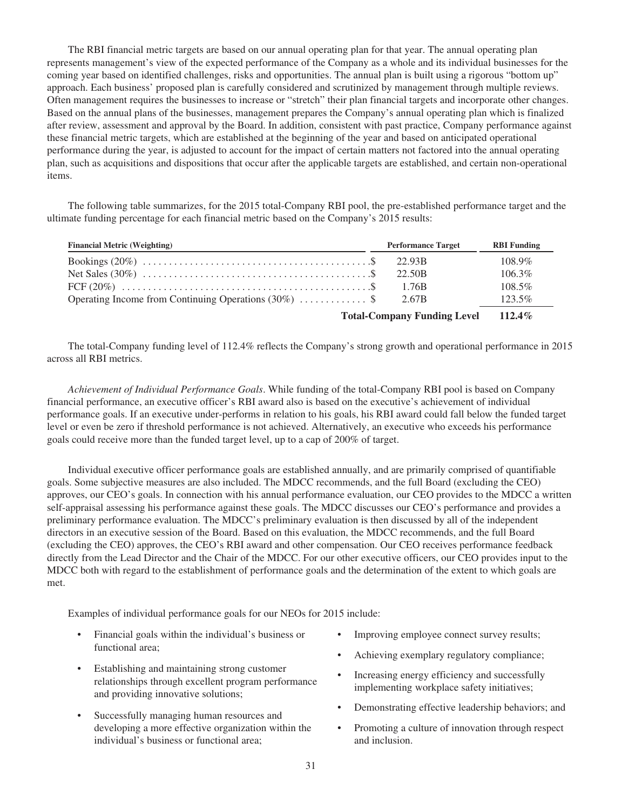The RBI financial metric targets are based on our annual operating plan for that year. The annual operating plan represents management's view of the expected performance of the Company as a whole and its individual businesses for the coming year based on identified challenges, risks and opportunities. The annual plan is built using a rigorous "bottom up" approach. Each business' proposed plan is carefully considered and scrutinized by management through multiple reviews. Often management requires the businesses to increase or "stretch" their plan financial targets and incorporate other changes. Based on the annual plans of the businesses, management prepares the Company's annual operating plan which is finalized after review, assessment and approval by the Board. In addition, consistent with past practice, Company performance against these financial metric targets, which are established at the beginning of the year and based on anticipated operational performance during the year, is adjusted to account for the impact of certain matters not factored into the annual operating plan, such as acquisitions and dispositions that occur after the applicable targets are established, and certain non-operational items.

The following table summarizes, for the 2015 total-Company RBI pool, the pre-established performance target and the ultimate funding percentage for each financial metric based on the Company's 2015 results:

| <b>Financial Metric (Weighting)</b>                     | <b>Performance Target</b> | <b>RBI</b> Funding |
|---------------------------------------------------------|---------------------------|--------------------|
|                                                         | 22.93B                    | $108.9\%$          |
|                                                         | 22.50B                    | $106.3\%$          |
|                                                         | 1.76B                     | $108.5\%$          |
| Operating Income from Continuing Operations $(30\%)$ \$ | 2.67B                     | $123.5\%$          |
| <b>Total-Company Funding Level</b>                      | $112.4\%$                 |                    |

The total-Company funding level of 112.4% reflects the Company's strong growth and operational performance in 2015 across all RBI metrics.

*Achievement of Individual Performance Goals*. While funding of the total-Company RBI pool is based on Company financial performance, an executive officer's RBI award also is based on the executive's achievement of individual performance goals. If an executive under-performs in relation to his goals, his RBI award could fall below the funded target level or even be zero if threshold performance is not achieved. Alternatively, an executive who exceeds his performance goals could receive more than the funded target level, up to a cap of 200% of target.

Individual executive officer performance goals are established annually, and are primarily comprised of quantifiable goals. Some subjective measures are also included. The MDCC recommends, and the full Board (excluding the CEO) approves, our CEO's goals. In connection with his annual performance evaluation, our CEO provides to the MDCC a written self-appraisal assessing his performance against these goals. The MDCC discusses our CEO's performance and provides a preliminary performance evaluation. The MDCC's preliminary evaluation is then discussed by all of the independent directors in an executive session of the Board. Based on this evaluation, the MDCC recommends, and the full Board (excluding the CEO) approves, the CEO's RBI award and other compensation. Our CEO receives performance feedback directly from the Lead Director and the Chair of the MDCC. For our other executive officers, our CEO provides input to the MDCC both with regard to the establishment of performance goals and the determination of the extent to which goals are met.

Examples of individual performance goals for our NEOs for 2015 include:

- Financial goals within the individual's business or functional area;
- Establishing and maintaining strong customer relationships through excellent program performance and providing innovative solutions;
- Successfully managing human resources and developing a more effective organization within the individual's business or functional area;
- Improving employee connect survey results;
- Achieving exemplary regulatory compliance;
- Increasing energy efficiency and successfully implementing workplace safety initiatives;
- Demonstrating effective leadership behaviors; and
- Promoting a culture of innovation through respect and inclusion.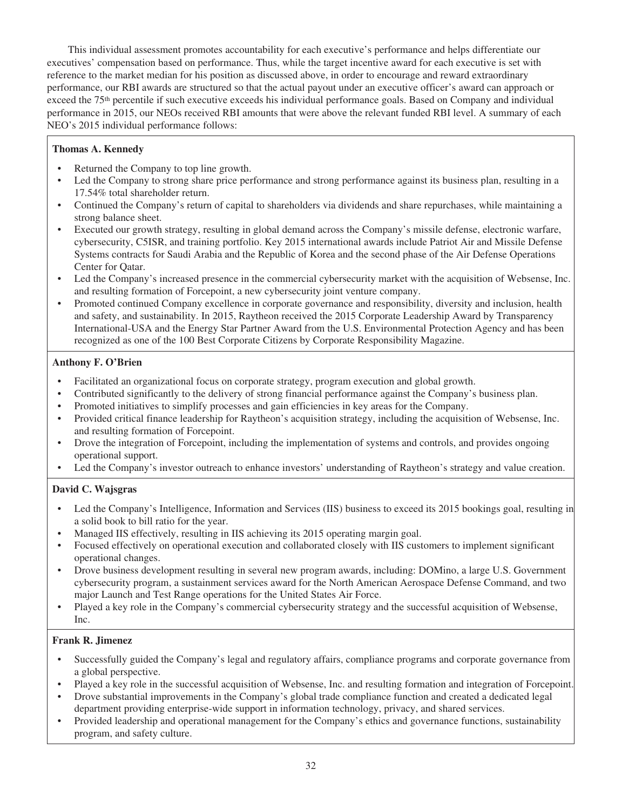This individual assessment promotes accountability for each executive's performance and helps differentiate our executives' compensation based on performance. Thus, while the target incentive award for each executive is set with reference to the market median for his position as discussed above, in order to encourage and reward extraordinary performance, our RBI awards are structured so that the actual payout under an executive officer's award can approach or exceed the 75<sup>th</sup> percentile if such executive exceeds his individual performance goals. Based on Company and individual performance in 2015, our NEOs received RBI amounts that were above the relevant funded RBI level. A summary of each NEO's 2015 individual performance follows:

# **Thomas A. Kennedy**

- Returned the Company to top line growth.
- Led the Company to strong share price performance and strong performance against its business plan, resulting in a 17.54% total shareholder return.
- Continued the Company's return of capital to shareholders via dividends and share repurchases, while maintaining a strong balance sheet.
- Executed our growth strategy, resulting in global demand across the Company's missile defense, electronic warfare, cybersecurity, C5ISR, and training portfolio. Key 2015 international awards include Patriot Air and Missile Defense Systems contracts for Saudi Arabia and the Republic of Korea and the second phase of the Air Defense Operations Center for Qatar.
- Led the Company's increased presence in the commercial cybersecurity market with the acquisition of Websense, Inc. and resulting formation of Forcepoint, a new cybersecurity joint venture company.
- Promoted continued Company excellence in corporate governance and responsibility, diversity and inclusion, health and safety, and sustainability. In 2015, Raytheon received the 2015 Corporate Leadership Award by Transparency International-USA and the Energy Star Partner Award from the U.S. Environmental Protection Agency and has been recognized as one of the 100 Best Corporate Citizens by Corporate Responsibility Magazine.

# **Anthony F. O'Brien**

- Facilitated an organizational focus on corporate strategy, program execution and global growth.
- Contributed significantly to the delivery of strong financial performance against the Company's business plan.
- Promoted initiatives to simplify processes and gain efficiencies in key areas for the Company.
- Provided critical finance leadership for Raytheon's acquisition strategy, including the acquisition of Websense, Inc. and resulting formation of Forcepoint.
- Drove the integration of Forcepoint, including the implementation of systems and controls, and provides ongoing operational support.
- Led the Company's investor outreach to enhance investors' understanding of Raytheon's strategy and value creation.

# **David C. Wajsgras**

- Led the Company's Intelligence, Information and Services (IIS) business to exceed its 2015 bookings goal, resulting in a solid book to bill ratio for the year.
- Managed IIS effectively, resulting in IIS achieving its 2015 operating margin goal.
- Focused effectively on operational execution and collaborated closely with IIS customers to implement significant operational changes.
- Drove business development resulting in several new program awards, including: DOMino, a large U.S. Government cybersecurity program, a sustainment services award for the North American Aerospace Defense Command, and two major Launch and Test Range operations for the United States Air Force.
- Played a key role in the Company's commercial cybersecurity strategy and the successful acquisition of Websense, Inc.

# **Frank R. Jimenez**

- Successfully guided the Company's legal and regulatory affairs, compliance programs and corporate governance from a global perspective.
- Played a key role in the successful acquisition of Websense, Inc. and resulting formation and integration of Forcepoint.
- Drove substantial improvements in the Company's global trade compliance function and created a dedicated legal department providing enterprise-wide support in information technology, privacy, and shared services.
- Provided leadership and operational management for the Company's ethics and governance functions, sustainability program, and safety culture.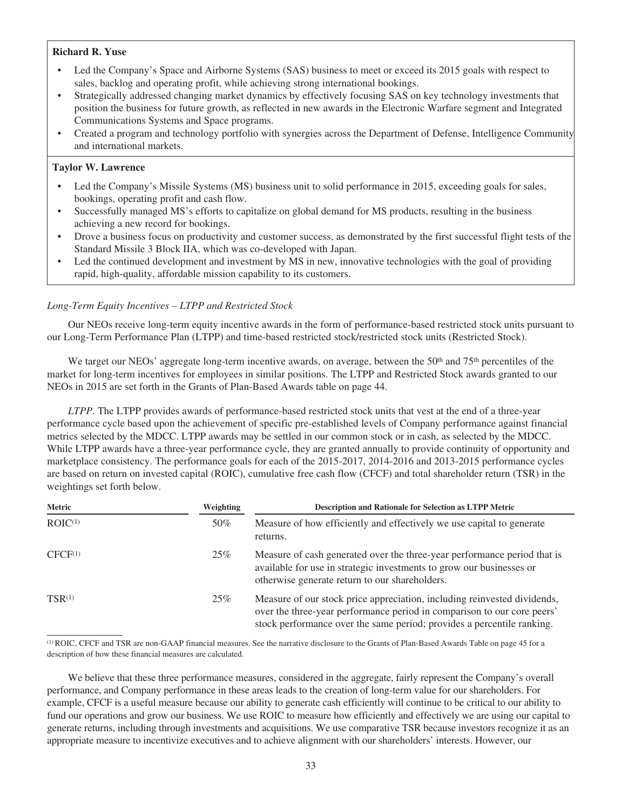# **Richard R. Yuse**

- Led the Company's Space and Airborne Systems (SAS) business to meet or exceed its 2015 goals with respect to sales, backlog and operating profit, while achieving strong international bookings.
- Strategically addressed changing market dynamics by effectively focusing SAS on key technology investments that position the business for future growth, as reflected in new awards in the Electronic Warfare segment and Integrated Communications Systems and Space programs.
- Created a program and technology portfolio with synergies across the Department of Defense, Intelligence Community and international markets.

# **Taylor W. Lawrence**

- Led the Company's Missile Systems (MS) business unit to solid performance in 2015, exceeding goals for sales, bookings, operating profit and cash flow.
- Successfully managed MS's efforts to capitalize on global demand for MS products, resulting in the business achieving a new record for bookings.
- Drove a business focus on productivity and customer success, as demonstrated by the first successful flight tests of the Standard Missile 3 Block IIA, which was co-developed with Japan.
- Led the continued development and investment by MS in new, innovative technologies with the goal of providing rapid, high-quality, affordable mission capability to its customers.

# *Long-Term Equity Incentives – LTPP and Restricted Stock*

Our NEOs receive long-term equity incentive awards in the form of performance-based restricted stock units pursuant to our Long-Term Performance Plan (LTPP) and time-based restricted stock/restricted stock units (Restricted Stock).

We target our NEOs' aggregate long-term incentive awards, on average, between the 50<sup>th</sup> and 75<sup>th</sup> percentiles of the market for long-term incentives for employees in similar positions. The LTPP and Restricted Stock awards granted to our NEOs in 2015 are set forth in the Grants of Plan-Based Awards table on page 44.

*LTPP*. The LTPP provides awards of performance-based restricted stock units that vest at the end of a three-year performance cycle based upon the achievement of specific pre-established levels of Company performance against financial metrics selected by the MDCC. LTPP awards may be settled in our common stock or in cash, as selected by the MDCC. While LTPP awards have a three-year performance cycle, they are granted annually to provide continuity of opportunity and marketplace consistency. The performance goals for each of the 2015-2017, 2014-2016 and 2013-2015 performance cycles are based on return on invested capital (ROIC), cumulative free cash flow (CFCF) and total shareholder return (TSR) in the weightings set forth below.

| Metric              | Weighting | <b>Description and Rationale for Selection as LTPP Metric</b>                                                                                                                                                                 |  |  |  |  |  |  |
|---------------------|-----------|-------------------------------------------------------------------------------------------------------------------------------------------------------------------------------------------------------------------------------|--|--|--|--|--|--|
| ROIC <sup>(1)</sup> | 50%       | Measure of how efficiently and effectively we use capital to generate<br>returns.                                                                                                                                             |  |  |  |  |  |  |
| $CFCF^{(1)}$        | 25%       | Measure of cash generated over the three-year performance period that is<br>available for use in strategic investments to grow our businesses or<br>otherwise generate return to our shareholders.                            |  |  |  |  |  |  |
| $TSR^{(1)}$         | 25%       | Measure of our stock price appreciation, including reinvested dividends,<br>over the three-year performance period in comparison to our core peers'<br>stock performance over the same period; provides a percentile ranking. |  |  |  |  |  |  |

(1) ROIC, CFCF and TSR are non-GAAP financial measures. See the narrative disclosure to the Grants of Plan-Based Awards Table on page 45 for a description of how these financial measures are calculated.

We believe that these three performance measures, considered in the aggregate, fairly represent the Company's overall performance, and Company performance in these areas leads to the creation of long-term value for our shareholders. For example, CFCF is a useful measure because our ability to generate cash efficiently will continue to be critical to our ability to fund our operations and grow our business. We use ROIC to measure how efficiently and effectively we are using our capital to generate returns, including through investments and acquisitions. We use comparative TSR because investors recognize it as an appropriate measure to incentivize executives and to achieve alignment with our shareholders' interests. However, our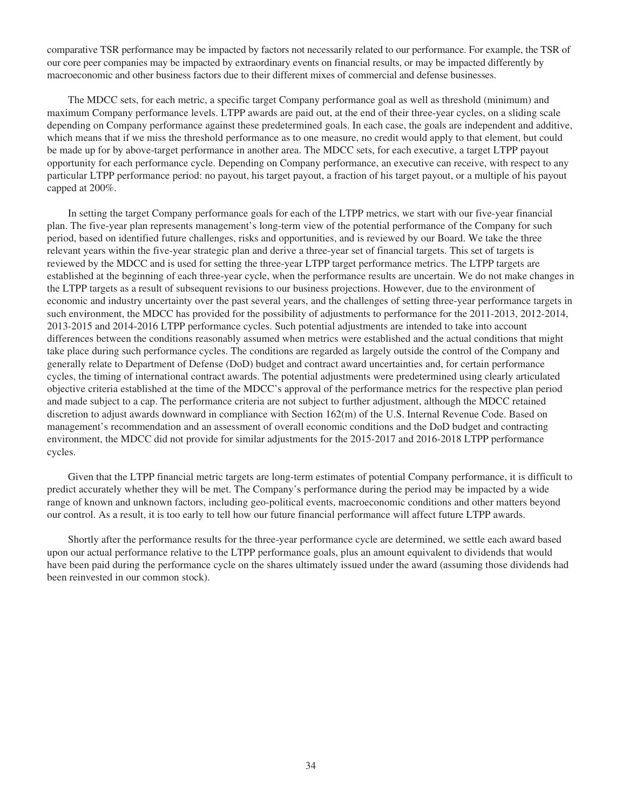comparative TSR performance may be impacted by factors not necessarily related to our performance. For example, the TSR of our core peer companies may be impacted by extraordinary events on financial results, or may be impacted differently by macroeconomic and other business factors due to their different mixes of commercial and defense businesses.

The MDCC sets, for each metric, a specific target Company performance goal as well as threshold (minimum) and maximum Company performance levels. LTPP awards are paid out, at the end of their three-year cycles, on a sliding scale depending on Company performance against these predetermined goals. In each case, the goals are independent and additive, which means that if we miss the threshold performance as to one measure, no credit would apply to that element, but could be made up for by above-target performance in another area. The MDCC sets, for each executive, a target LTPP payout opportunity for each performance cycle. Depending on Company performance, an executive can receive, with respect to any particular LTPP performance period: no payout, his target payout, a fraction of his target payout, or a multiple of his payout capped at 200%.

In setting the target Company performance goals for each of the LTPP metrics, we start with our five-year financial plan. The five-year plan represents management's long-term view of the potential performance of the Company for such period, based on identified future challenges, risks and opportunities, and is reviewed by our Board. We take the three relevant years within the five-year strategic plan and derive a three-year set of financial targets. This set of targets is reviewed by the MDCC and is used for setting the three-year LTPP target performance metrics. The LTPP targets are established at the beginning of each three-year cycle, when the performance results are uncertain. We do not make changes in the LTPP targets as a result of subsequent revisions to our business projections. However, due to the environment of economic and industry uncertainty over the past several years, and the challenges of setting three-year performance targets in such environment, the MDCC has provided for the possibility of adjustments to performance for the 2011-2013, 2012-2014, 2013-2015 and 2014-2016 LTPP performance cycles. Such potential adjustments are intended to take into account differences between the conditions reasonably assumed when metrics were established and the actual conditions that might take place during such performance cycles. The conditions are regarded as largely outside the control of the Company and generally relate to Department of Defense (DoD) budget and contract award uncertainties and, for certain performance cycles, the timing of international contract awards. The potential adjustments were predetermined using clearly articulated objective criteria established at the time of the MDCC's approval of the performance metrics for the respective plan period and made subject to a cap. The performance criteria are not subject to further adjustment, although the MDCC retained discretion to adjust awards downward in compliance with Section 162(m) of the U.S. Internal Revenue Code. Based on management's recommendation and an assessment of overall economic conditions and the DoD budget and contracting environment, the MDCC did not provide for similar adjustments for the 2015-2017 and 2016-2018 LTPP performance cycles.

Given that the LTPP financial metric targets are long-term estimates of potential Company performance, it is difficult to predict accurately whether they will be met. The Company's performance during the period may be impacted by a wide range of known and unknown factors, including geo-political events, macroeconomic conditions and other matters beyond our control. As a result, it is too early to tell how our future financial performance will affect future LTPP awards.

Shortly after the performance results for the three-year performance cycle are determined, we settle each award based upon our actual performance relative to the LTPP performance goals, plus an amount equivalent to dividends that would have been paid during the performance cycle on the shares ultimately issued under the award (assuming those dividends had been reinvested in our common stock).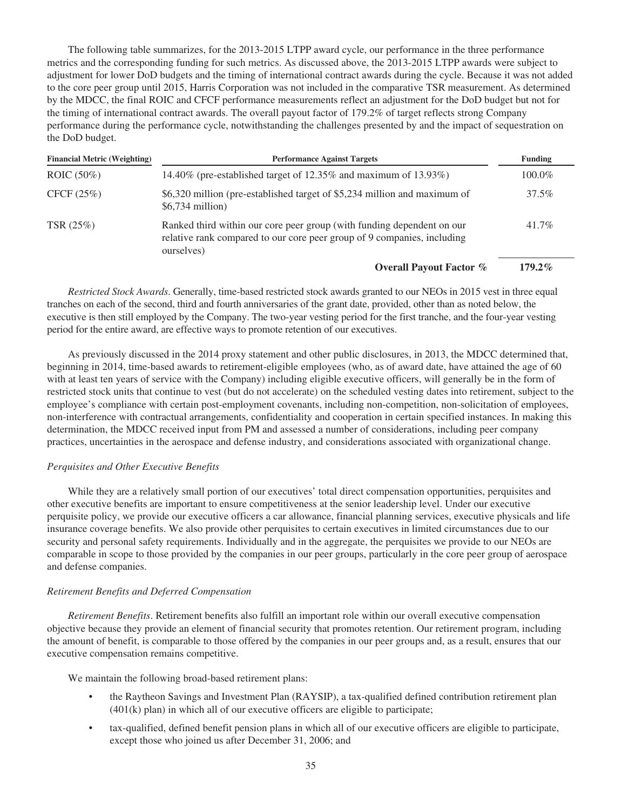The following table summarizes, for the 2013-2015 LTPP award cycle, our performance in the three performance metrics and the corresponding funding for such metrics. As discussed above, the 2013-2015 LTPP awards were subject to adjustment for lower DoD budgets and the timing of international contract awards during the cycle. Because it was not added to the core peer group until 2015, Harris Corporation was not included in the comparative TSR measurement. As determined by the MDCC, the final ROIC and CFCF performance measurements reflect an adjustment for the DoD budget but not for the timing of international contract awards. The overall payout factor of 179.2% of target reflects strong Company performance during the performance cycle, notwithstanding the challenges presented by and the impact of sequestration on the DoD budget.

| <b>Financial Metric (Weighting)</b> | <b>Performance Against Targets</b>                                                                                                                              |           |  |  |  |  |  |
|-------------------------------------|-----------------------------------------------------------------------------------------------------------------------------------------------------------------|-----------|--|--|--|--|--|
| ROIC $(50\%)$                       | 14.40% (pre-established target of $12.35\%$ and maximum of $13.93\%$ )                                                                                          | 100.0%    |  |  |  |  |  |
| CFCF $(25%)$                        | \$6,320 million (pre-established target of \$5,234 million and maximum of<br>$$6,734$ million)                                                                  | 37.5%     |  |  |  |  |  |
| TSR (25%)                           | Ranked third within our core peer group (with funding dependent on our<br>relative rank compared to our core peer group of 9 companies, including<br>ourselves) | 41.7%     |  |  |  |  |  |
|                                     | <b>Overall Payout Factor %</b>                                                                                                                                  | $179.2\%$ |  |  |  |  |  |

*Restricted Stock Awards*. Generally, time-based restricted stock awards granted to our NEOs in 2015 vest in three equal tranches on each of the second, third and fourth anniversaries of the grant date, provided, other than as noted below, the executive is then still employed by the Company. The two-year vesting period for the first tranche, and the four-year vesting period for the entire award, are effective ways to promote retention of our executives.

As previously discussed in the 2014 proxy statement and other public disclosures, in 2013, the MDCC determined that, beginning in 2014, time-based awards to retirement-eligible employees (who, as of award date, have attained the age of 60 with at least ten years of service with the Company) including eligible executive officers, will generally be in the form of restricted stock units that continue to vest (but do not accelerate) on the scheduled vesting dates into retirement, subject to the employee's compliance with certain post-employment covenants, including non-competition, non-solicitation of employees, non-interference with contractual arrangements, confidentiality and cooperation in certain specified instances. In making this determination, the MDCC received input from PM and assessed a number of considerations, including peer company practices, uncertainties in the aerospace and defense industry, and considerations associated with organizational change.

# *Perquisites and Other Executive Benefits*

While they are a relatively small portion of our executives' total direct compensation opportunities, perquisites and other executive benefits are important to ensure competitiveness at the senior leadership level. Under our executive perquisite policy, we provide our executive officers a car allowance, financial planning services, executive physicals and life insurance coverage benefits. We also provide other perquisites to certain executives in limited circumstances due to our security and personal safety requirements. Individually and in the aggregate, the perquisites we provide to our NEOs are comparable in scope to those provided by the companies in our peer groups, particularly in the core peer group of aerospace and defense companies.

### *Retirement Benefits and Deferred Compensation*

*Retirement Benefits*. Retirement benefits also fulfill an important role within our overall executive compensation objective because they provide an element of financial security that promotes retention. Our retirement program, including the amount of benefit, is comparable to those offered by the companies in our peer groups and, as a result, ensures that our executive compensation remains competitive.

We maintain the following broad-based retirement plans:

- the Raytheon Savings and Investment Plan (RAYSIP), a tax-qualified defined contribution retirement plan (401(k) plan) in which all of our executive officers are eligible to participate;
- tax-qualified, defined benefit pension plans in which all of our executive officers are eligible to participate, except those who joined us after December 31, 2006; and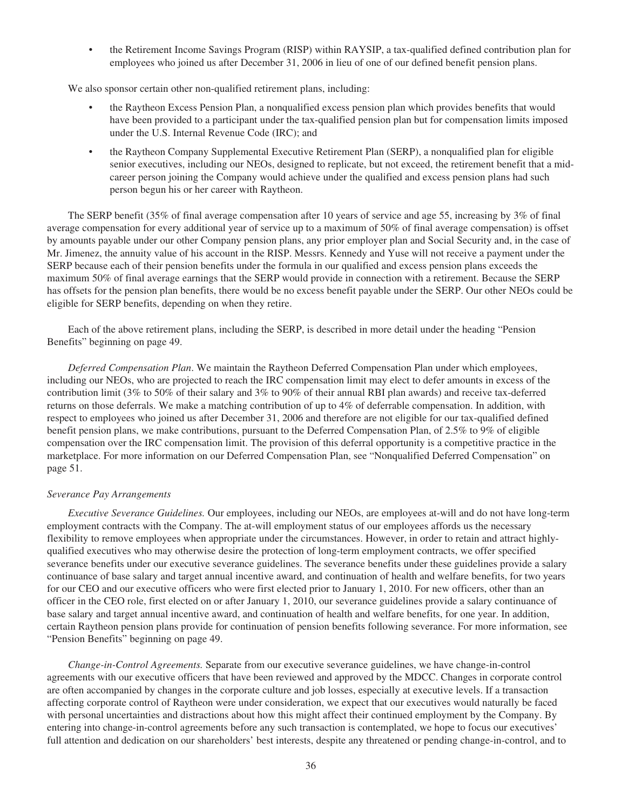• the Retirement Income Savings Program (RISP) within RAYSIP, a tax-qualified defined contribution plan for employees who joined us after December 31, 2006 in lieu of one of our defined benefit pension plans.

We also sponsor certain other non-qualified retirement plans, including:

- the Raytheon Excess Pension Plan, a nonqualified excess pension plan which provides benefits that would have been provided to a participant under the tax-qualified pension plan but for compensation limits imposed under the U.S. Internal Revenue Code (IRC); and
- the Raytheon Company Supplemental Executive Retirement Plan (SERP), a nonqualified plan for eligible senior executives, including our NEOs, designed to replicate, but not exceed, the retirement benefit that a midcareer person joining the Company would achieve under the qualified and excess pension plans had such person begun his or her career with Raytheon.

The SERP benefit (35% of final average compensation after 10 years of service and age 55, increasing by 3% of final average compensation for every additional year of service up to a maximum of 50% of final average compensation) is offset by amounts payable under our other Company pension plans, any prior employer plan and Social Security and, in the case of Mr. Jimenez, the annuity value of his account in the RISP. Messrs. Kennedy and Yuse will not receive a payment under the SERP because each of their pension benefits under the formula in our qualified and excess pension plans exceeds the maximum 50% of final average earnings that the SERP would provide in connection with a retirement. Because the SERP has offsets for the pension plan benefits, there would be no excess benefit payable under the SERP. Our other NEOs could be eligible for SERP benefits, depending on when they retire.

Each of the above retirement plans, including the SERP, is described in more detail under the heading "Pension Benefits" beginning on page 49.

*Deferred Compensation Plan*. We maintain the Raytheon Deferred Compensation Plan under which employees, including our NEOs, who are projected to reach the IRC compensation limit may elect to defer amounts in excess of the contribution limit (3% to 50% of their salary and 3% to 90% of their annual RBI plan awards) and receive tax-deferred returns on those deferrals. We make a matching contribution of up to 4% of deferrable compensation. In addition, with respect to employees who joined us after December 31, 2006 and therefore are not eligible for our tax-qualified defined benefit pension plans, we make contributions, pursuant to the Deferred Compensation Plan, of 2.5% to 9% of eligible compensation over the IRC compensation limit. The provision of this deferral opportunity is a competitive practice in the marketplace. For more information on our Deferred Compensation Plan, see "Nonqualified Deferred Compensation" on page 51.

# *Severance Pay Arrangements*

*Executive Severance Guidelines.* Our employees, including our NEOs, are employees at-will and do not have long-term employment contracts with the Company. The at-will employment status of our employees affords us the necessary flexibility to remove employees when appropriate under the circumstances. However, in order to retain and attract highlyqualified executives who may otherwise desire the protection of long-term employment contracts, we offer specified severance benefits under our executive severance guidelines. The severance benefits under these guidelines provide a salary continuance of base salary and target annual incentive award, and continuation of health and welfare benefits, for two years for our CEO and our executive officers who were first elected prior to January 1, 2010. For new officers, other than an officer in the CEO role, first elected on or after January 1, 2010, our severance guidelines provide a salary continuance of base salary and target annual incentive award, and continuation of health and welfare benefits, for one year. In addition, certain Raytheon pension plans provide for continuation of pension benefits following severance. For more information, see "Pension Benefits" beginning on page 49.

*Change-in-Control Agreements.* Separate from our executive severance guidelines, we have change-in-control agreements with our executive officers that have been reviewed and approved by the MDCC. Changes in corporate control are often accompanied by changes in the corporate culture and job losses, especially at executive levels. If a transaction affecting corporate control of Raytheon were under consideration, we expect that our executives would naturally be faced with personal uncertainties and distractions about how this might affect their continued employment by the Company. By entering into change-in-control agreements before any such transaction is contemplated, we hope to focus our executives' full attention and dedication on our shareholders' best interests, despite any threatened or pending change-in-control, and to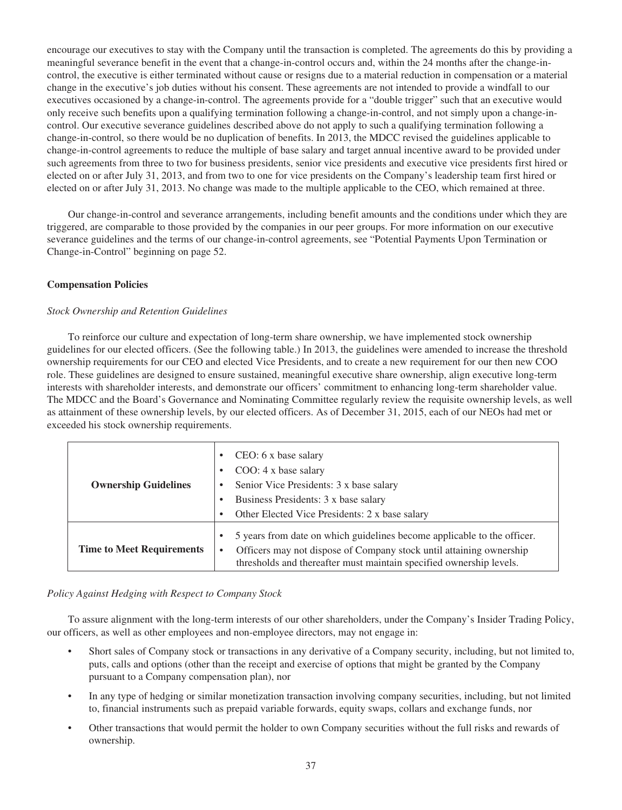encourage our executives to stay with the Company until the transaction is completed. The agreements do this by providing a meaningful severance benefit in the event that a change-in-control occurs and, within the 24 months after the change-incontrol, the executive is either terminated without cause or resigns due to a material reduction in compensation or a material change in the executive's job duties without his consent. These agreements are not intended to provide a windfall to our executives occasioned by a change-in-control. The agreements provide for a "double trigger" such that an executive would only receive such benefits upon a qualifying termination following a change-in-control, and not simply upon a change-incontrol. Our executive severance guidelines described above do not apply to such a qualifying termination following a change-in-control, so there would be no duplication of benefits. In 2013, the MDCC revised the guidelines applicable to change-in-control agreements to reduce the multiple of base salary and target annual incentive award to be provided under such agreements from three to two for business presidents, senior vice presidents and executive vice presidents first hired or elected on or after July 31, 2013, and from two to one for vice presidents on the Company's leadership team first hired or elected on or after July 31, 2013. No change was made to the multiple applicable to the CEO, which remained at three.

Our change-in-control and severance arrangements, including benefit amounts and the conditions under which they are triggered, are comparable to those provided by the companies in our peer groups. For more information on our executive severance guidelines and the terms of our change-in-control agreements, see "Potential Payments Upon Termination or Change-in-Control" beginning on page 52.

# **Compensation Policies**

### *Stock Ownership and Retention Guidelines*

To reinforce our culture and expectation of long-term share ownership, we have implemented stock ownership guidelines for our elected officers. (See the following table.) In 2013, the guidelines were amended to increase the threshold ownership requirements for our CEO and elected Vice Presidents, and to create a new requirement for our then new COO role. These guidelines are designed to ensure sustained, meaningful executive share ownership, align executive long-term interests with shareholder interests, and demonstrate our officers' commitment to enhancing long-term shareholder value. The MDCC and the Board's Governance and Nominating Committee regularly review the requisite ownership levels, as well as attainment of these ownership levels, by our elected officers. As of December 31, 2015, each of our NEOs had met or exceeded his stock ownership requirements.

| <b>Ownership Guidelines</b>      | CEO: 6 x base salary<br>COO: 4 x base salary<br>Senior Vice Presidents: 3 x base salary<br>Business Presidents: 3 x base salary<br>Other Elected Vice Presidents: 2 x base salary                                          |
|----------------------------------|----------------------------------------------------------------------------------------------------------------------------------------------------------------------------------------------------------------------------|
| <b>Time to Meet Requirements</b> | 5 years from date on which guidelines become applicable to the officer.<br>Officers may not dispose of Company stock until attaining ownership<br>٠<br>thresholds and thereafter must maintain specified ownership levels. |

### *Policy Against Hedging with Respect to Company Stock*

To assure alignment with the long-term interests of our other shareholders, under the Company's Insider Trading Policy, our officers, as well as other employees and non-employee directors, may not engage in:

- Short sales of Company stock or transactions in any derivative of a Company security, including, but not limited to, puts, calls and options (other than the receipt and exercise of options that might be granted by the Company pursuant to a Company compensation plan), nor
- In any type of hedging or similar monetization transaction involving company securities, including, but not limited to, financial instruments such as prepaid variable forwards, equity swaps, collars and exchange funds, nor
- Other transactions that would permit the holder to own Company securities without the full risks and rewards of ownership.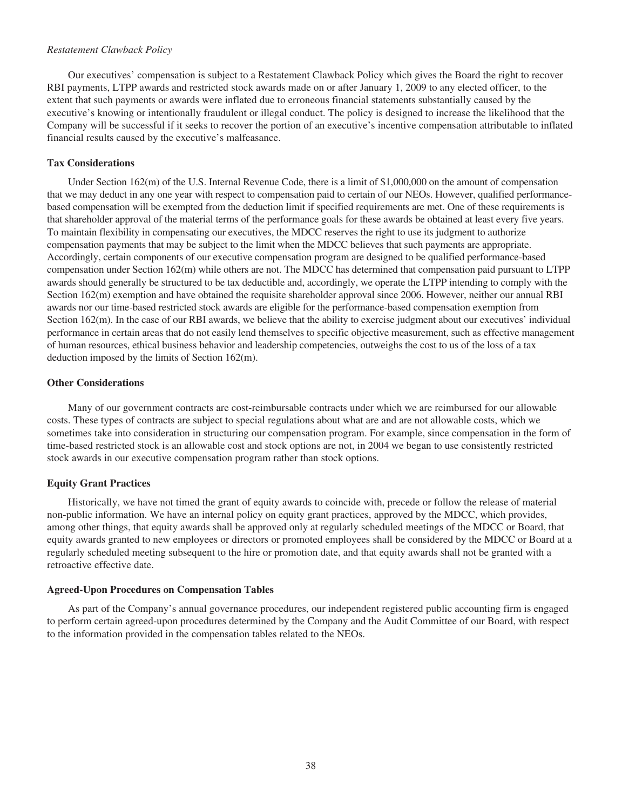## *Restatement Clawback Policy*

Our executives' compensation is subject to a Restatement Clawback Policy which gives the Board the right to recover RBI payments, LTPP awards and restricted stock awards made on or after January 1, 2009 to any elected officer, to the extent that such payments or awards were inflated due to erroneous financial statements substantially caused by the executive's knowing or intentionally fraudulent or illegal conduct. The policy is designed to increase the likelihood that the Company will be successful if it seeks to recover the portion of an executive's incentive compensation attributable to inflated financial results caused by the executive's malfeasance.

## **Tax Considerations**

Under Section 162(m) of the U.S. Internal Revenue Code, there is a limit of \$1,000,000 on the amount of compensation that we may deduct in any one year with respect to compensation paid to certain of our NEOs. However, qualified performancebased compensation will be exempted from the deduction limit if specified requirements are met. One of these requirements is that shareholder approval of the material terms of the performance goals for these awards be obtained at least every five years. To maintain flexibility in compensating our executives, the MDCC reserves the right to use its judgment to authorize compensation payments that may be subject to the limit when the MDCC believes that such payments are appropriate. Accordingly, certain components of our executive compensation program are designed to be qualified performance-based compensation under Section 162(m) while others are not. The MDCC has determined that compensation paid pursuant to LTPP awards should generally be structured to be tax deductible and, accordingly, we operate the LTPP intending to comply with the Section 162(m) exemption and have obtained the requisite shareholder approval since 2006. However, neither our annual RBI awards nor our time-based restricted stock awards are eligible for the performance-based compensation exemption from Section 162(m). In the case of our RBI awards, we believe that the ability to exercise judgment about our executives' individual performance in certain areas that do not easily lend themselves to specific objective measurement, such as effective management of human resources, ethical business behavior and leadership competencies, outweighs the cost to us of the loss of a tax deduction imposed by the limits of Section 162(m).

### **Other Considerations**

Many of our government contracts are cost-reimbursable contracts under which we are reimbursed for our allowable costs. These types of contracts are subject to special regulations about what are and are not allowable costs, which we sometimes take into consideration in structuring our compensation program. For example, since compensation in the form of time-based restricted stock is an allowable cost and stock options are not, in 2004 we began to use consistently restricted stock awards in our executive compensation program rather than stock options.

# **Equity Grant Practices**

Historically, we have not timed the grant of equity awards to coincide with, precede or follow the release of material non-public information. We have an internal policy on equity grant practices, approved by the MDCC, which provides, among other things, that equity awards shall be approved only at regularly scheduled meetings of the MDCC or Board, that equity awards granted to new employees or directors or promoted employees shall be considered by the MDCC or Board at a regularly scheduled meeting subsequent to the hire or promotion date, and that equity awards shall not be granted with a retroactive effective date.

### **Agreed-Upon Procedures on Compensation Tables**

As part of the Company's annual governance procedures, our independent registered public accounting firm is engaged to perform certain agreed-upon procedures determined by the Company and the Audit Committee of our Board, with respect to the information provided in the compensation tables related to the NEOs.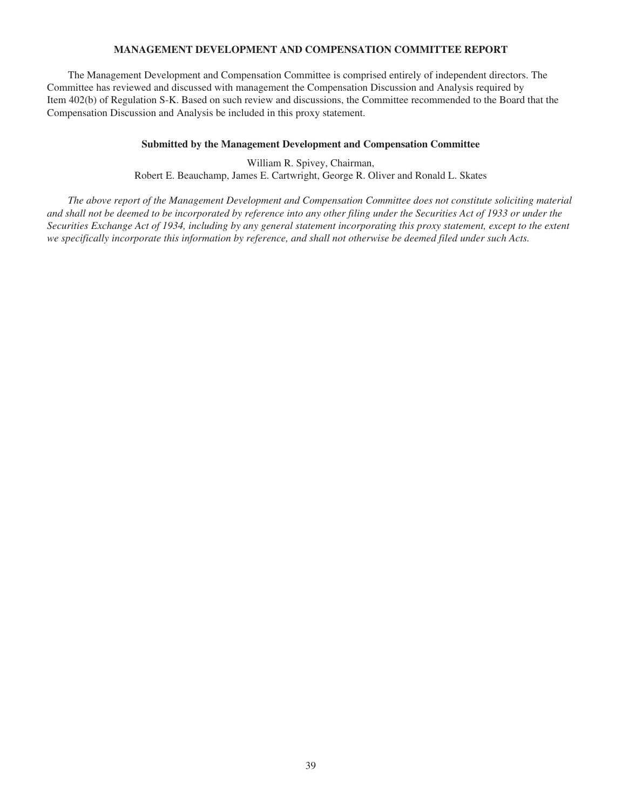# **MANAGEMENT DEVELOPMENT AND COMPENSATION COMMITTEE REPORT**

The Management Development and Compensation Committee is comprised entirely of independent directors. The Committee has reviewed and discussed with management the Compensation Discussion and Analysis required by Item 402(b) of Regulation S-K. Based on such review and discussions, the Committee recommended to the Board that the Compensation Discussion and Analysis be included in this proxy statement.

## **Submitted by the Management Development and Compensation Committee**

William R. Spivey, Chairman, Robert E. Beauchamp, James E. Cartwright, George R. Oliver and Ronald L. Skates

*The above report of the Management Development and Compensation Committee does not constitute soliciting material and shall not be deemed to be incorporated by reference into any other filing under the Securities Act of 1933 or under the Securities Exchange Act of 1934, including by any general statement incorporating this proxy statement, except to the extent we specifically incorporate this information by reference, and shall not otherwise be deemed filed under such Acts.*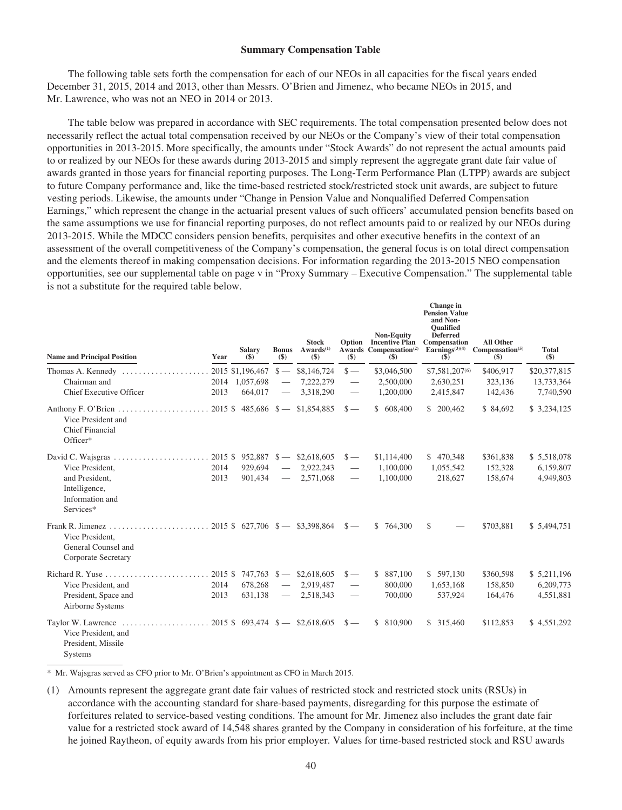#### **Summary Compensation Table**

The following table sets forth the compensation for each of our NEOs in all capacities for the fiscal years ended December 31, 2015, 2014 and 2013, other than Messrs. O'Brien and Jimenez, who became NEOs in 2015, and Mr. Lawrence, who was not an NEO in 2014 or 2013.

The table below was prepared in accordance with SEC requirements. The total compensation presented below does not necessarily reflect the actual total compensation received by our NEOs or the Company's view of their total compensation opportunities in 2013-2015. More specifically, the amounts under "Stock Awards" do not represent the actual amounts paid to or realized by our NEOs for these awards during 2013-2015 and simply represent the aggregate grant date fair value of awards granted in those years for financial reporting purposes. The Long-Term Performance Plan (LTPP) awards are subject to future Company performance and, like the time-based restricted stock/restricted stock unit awards, are subject to future vesting periods. Likewise, the amounts under "Change in Pension Value and Nonqualified Deferred Compensation Earnings," which represent the change in the actuarial present values of such officers' accumulated pension benefits based on the same assumptions we use for financial reporting purposes, do not reflect amounts paid to or realized by our NEOs during 2013-2015. While the MDCC considers pension benefits, perquisites and other executive benefits in the context of an assessment of the overall competitiveness of the Company's compensation, the general focus is on total direct compensation and the elements thereof in making compensation decisions. For information regarding the 2013-2015 NEO compensation opportunities, see our supplemental table on page v in "Proxy Summary – Executive Compensation." The supplemental table is not a substitute for the required table below.

| <b>Name and Principal Position</b>                              | Year    | <b>Salary</b><br>$($)$ | <b>Bonus</b><br>$($)$ | <b>Stock</b><br>$Awards^{(1)}$<br>$($)$ | $(\$)$                   | <b>Non-Equity</b><br><b>Option</b> Incentive Plan<br>Awards Compensation <sup>(2)</sup><br>$($)$ | <b>Change</b> in<br><b>Pension Value</b><br>and Non-<br><b>Oualified</b><br><b>Deferred</b><br>Compensation<br>Earnings $(3)(4)$<br><b>(\$)</b> | <b>All Other</b><br>Compensation <sup>(5)</sup><br>$($)$ | <b>Total</b><br>$($)$ |
|-----------------------------------------------------------------|---------|------------------------|-----------------------|-----------------------------------------|--------------------------|--------------------------------------------------------------------------------------------------|-------------------------------------------------------------------------------------------------------------------------------------------------|----------------------------------------------------------|-----------------------|
| Thomas A. Kennedy                                               |         | 2015 \$1,196,467       | $s -$                 | \$8,146,724                             | $s-$                     | \$3,046,500                                                                                      | \$7,581,207(6)                                                                                                                                  | \$406.917                                                | \$20,377,815          |
| Chairman and                                                    |         | 2014 1,057,698         |                       | 7,222,279                               | $\overline{\phantom{0}}$ | 2,500,000                                                                                        | 2,630,251                                                                                                                                       | 323,136                                                  | 13,733,364            |
| <b>Chief Executive Officer</b>                                  | 2013    | 664,017                |                       | 3,318,290                               | $\hspace{0.05cm}$        | 1,200,000                                                                                        | 2,415,847                                                                                                                                       | 142,436                                                  | 7,740,590             |
| Vice President and<br><b>Chief Financial</b><br>Officer*        |         | $2015$ \$ 485,686 \$-  |                       | \$1,854,885                             | $s-$                     | \$ 608,400                                                                                       | \$ 200,462                                                                                                                                      | \$84,692                                                 | \$ 3,234,125          |
| David C. Wajsgras                                               | 2015 \$ | 952,887                | $s-$                  | \$2,618,605                             | $s-$                     | \$1,114,400                                                                                      | \$470,348                                                                                                                                       | \$361,838                                                | \$5,518,078           |
| Vice President,                                                 | 2014    | 929,694                |                       | 2,922,243                               |                          | 1,100,000                                                                                        | 1,055,542                                                                                                                                       | 152,328                                                  | 6,159,807             |
| and President,<br>Intelligence,<br>Information and<br>Services* | 2013    | 901,434                |                       | 2,571,068                               | $\overline{\phantom{0}}$ | 1,100,000                                                                                        | 218,627                                                                                                                                         | 158,674                                                  | 4,949,803             |
| Vice President,<br>General Counsel and<br>Corporate Secretary   |         |                        |                       | 2015 \$ 627,706 \$ - \$3,398,864        | $s-$                     | \$764,300                                                                                        | \$                                                                                                                                              | \$703,881                                                | \$5,494,751           |
| Richard R. Yuse                                                 | 2015 \$ | $747,763$ \$           |                       | \$2,618,605                             | $\frac{1}{2}$            | 887,100<br>\$.                                                                                   | \$ 597,130                                                                                                                                      | \$360,598                                                | \$5,211,196           |
| Vice President, and                                             | 2014    | 678,268                |                       | 2,919,487                               |                          | 800,000                                                                                          | 1,653,168                                                                                                                                       | 158,850                                                  | 6,209,773             |
| President, Space and<br>Airborne Systems                        | 2013    | 631,138                | $\equiv$              | 2,518,343                               | $\overline{\phantom{0}}$ | 700,000                                                                                          | 537,924                                                                                                                                         | 164,476                                                  | 4,551,881             |
| Vice President, and<br>President, Missile<br><b>Systems</b>     |         |                        |                       |                                         | $s-$                     | \$ 810,900                                                                                       | \$ 315,460                                                                                                                                      | \$112,853                                                | \$4,551,292           |

\* Mr. Wajsgras served as CFO prior to Mr. O'Brien's appointment as CFO in March 2015.

(1) Amounts represent the aggregate grant date fair values of restricted stock and restricted stock units (RSUs) in accordance with the accounting standard for share-based payments, disregarding for this purpose the estimate of forfeitures related to service-based vesting conditions. The amount for Mr. Jimenez also includes the grant date fair value for a restricted stock award of 14,548 shares granted by the Company in consideration of his forfeiture, at the time he joined Raytheon, of equity awards from his prior employer. Values for time-based restricted stock and RSU awards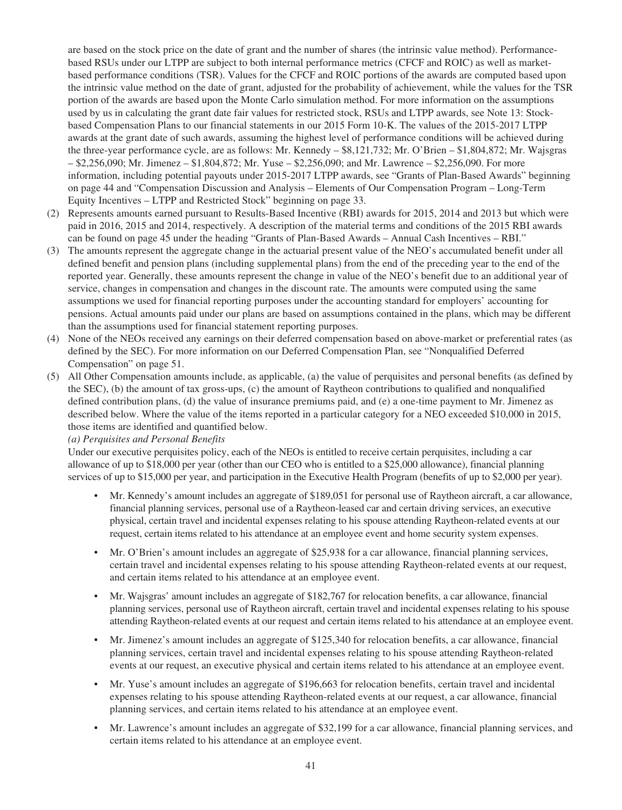are based on the stock price on the date of grant and the number of shares (the intrinsic value method). Performancebased RSUs under our LTPP are subject to both internal performance metrics (CFCF and ROIC) as well as marketbased performance conditions (TSR). Values for the CFCF and ROIC portions of the awards are computed based upon the intrinsic value method on the date of grant, adjusted for the probability of achievement, while the values for the TSR portion of the awards are based upon the Monte Carlo simulation method. For more information on the assumptions used by us in calculating the grant date fair values for restricted stock, RSUs and LTPP awards, see Note 13: Stockbased Compensation Plans to our financial statements in our 2015 Form 10-K. The values of the 2015-2017 LTPP awards at the grant date of such awards, assuming the highest level of performance conditions will be achieved during the three-year performance cycle, are as follows: Mr. Kennedy – \$8,121,732; Mr. O'Brien – \$1,804,872; Mr. Wajsgras – \$2,256,090; Mr. Jimenez – \$1,804,872; Mr. Yuse – \$2,256,090; and Mr. Lawrence – \$2,256,090. For more information, including potential payouts under 2015-2017 LTPP awards, see "Grants of Plan-Based Awards" beginning on page 44 and "Compensation Discussion and Analysis – Elements of Our Compensation Program – Long-Term Equity Incentives – LTPP and Restricted Stock" beginning on page 33.

- (2) Represents amounts earned pursuant to Results-Based Incentive (RBI) awards for 2015, 2014 and 2013 but which were paid in 2016, 2015 and 2014, respectively. A description of the material terms and conditions of the 2015 RBI awards can be found on page 45 under the heading "Grants of Plan-Based Awards – Annual Cash Incentives – RBI."
- (3) The amounts represent the aggregate change in the actuarial present value of the NEO's accumulated benefit under all defined benefit and pension plans (including supplemental plans) from the end of the preceding year to the end of the reported year. Generally, these amounts represent the change in value of the NEO's benefit due to an additional year of service, changes in compensation and changes in the discount rate. The amounts were computed using the same assumptions we used for financial reporting purposes under the accounting standard for employers' accounting for pensions. Actual amounts paid under our plans are based on assumptions contained in the plans, which may be different than the assumptions used for financial statement reporting purposes.
- (4) None of the NEOs received any earnings on their deferred compensation based on above-market or preferential rates (as defined by the SEC). For more information on our Deferred Compensation Plan, see "Nonqualified Deferred Compensation" on page 51.
- (5) All Other Compensation amounts include, as applicable, (a) the value of perquisites and personal benefits (as defined by the SEC), (b) the amount of tax gross-ups, (c) the amount of Raytheon contributions to qualified and nonqualified defined contribution plans, (d) the value of insurance premiums paid, and (e) a one-time payment to Mr. Jimenez as described below. Where the value of the items reported in a particular category for a NEO exceeded \$10,000 in 2015, those items are identified and quantified below.

# *(a) Perquisites and Personal Benefits*

Under our executive perquisites policy, each of the NEOs is entitled to receive certain perquisites, including a car allowance of up to \$18,000 per year (other than our CEO who is entitled to a \$25,000 allowance), financial planning services of up to \$15,000 per year, and participation in the Executive Health Program (benefits of up to \$2,000 per year).

- Mr. Kennedy's amount includes an aggregate of \$189,051 for personal use of Raytheon aircraft, a car allowance, financial planning services, personal use of a Raytheon-leased car and certain driving services, an executive physical, certain travel and incidental expenses relating to his spouse attending Raytheon-related events at our request, certain items related to his attendance at an employee event and home security system expenses.
- Mr. O'Brien's amount includes an aggregate of \$25,938 for a car allowance, financial planning services, certain travel and incidental expenses relating to his spouse attending Raytheon-related events at our request, and certain items related to his attendance at an employee event.
- Mr. Wajsgras' amount includes an aggregate of \$182,767 for relocation benefits, a car allowance, financial planning services, personal use of Raytheon aircraft, certain travel and incidental expenses relating to his spouse attending Raytheon-related events at our request and certain items related to his attendance at an employee event.
- Mr. Jimenez's amount includes an aggregate of \$125,340 for relocation benefits, a car allowance, financial planning services, certain travel and incidental expenses relating to his spouse attending Raytheon-related events at our request, an executive physical and certain items related to his attendance at an employee event.
- Mr. Yuse's amount includes an aggregate of \$196,663 for relocation benefits, certain travel and incidental expenses relating to his spouse attending Raytheon-related events at our request, a car allowance, financial planning services, and certain items related to his attendance at an employee event.
- Mr. Lawrence's amount includes an aggregate of \$32,199 for a car allowance, financial planning services, and certain items related to his attendance at an employee event.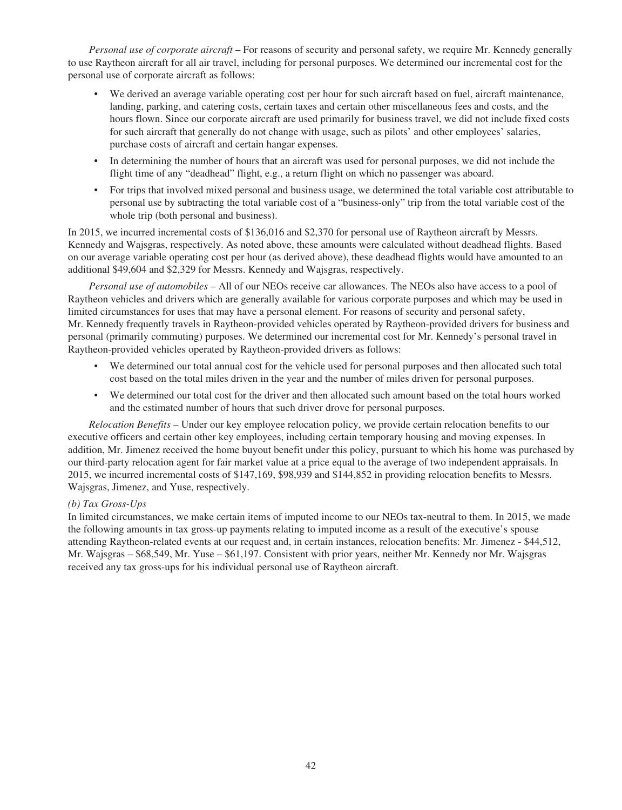*Personal use of corporate aircraft* – For reasons of security and personal safety, we require Mr. Kennedy generally to use Raytheon aircraft for all air travel, including for personal purposes. We determined our incremental cost for the personal use of corporate aircraft as follows:

- We derived an average variable operating cost per hour for such aircraft based on fuel, aircraft maintenance, landing, parking, and catering costs, certain taxes and certain other miscellaneous fees and costs, and the hours flown. Since our corporate aircraft are used primarily for business travel, we did not include fixed costs for such aircraft that generally do not change with usage, such as pilots' and other employees' salaries, purchase costs of aircraft and certain hangar expenses.
- In determining the number of hours that an aircraft was used for personal purposes, we did not include the flight time of any "deadhead" flight, e.g., a return flight on which no passenger was aboard.
- For trips that involved mixed personal and business usage, we determined the total variable cost attributable to personal use by subtracting the total variable cost of a "business-only" trip from the total variable cost of the whole trip (both personal and business).

In 2015, we incurred incremental costs of \$136,016 and \$2,370 for personal use of Raytheon aircraft by Messrs. Kennedy and Wajsgras, respectively. As noted above, these amounts were calculated without deadhead flights. Based on our average variable operating cost per hour (as derived above), these deadhead flights would have amounted to an additional \$49,604 and \$2,329 for Messrs. Kennedy and Wajsgras, respectively.

*Personal use of automobiles* – All of our NEOs receive car allowances. The NEOs also have access to a pool of Raytheon vehicles and drivers which are generally available for various corporate purposes and which may be used in limited circumstances for uses that may have a personal element. For reasons of security and personal safety, Mr. Kennedy frequently travels in Raytheon-provided vehicles operated by Raytheon-provided drivers for business and personal (primarily commuting) purposes. We determined our incremental cost for Mr. Kennedy's personal travel in Raytheon-provided vehicles operated by Raytheon-provided drivers as follows:

- We determined our total annual cost for the vehicle used for personal purposes and then allocated such total cost based on the total miles driven in the year and the number of miles driven for personal purposes.
- We determined our total cost for the driver and then allocated such amount based on the total hours worked and the estimated number of hours that such driver drove for personal purposes.

*Relocation Benefits* – Under our key employee relocation policy, we provide certain relocation benefits to our executive officers and certain other key employees, including certain temporary housing and moving expenses. In addition, Mr. Jimenez received the home buyout benefit under this policy, pursuant to which his home was purchased by our third-party relocation agent for fair market value at a price equal to the average of two independent appraisals. In 2015, we incurred incremental costs of \$147,169, \$98,939 and \$144,852 in providing relocation benefits to Messrs. Wajsgras, Jimenez, and Yuse, respectively.

# *(b) Tax Gross-Ups*

In limited circumstances, we make certain items of imputed income to our NEOs tax-neutral to them. In 2015, we made the following amounts in tax gross-up payments relating to imputed income as a result of the executive's spouse attending Raytheon-related events at our request and, in certain instances, relocation benefits: Mr. Jimenez - \$44,512, Mr. Wajsgras – \$68,549, Mr. Yuse – \$61,197. Consistent with prior years, neither Mr. Kennedy nor Mr. Wajsgras received any tax gross-ups for his individual personal use of Raytheon aircraft.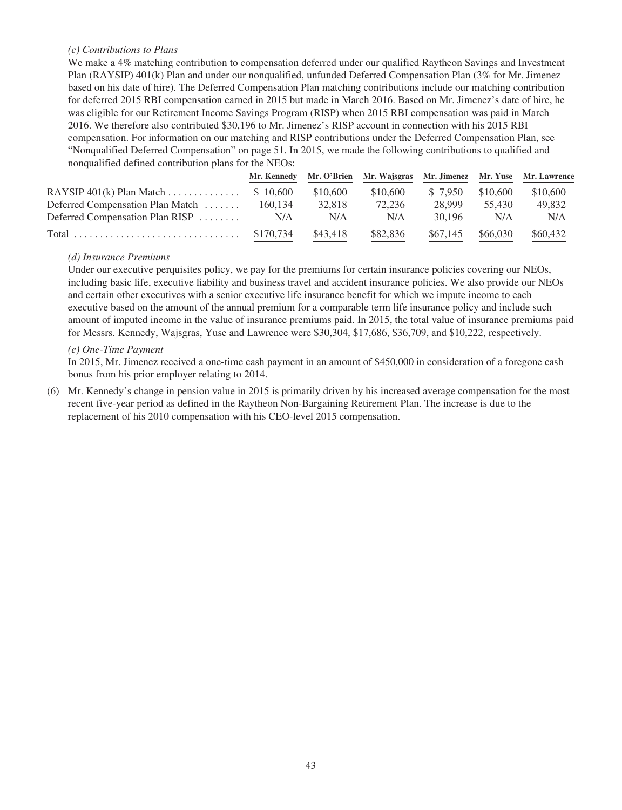# *(c) Contributions to Plans*

We make a 4% matching contribution to compensation deferred under our qualified Raytheon Savings and Investment Plan (RAYSIP) 401(k) Plan and under our nonqualified, unfunded Deferred Compensation Plan (3% for Mr. Jimenez based on his date of hire). The Deferred Compensation Plan matching contributions include our matching contribution for deferred 2015 RBI compensation earned in 2015 but made in March 2016. Based on Mr. Jimenez's date of hire, he was eligible for our Retirement Income Savings Program (RISP) when 2015 RBI compensation was paid in March 2016. We therefore also contributed \$30,196 to Mr. Jimenez's RISP account in connection with his 2015 RBI compensation. For information on our matching and RISP contributions under the Deferred Compensation Plan, see "Nonqualified Deferred Compensation" on page 51. In 2015, we made the following contributions to qualified and nonqualified defined contribution plans for the NEOs:

|                                      | Mr. Kennedy |          | Mr. O'Brien Mr. Wajsgras Mr. Jimenez Mr. Yuse Mr. Lawrence |          |          |          |
|--------------------------------------|-------------|----------|------------------------------------------------------------|----------|----------|----------|
| RAYSIP $401(k)$ Plan Match \$ 10,600 |             | \$10,600 | \$10,600                                                   | \$ 7.950 | \$10.600 | \$10,600 |
| Deferred Compensation Plan Match     | 160.134     | 32,818   | 72.236                                                     | 28.999   | 55.430   | 49.832   |
| Deferred Compensation Plan RISP      | N/A         | N/A      | N/A                                                        | 30.196   | N/A      | N/A      |
|                                      | \$170,734   | \$43,418 | \$82,836                                                   | \$67,145 | \$66,030 | \$60,432 |

## *(d) Insurance Premiums*

Under our executive perquisites policy, we pay for the premiums for certain insurance policies covering our NEOs, including basic life, executive liability and business travel and accident insurance policies. We also provide our NEOs and certain other executives with a senior executive life insurance benefit for which we impute income to each executive based on the amount of the annual premium for a comparable term life insurance policy and include such amount of imputed income in the value of insurance premiums paid. In 2015, the total value of insurance premiums paid for Messrs. Kennedy, Wajsgras, Yuse and Lawrence were \$30,304, \$17,686, \$36,709, and \$10,222, respectively.

## *(e) One-Time Payment*

In 2015, Mr. Jimenez received a one-time cash payment in an amount of \$450,000 in consideration of a foregone cash bonus from his prior employer relating to 2014.

(6) Mr. Kennedy's change in pension value in 2015 is primarily driven by his increased average compensation for the most recent five-year period as defined in the Raytheon Non-Bargaining Retirement Plan. The increase is due to the replacement of his 2010 compensation with his CEO-level 2015 compensation.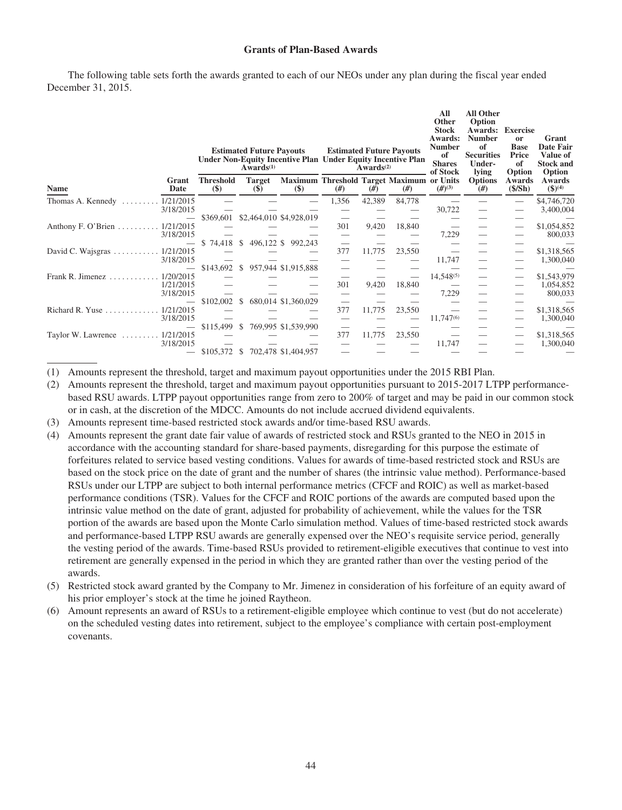## **Grants of Plan-Based Awards**

The following table sets forth the awards granted to each of our NEOs under any plan during the fiscal year ended December 31, 2015.

|                                                             |                                                 | <b>Estimated Future Payouts</b><br>$Awards^{(1)}$ | Under Non-Equity Incentive Plan Under Equity Incentive Plan            |       | Awards $(2)$ | <b>Estimated Future Payouts</b> | All<br>Other<br><b>Stock</b><br>Awards:<br><b>Number</b><br>of<br><b>Shares</b><br>of Stock | <b>All Other</b><br>Option<br>Awards:<br><b>Number</b><br>of<br><b>Securities</b><br>Under-<br>lying | <b>Exercise</b><br><b>or</b><br><b>Base</b><br>Price<br>of<br>Option | Grant<br>Date Fair<br>Value of<br><b>Stock and</b><br>Option |
|-------------------------------------------------------------|-------------------------------------------------|---------------------------------------------------|------------------------------------------------------------------------|-------|--------------|---------------------------------|---------------------------------------------------------------------------------------------|------------------------------------------------------------------------------------------------------|----------------------------------------------------------------------|--------------------------------------------------------------|
| Grant<br><b>Name</b><br>Date                                | <b>Threshold</b><br>$\left( \mathbf{\$}\right)$ | <b>Target</b><br>$\left( \text{\$}\right)$        | Maximum Threshold Target Maximum or Units<br>$\left( \text{\$}\right)$ | #)    | #)           | #)                              | $(H^{(3)}$                                                                                  | <b>Options</b><br>#)                                                                                 | Awards<br>(S/Sh)                                                     | Awards<br>$$^{(4)}$$                                         |
| 1/21/2015<br>Thomas A. Kennedy<br>3/18/2015                 |                                                 |                                                   |                                                                        | 1,356 | 42,389       | 84,778                          | 30,722                                                                                      |                                                                                                      |                                                                      | \$4,746,720<br>3,400,004                                     |
| Anthony F. O'Brien<br>1/21/2015<br>3/18/2015                | \$369,601                                       |                                                   | \$2,464,010 \$4,928,019                                                | 301   | 9,420        | 18,840                          | 7,229                                                                                       | $\overline{\phantom{0}}$                                                                             |                                                                      | \$1,054,852<br>800,033                                       |
| 1/21/2015<br>David C. Wajsgras $\ldots \ldots$<br>3/18/2015 | \$74,418                                        | <sup>\$</sup>                                     | 496,122 \$ 992,243                                                     | 377   | 11,775       | 23,550                          | 11,747                                                                                      |                                                                                                      |                                                                      | \$1,318,565<br>1,300,040                                     |
| 1/20/2015<br>Frank R. Jimenez.<br>1/21/2015                 | \$143,692                                       | <sup>S</sup>                                      | 957,944 \$1,915,888                                                    | 301   | 9,420        | 18,840                          | 14,548(5)                                                                                   |                                                                                                      |                                                                      | \$1,543,979<br>1,054,852                                     |
| 3/18/2015<br>1/21/2015<br>Richard R. Yuse                   | \$102,002                                       | <sup>\$</sup>                                     | 680,014 \$1,360,029                                                    | 377   | 11,775       | 23,550                          | 7,229                                                                                       |                                                                                                      |                                                                      | 800,033<br>\$1,318,565                                       |
| 3/18/2015                                                   | \$115,499                                       | <sup>\$</sup>                                     | 769,995 \$1,539,990                                                    |       |              |                                 | 11,747 <sup>(6)</sup>                                                                       |                                                                                                      |                                                                      | 1,300,040                                                    |
| 1/21/2015<br>Taylor W. Lawrence<br>3/18/2015                | \$105,372                                       | <sup>\$</sup>                                     | 702,478 \$1,404,957                                                    | 377   | 11,775       | 23,550                          | 11,747                                                                                      |                                                                                                      |                                                                      | \$1,318,565<br>1,300,040                                     |

(1) Amounts represent the threshold, target and maximum payout opportunities under the 2015 RBI Plan.

- (2) Amounts represent the threshold, target and maximum payout opportunities pursuant to 2015-2017 LTPP performancebased RSU awards. LTPP payout opportunities range from zero to 200% of target and may be paid in our common stock or in cash, at the discretion of the MDCC. Amounts do not include accrued dividend equivalents.
- (3) Amounts represent time-based restricted stock awards and/or time-based RSU awards.
- (4) Amounts represent the grant date fair value of awards of restricted stock and RSUs granted to the NEO in 2015 in accordance with the accounting standard for share-based payments, disregarding for this purpose the estimate of forfeitures related to service based vesting conditions. Values for awards of time-based restricted stock and RSUs are based on the stock price on the date of grant and the number of shares (the intrinsic value method). Performance-based RSUs under our LTPP are subject to both internal performance metrics (CFCF and ROIC) as well as market-based performance conditions (TSR). Values for the CFCF and ROIC portions of the awards are computed based upon the intrinsic value method on the date of grant, adjusted for probability of achievement, while the values for the TSR portion of the awards are based upon the Monte Carlo simulation method. Values of time-based restricted stock awards and performance-based LTPP RSU awards are generally expensed over the NEO's requisite service period, generally the vesting period of the awards. Time-based RSUs provided to retirement-eligible executives that continue to vest into retirement are generally expensed in the period in which they are granted rather than over the vesting period of the awards.
- (5) Restricted stock award granted by the Company to Mr. Jimenez in consideration of his forfeiture of an equity award of his prior employer's stock at the time he joined Raytheon.
- (6) Amount represents an award of RSUs to a retirement-eligible employee which continue to vest (but do not accelerate) on the scheduled vesting dates into retirement, subject to the employee's compliance with certain post-employment covenants.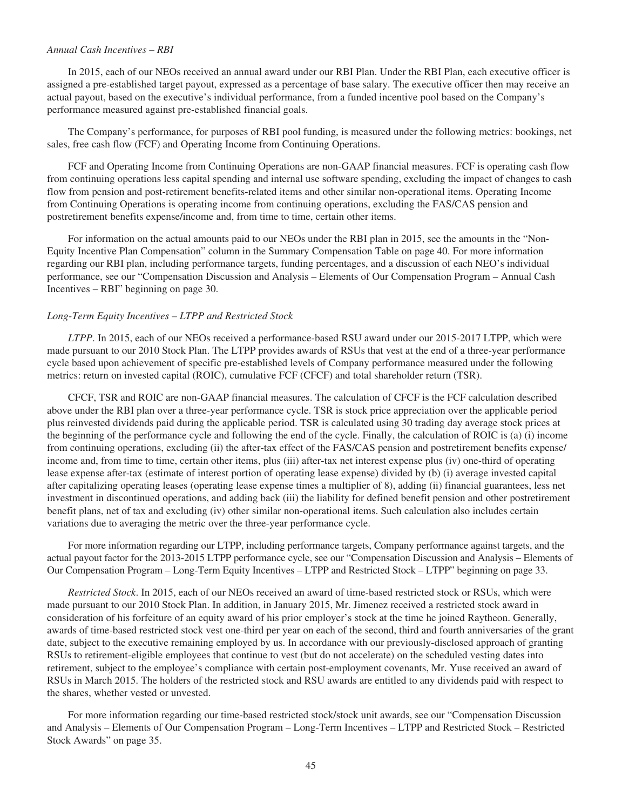## *Annual Cash Incentives – RBI*

In 2015, each of our NEOs received an annual award under our RBI Plan. Under the RBI Plan, each executive officer is assigned a pre-established target payout, expressed as a percentage of base salary. The executive officer then may receive an actual payout, based on the executive's individual performance, from a funded incentive pool based on the Company's performance measured against pre-established financial goals.

The Company's performance, for purposes of RBI pool funding, is measured under the following metrics: bookings, net sales, free cash flow (FCF) and Operating Income from Continuing Operations.

FCF and Operating Income from Continuing Operations are non-GAAP financial measures. FCF is operating cash flow from continuing operations less capital spending and internal use software spending, excluding the impact of changes to cash flow from pension and post-retirement benefits-related items and other similar non-operational items. Operating Income from Continuing Operations is operating income from continuing operations, excluding the FAS/CAS pension and postretirement benefits expense/income and, from time to time, certain other items.

For information on the actual amounts paid to our NEOs under the RBI plan in 2015, see the amounts in the "Non-Equity Incentive Plan Compensation" column in the Summary Compensation Table on page 40. For more information regarding our RBI plan, including performance targets, funding percentages, and a discussion of each NEO's individual performance, see our "Compensation Discussion and Analysis – Elements of Our Compensation Program – Annual Cash Incentives – RBI" beginning on page 30.

#### *Long-Term Equity Incentives – LTPP and Restricted Stock*

*LTPP*. In 2015, each of our NEOs received a performance-based RSU award under our 2015-2017 LTPP, which were made pursuant to our 2010 Stock Plan. The LTPP provides awards of RSUs that vest at the end of a three-year performance cycle based upon achievement of specific pre-established levels of Company performance measured under the following metrics: return on invested capital (ROIC), cumulative FCF (CFCF) and total shareholder return (TSR).

CFCF, TSR and ROIC are non-GAAP financial measures. The calculation of CFCF is the FCF calculation described above under the RBI plan over a three-year performance cycle. TSR is stock price appreciation over the applicable period plus reinvested dividends paid during the applicable period. TSR is calculated using 30 trading day average stock prices at the beginning of the performance cycle and following the end of the cycle. Finally, the calculation of ROIC is (a) (i) income from continuing operations, excluding (ii) the after-tax effect of the FAS/CAS pension and postretirement benefits expense/ income and, from time to time, certain other items, plus (iii) after-tax net interest expense plus (iv) one-third of operating lease expense after-tax (estimate of interest portion of operating lease expense) divided by (b) (i) average invested capital after capitalizing operating leases (operating lease expense times a multiplier of 8), adding (ii) financial guarantees, less net investment in discontinued operations, and adding back (iii) the liability for defined benefit pension and other postretirement benefit plans, net of tax and excluding (iv) other similar non-operational items. Such calculation also includes certain variations due to averaging the metric over the three-year performance cycle.

For more information regarding our LTPP, including performance targets, Company performance against targets, and the actual payout factor for the 2013-2015 LTPP performance cycle, see our "Compensation Discussion and Analysis – Elements of Our Compensation Program – Long-Term Equity Incentives – LTPP and Restricted Stock – LTPP" beginning on page 33.

*Restricted Stock*. In 2015, each of our NEOs received an award of time-based restricted stock or RSUs, which were made pursuant to our 2010 Stock Plan. In addition, in January 2015, Mr. Jimenez received a restricted stock award in consideration of his forfeiture of an equity award of his prior employer's stock at the time he joined Raytheon. Generally, awards of time-based restricted stock vest one-third per year on each of the second, third and fourth anniversaries of the grant date, subject to the executive remaining employed by us. In accordance with our previously-disclosed approach of granting RSUs to retirement-eligible employees that continue to vest (but do not accelerate) on the scheduled vesting dates into retirement, subject to the employee's compliance with certain post-employment covenants, Mr. Yuse received an award of RSUs in March 2015. The holders of the restricted stock and RSU awards are entitled to any dividends paid with respect to the shares, whether vested or unvested.

For more information regarding our time-based restricted stock/stock unit awards, see our "Compensation Discussion and Analysis – Elements of Our Compensation Program – Long-Term Incentives – LTPP and Restricted Stock – Restricted Stock Awards" on page 35.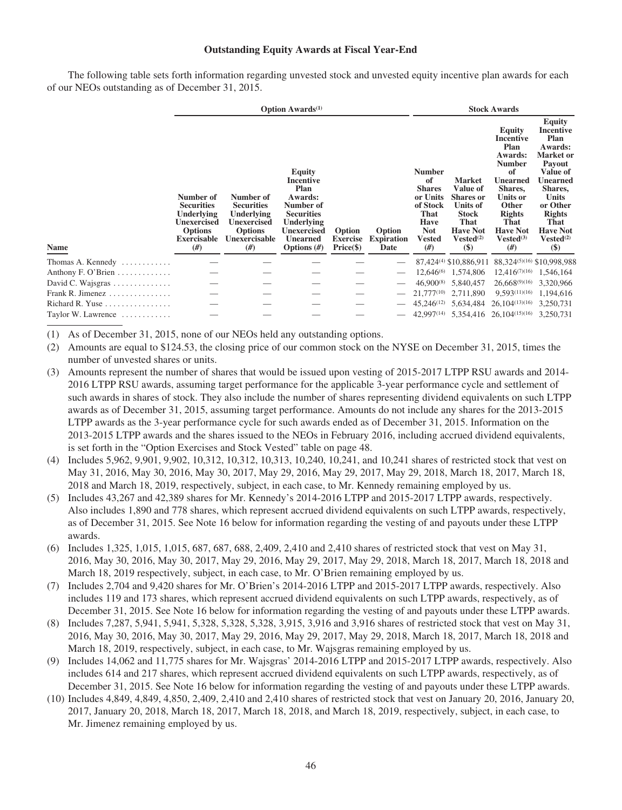## **Outstanding Equity Awards at Fiscal Year-End**

The following table sets forth information regarding unvested stock and unvested equity incentive plan awards for each of our NEOs outstanding as of December 31, 2015.

|                                               |                                                                                                                  |                                                                                                             | <b>Option Awards</b> <sup>(1)</sup>                                                                                                                      | <b>Stock Awards</b>                     |                                     |                                                                                                            |                                                                                                                                         |                                                                                                                                                                                             |                                                                                                                                                                                                                                  |
|-----------------------------------------------|------------------------------------------------------------------------------------------------------------------|-------------------------------------------------------------------------------------------------------------|----------------------------------------------------------------------------------------------------------------------------------------------------------|-----------------------------------------|-------------------------------------|------------------------------------------------------------------------------------------------------------|-----------------------------------------------------------------------------------------------------------------------------------------|---------------------------------------------------------------------------------------------------------------------------------------------------------------------------------------------|----------------------------------------------------------------------------------------------------------------------------------------------------------------------------------------------------------------------------------|
| Name                                          | Number of<br><b>Securities</b><br><b>Underlying</b><br>Unexercised<br><b>Options</b><br><b>Exercisable</b><br>#) | Number of<br><b>Securities</b><br>Underlying<br><b>Unexercised</b><br><b>Options</b><br>Unexercisable<br>#) | <b>Equity</b><br>Incentive<br>Plan<br>Awards:<br>Number of<br><b>Securities</b><br>Underlying<br><b>Unexercised</b><br><b>Unearned</b><br>Options $(\#)$ | Option<br><b>Exercise</b><br>Price (\$) | Option<br><b>Expiration</b><br>Date | <b>Number</b><br>of<br><b>Shares</b><br>or Units<br>of Stock<br>That<br>Have<br><b>Not</b><br>Vested<br>#) | <b>Market</b><br>Value of<br><b>Shares</b> or<br>Units of<br><b>Stock</b><br>That<br><b>Have Not</b><br>Vested <sup>(2)</sup><br>$(\$)$ | Equity<br><b>Incentive</b><br>Plan<br>Awards:<br><b>Number</b><br>of<br><b>Unearned</b><br>Shares,<br>Units or<br>Other<br><b>Rights</b><br>That<br><b>Have Not</b><br>$Vested^{(3)}$<br>#) | <b>Equity</b><br>Incentive<br>Plan<br>Awards:<br><b>Market</b> or<br>Payout<br>Value of<br><b>Unearned</b><br>Shares,<br><b>Units</b><br>or Other<br><b>Rights</b><br>That<br><b>Have Not</b><br>Vested <sup>(2)</sup><br>$(\$)$ |
| Thomas A. Kennedy $\dots\dots\dots\dots$      |                                                                                                                  |                                                                                                             |                                                                                                                                                          |                                         |                                     |                                                                                                            |                                                                                                                                         | 87,424 <sup>(4)</sup> \$10,886,911 88,324 <sup>(5)(16)</sup> \$10,998,988                                                                                                                   |                                                                                                                                                                                                                                  |
| Anthony F. O'Brien $\dots \dots \dots$        |                                                                                                                  |                                                                                                             |                                                                                                                                                          |                                         |                                     | $12,646^{(6)}$                                                                                             | 1,574,806                                                                                                                               | $12,416^{(7)(16)}$                                                                                                                                                                          | 1,546,164                                                                                                                                                                                                                        |
| David C. Wajsgras                             |                                                                                                                  |                                                                                                             |                                                                                                                                                          |                                         |                                     | $46,900^{(8)}$                                                                                             | 5,840,457                                                                                                                               | $26,668^{(9)(16)}$                                                                                                                                                                          | 3,320,966                                                                                                                                                                                                                        |
| Frank R. Jimenez                              |                                                                                                                  |                                                                                                             |                                                                                                                                                          |                                         |                                     | $21,777^{(10)}$                                                                                            | 2,711,890                                                                                                                               | 9.593(11)(16)                                                                                                                                                                               | 1,194,616                                                                                                                                                                                                                        |
| Richard R. Yuse $\ldots \ldots \ldots \ldots$ |                                                                                                                  |                                                                                                             |                                                                                                                                                          |                                         |                                     | $45.246^{(12)}$                                                                                            | 5,634,484                                                                                                                               | 26,104(13)(16)                                                                                                                                                                              | 3,250,731                                                                                                                                                                                                                        |
| Taylor W. Lawrence $\dots\dots\dots\dots$     |                                                                                                                  |                                                                                                             |                                                                                                                                                          |                                         |                                     |                                                                                                            |                                                                                                                                         | 42,997(14) 5,354,416 26,104(15)(16)                                                                                                                                                         | 3.250.731                                                                                                                                                                                                                        |
|                                               |                                                                                                                  |                                                                                                             |                                                                                                                                                          |                                         |                                     |                                                                                                            |                                                                                                                                         |                                                                                                                                                                                             |                                                                                                                                                                                                                                  |

(1) As of December 31, 2015, none of our NEOs held any outstanding options.

- (2) Amounts are equal to \$124.53, the closing price of our common stock on the NYSE on December 31, 2015, times the number of unvested shares or units.
- (3) Amounts represent the number of shares that would be issued upon vesting of 2015-2017 LTPP RSU awards and 2014- 2016 LTPP RSU awards, assuming target performance for the applicable 3-year performance cycle and settlement of such awards in shares of stock. They also include the number of shares representing dividend equivalents on such LTPP awards as of December 31, 2015, assuming target performance. Amounts do not include any shares for the 2013-2015 LTPP awards as the 3-year performance cycle for such awards ended as of December 31, 2015. Information on the 2013-2015 LTPP awards and the shares issued to the NEOs in February 2016, including accrued dividend equivalents, is set forth in the "Option Exercises and Stock Vested" table on page 48.
- (4) Includes 5,962, 9,901, 9,902, 10,312, 10,312, 10,313, 10,240, 10,241, and 10,241 shares of restricted stock that vest on May 31, 2016, May 30, 2016, May 30, 2017, May 29, 2016, May 29, 2017, May 29, 2018, March 18, 2017, March 18, 2018 and March 18, 2019, respectively, subject, in each case, to Mr. Kennedy remaining employed by us.
- (5) Includes 43,267 and 42,389 shares for Mr. Kennedy's 2014-2016 LTPP and 2015-2017 LTPP awards, respectively. Also includes 1,890 and 778 shares, which represent accrued dividend equivalents on such LTPP awards, respectively, as of December 31, 2015. See Note 16 below for information regarding the vesting of and payouts under these LTPP awards.
- (6) Includes 1,325, 1,015, 1,015, 687, 687, 688, 2,409, 2,410 and 2,410 shares of restricted stock that vest on May 31, 2016, May 30, 2016, May 30, 2017, May 29, 2016, May 29, 2017, May 29, 2018, March 18, 2017, March 18, 2018 and March 18, 2019 respectively, subject, in each case, to Mr. O'Brien remaining employed by us.
- (7) Includes 2,704 and 9,420 shares for Mr. O'Brien's 2014-2016 LTPP and 2015-2017 LTPP awards, respectively. Also includes 119 and 173 shares, which represent accrued dividend equivalents on such LTPP awards, respectively, as of December 31, 2015. See Note 16 below for information regarding the vesting of and payouts under these LTPP awards.
- (8) Includes 7,287, 5,941, 5,941, 5,328, 5,328, 5,328, 3,915, 3,916 and 3,916 shares of restricted stock that vest on May 31, 2016, May 30, 2016, May 30, 2017, May 29, 2016, May 29, 2017, May 29, 2018, March 18, 2017, March 18, 2018 and March 18, 2019, respectively, subject, in each case, to Mr. Wajsgras remaining employed by us.
- (9) Includes 14,062 and 11,775 shares for Mr. Wajsgras' 2014-2016 LTPP and 2015-2017 LTPP awards, respectively. Also includes 614 and 217 shares, which represent accrued dividend equivalents on such LTPP awards, respectively, as of December 31, 2015. See Note 16 below for information regarding the vesting of and payouts under these LTPP awards.
- (10) Includes 4,849, 4,849, 4,850, 2,409, 2,410 and 2,410 shares of restricted stock that vest on January 20, 2016, January 20, 2017, January 20, 2018, March 18, 2017, March 18, 2018, and March 18, 2019, respectively, subject, in each case, to Mr. Jimenez remaining employed by us.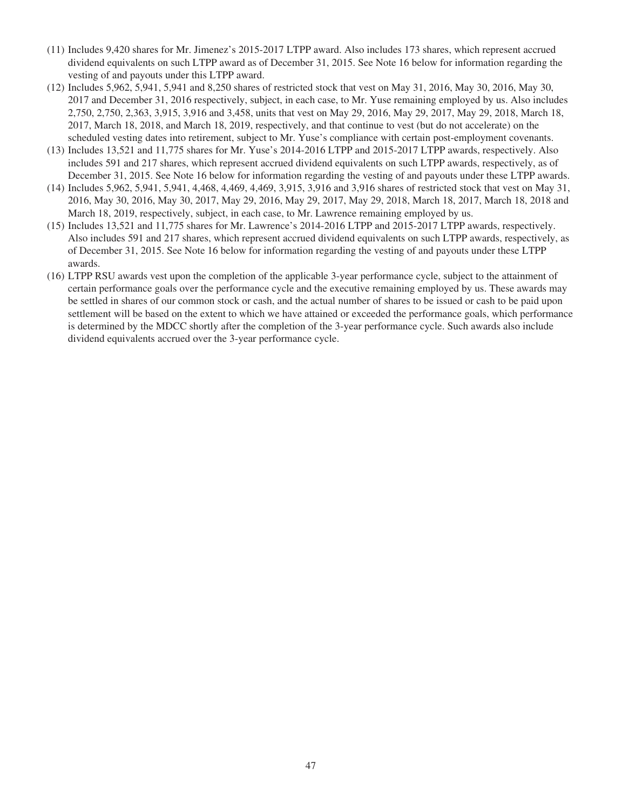- (11) Includes 9,420 shares for Mr. Jimenez's 2015-2017 LTPP award. Also includes 173 shares, which represent accrued dividend equivalents on such LTPP award as of December 31, 2015. See Note 16 below for information regarding the vesting of and payouts under this LTPP award.
- (12) Includes 5,962, 5,941, 5,941 and 8,250 shares of restricted stock that vest on May 31, 2016, May 30, 2016, May 30, 2017 and December 31, 2016 respectively, subject, in each case, to Mr. Yuse remaining employed by us. Also includes 2,750, 2,750, 2,363, 3,915, 3,916 and 3,458, units that vest on May 29, 2016, May 29, 2017, May 29, 2018, March 18, 2017, March 18, 2018, and March 18, 2019, respectively, and that continue to vest (but do not accelerate) on the scheduled vesting dates into retirement, subject to Mr. Yuse's compliance with certain post-employment covenants.
- (13) Includes 13,521 and 11,775 shares for Mr. Yuse's 2014-2016 LTPP and 2015-2017 LTPP awards, respectively. Also includes 591 and 217 shares, which represent accrued dividend equivalents on such LTPP awards, respectively, as of December 31, 2015. See Note 16 below for information regarding the vesting of and payouts under these LTPP awards.
- (14) Includes 5,962, 5,941, 5,941, 4,468, 4,469, 4,469, 3,915, 3,916 and 3,916 shares of restricted stock that vest on May 31, 2016, May 30, 2016, May 30, 2017, May 29, 2016, May 29, 2017, May 29, 2018, March 18, 2017, March 18, 2018 and March 18, 2019, respectively, subject, in each case, to Mr. Lawrence remaining employed by us.
- (15) Includes 13,521 and 11,775 shares for Mr. Lawrence's 2014-2016 LTPP and 2015-2017 LTPP awards, respectively. Also includes 591 and 217 shares, which represent accrued dividend equivalents on such LTPP awards, respectively, as of December 31, 2015. See Note 16 below for information regarding the vesting of and payouts under these LTPP awards.
- (16) LTPP RSU awards vest upon the completion of the applicable 3-year performance cycle, subject to the attainment of certain performance goals over the performance cycle and the executive remaining employed by us. These awards may be settled in shares of our common stock or cash, and the actual number of shares to be issued or cash to be paid upon settlement will be based on the extent to which we have attained or exceeded the performance goals, which performance is determined by the MDCC shortly after the completion of the 3-year performance cycle. Such awards also include dividend equivalents accrued over the 3-year performance cycle.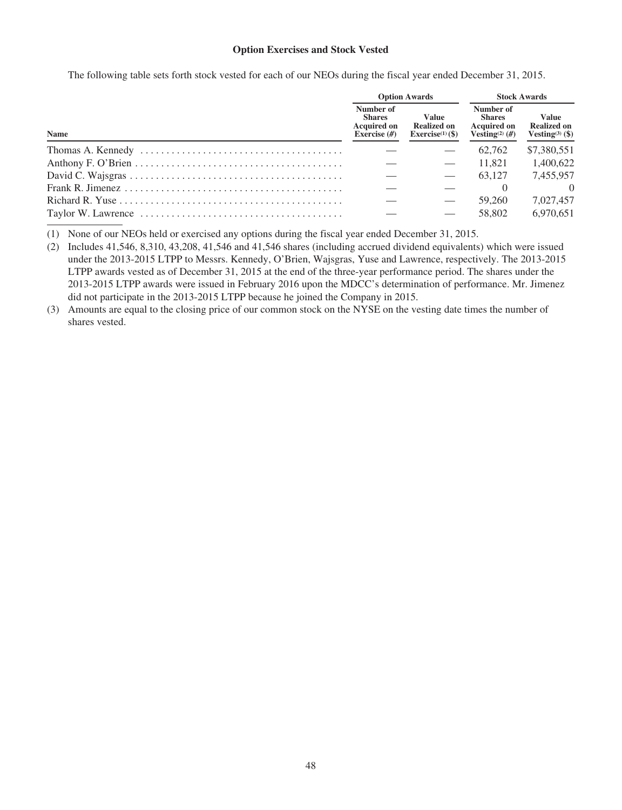# **Option Exercises and Stock Vested**

The following table sets forth stock vested for each of our NEOs during the fiscal year ended December 31, 2015.

|             |  | <b>Option Awards</b>                                               | <b>Stock Awards</b>                                                              |                                                                   |  |
|-------------|--|--------------------------------------------------------------------|----------------------------------------------------------------------------------|-------------------------------------------------------------------|--|
| <b>Name</b> |  | <b>Value</b><br><b>Realized on</b><br>Exercise <sup>(1)</sup> (\$) | Number of<br><b>Shares</b><br><b>Acquired on</b><br>Vesting <sup>(2)</sup> $(H)$ | <b>Value</b><br><b>Realized on</b><br>Vesting <sup>(3)</sup> (\$) |  |
|             |  |                                                                    | 62.762                                                                           | \$7,380,551                                                       |  |
|             |  |                                                                    | 11.821                                                                           | 1.400.622                                                         |  |
|             |  |                                                                    | 63.127                                                                           | 7,455,957                                                         |  |
|             |  |                                                                    |                                                                                  | $\Omega$                                                          |  |
|             |  |                                                                    | 59,260                                                                           | 7.027.457                                                         |  |
|             |  |                                                                    | 58,802                                                                           | 6,970,651                                                         |  |

(1) None of our NEOs held or exercised any options during the fiscal year ended December 31, 2015.

(2) Includes 41,546, 8,310, 43,208, 41,546 and 41,546 shares (including accrued dividend equivalents) which were issued under the 2013-2015 LTPP to Messrs. Kennedy, O'Brien, Wajsgras, Yuse and Lawrence, respectively. The 2013-2015 LTPP awards vested as of December 31, 2015 at the end of the three-year performance period. The shares under the 2013-2015 LTPP awards were issued in February 2016 upon the MDCC's determination of performance. Mr. Jimenez did not participate in the 2013-2015 LTPP because he joined the Company in 2015.

(3) Amounts are equal to the closing price of our common stock on the NYSE on the vesting date times the number of shares vested.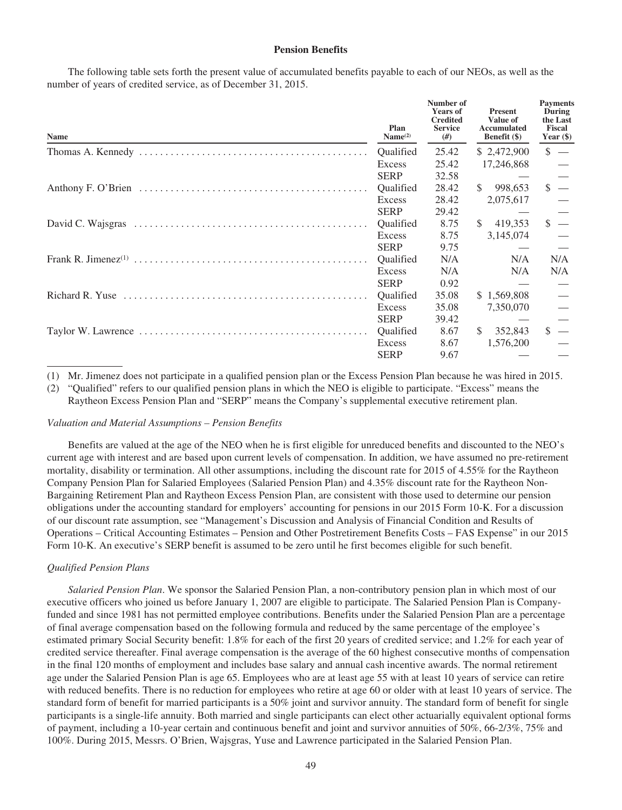## **Pension Benefits**

The following table sets forth the present value of accumulated benefits payable to each of our NEOs, as well as the number of years of credited service, as of December 31, 2015.

| <b>Name</b> | Plan<br>Name <sup>(2)</sup> | Number of<br><b>Years of</b><br><b>Credited</b><br><b>Service</b><br>#) | <b>Present</b><br>Value of<br>Accumulated<br><b>Benefit</b> (\$) | <b>Payments</b><br>During<br>the Last<br><b>Fiscal</b><br>Year $(\$)$ |
|-------------|-----------------------------|-------------------------------------------------------------------------|------------------------------------------------------------------|-----------------------------------------------------------------------|
|             | <b>Oualified</b>            | 25.42                                                                   | \$ 2,472,900                                                     | $\frac{1}{2}$ –                                                       |
|             | Excess                      | 25.42                                                                   | 17,246,868                                                       |                                                                       |
|             | <b>SERP</b>                 | 32.58                                                                   |                                                                  |                                                                       |
|             | <b>Oualified</b>            | 28.42                                                                   | 998,653<br><sup>\$</sup>                                         | \$.                                                                   |
|             | Excess                      | 28.42                                                                   | 2,075,617                                                        |                                                                       |
|             | <b>SERP</b>                 | 29.42                                                                   |                                                                  |                                                                       |
|             | Qualified                   | 8.75                                                                    | 419,353<br><sup>\$</sup>                                         | \$                                                                    |
|             | Excess                      | 8.75                                                                    | 3,145,074                                                        |                                                                       |
|             | <b>SERP</b>                 | 9.75                                                                    |                                                                  |                                                                       |
|             | Qualified                   | N/A                                                                     | N/A                                                              | N/A                                                                   |
|             | Excess                      | N/A                                                                     | N/A                                                              | N/A                                                                   |
|             | <b>SERP</b>                 | 0.92                                                                    |                                                                  |                                                                       |
|             | Qualified                   | 35.08                                                                   | \$1,569,808                                                      |                                                                       |
|             | Excess                      | 35.08                                                                   | 7,350,070                                                        |                                                                       |
|             | <b>SERP</b>                 | 39.42                                                                   |                                                                  |                                                                       |
|             | Qualified                   | 8.67                                                                    | <sup>\$</sup><br>352,843                                         | S                                                                     |
|             | Excess                      | 8.67                                                                    | 1,576,200                                                        |                                                                       |
|             | <b>SERP</b>                 | 9.67                                                                    |                                                                  |                                                                       |

(1) Mr. Jimenez does not participate in a qualified pension plan or the Excess Pension Plan because he was hired in 2015.

(2) "Qualified" refers to our qualified pension plans in which the NEO is eligible to participate. "Excess" means the

Raytheon Excess Pension Plan and "SERP" means the Company's supplemental executive retirement plan.

#### *Valuation and Material Assumptions – Pension Benefits*

Benefits are valued at the age of the NEO when he is first eligible for unreduced benefits and discounted to the NEO's current age with interest and are based upon current levels of compensation. In addition, we have assumed no pre-retirement mortality, disability or termination. All other assumptions, including the discount rate for 2015 of 4.55% for the Raytheon Company Pension Plan for Salaried Employees (Salaried Pension Plan) and 4.35% discount rate for the Raytheon Non-Bargaining Retirement Plan and Raytheon Excess Pension Plan, are consistent with those used to determine our pension obligations under the accounting standard for employers' accounting for pensions in our 2015 Form 10-K. For a discussion of our discount rate assumption, see "Management's Discussion and Analysis of Financial Condition and Results of Operations – Critical Accounting Estimates – Pension and Other Postretirement Benefits Costs – FAS Expense" in our 2015 Form 10-K. An executive's SERP benefit is assumed to be zero until he first becomes eligible for such benefit.

#### *Qualified Pension Plans*

*Salaried Pension Plan*. We sponsor the Salaried Pension Plan, a non-contributory pension plan in which most of our executive officers who joined us before January 1, 2007 are eligible to participate. The Salaried Pension Plan is Companyfunded and since 1981 has not permitted employee contributions. Benefits under the Salaried Pension Plan are a percentage of final average compensation based on the following formula and reduced by the same percentage of the employee's estimated primary Social Security benefit: 1.8% for each of the first 20 years of credited service; and 1.2% for each year of credited service thereafter. Final average compensation is the average of the 60 highest consecutive months of compensation in the final 120 months of employment and includes base salary and annual cash incentive awards. The normal retirement age under the Salaried Pension Plan is age 65. Employees who are at least age 55 with at least 10 years of service can retire with reduced benefits. There is no reduction for employees who retire at age 60 or older with at least 10 years of service. The standard form of benefit for married participants is a 50% joint and survivor annuity. The standard form of benefit for single participants is a single-life annuity. Both married and single participants can elect other actuarially equivalent optional forms of payment, including a 10-year certain and continuous benefit and joint and survivor annuities of 50%, 66-2/3%, 75% and 100%. During 2015, Messrs. O'Brien, Wajsgras, Yuse and Lawrence participated in the Salaried Pension Plan.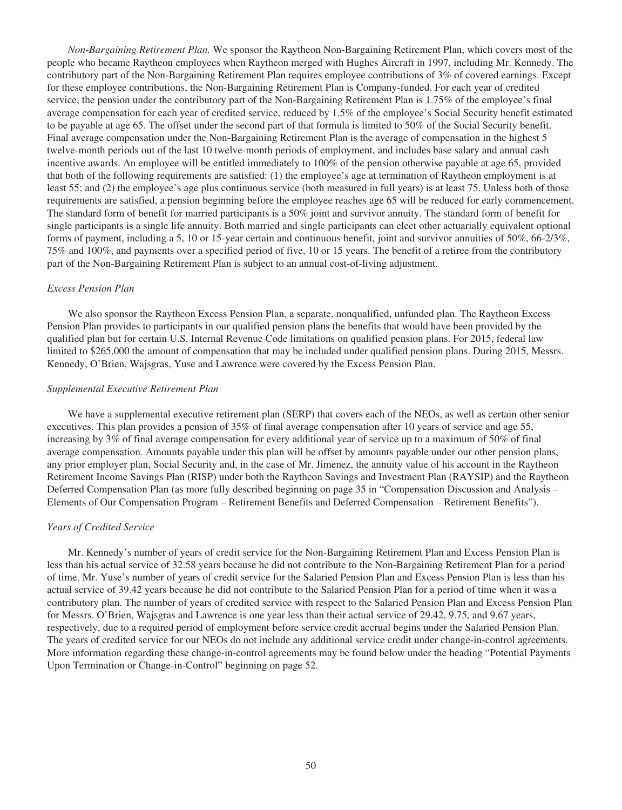*Non-Bargaining Retirement Plan.* We sponsor the Raytheon Non-Bargaining Retirement Plan, which covers most of the people who became Raytheon employees when Raytheon merged with Hughes Aircraft in 1997, including Mr. Kennedy. The contributory part of the Non-Bargaining Retirement Plan requires employee contributions of 3% of covered earnings. Except for these employee contributions, the Non-Bargaining Retirement Plan is Company-funded. For each year of credited service, the pension under the contributory part of the Non-Bargaining Retirement Plan is 1.75% of the employee's final average compensation for each year of credited service, reduced by 1.5% of the employee's Social Security benefit estimated to be payable at age 65. The offset under the second part of that formula is limited to 50% of the Social Security benefit. Final average compensation under the Non-Bargaining Retirement Plan is the average of compensation in the highest 5 twelve-month periods out of the last 10 twelve-month periods of employment, and includes base salary and annual cash incentive awards. An employee will be entitled immediately to 100% of the pension otherwise payable at age 65, provided that both of the following requirements are satisfied: (1) the employee's age at termination of Raytheon employment is at least 55; and (2) the employee's age plus continuous service (both measured in full years) is at least 75. Unless both of those requirements are satisfied, a pension beginning before the employee reaches age 65 will be reduced for early commencement. The standard form of benefit for married participants is a 50% joint and survivor annuity. The standard form of benefit for single participants is a single life annuity. Both married and single participants can elect other actuarially equivalent optional forms of payment, including a 5, 10 or 15-year certain and continuous benefit, joint and survivor annuities of 50%, 66-2/3%, 75% and 100%, and payments over a specified period of five, 10 or 15 years. The benefit of a retiree from the contributory part of the Non-Bargaining Retirement Plan is subject to an annual cost-of-living adjustment.

#### *Excess Pension Plan*

We also sponsor the Raytheon Excess Pension Plan, a separate, nonqualified, unfunded plan. The Raytheon Excess Pension Plan provides to participants in our qualified pension plans the benefits that would have been provided by the qualified plan but for certain U.S. Internal Revenue Code limitations on qualified pension plans. For 2015, federal law limited to \$265,000 the amount of compensation that may be included under qualified pension plans. During 2015, Messrs. Kennedy, O'Brien, Wajsgras, Yuse and Lawrence were covered by the Excess Pension Plan.

#### *Supplemental Executive Retirement Plan*

We have a supplemental executive retirement plan (SERP) that covers each of the NEOs, as well as certain other senior executives. This plan provides a pension of 35% of final average compensation after 10 years of service and age 55, increasing by 3% of final average compensation for every additional year of service up to a maximum of 50% of final average compensation. Amounts payable under this plan will be offset by amounts payable under our other pension plans, any prior employer plan, Social Security and, in the case of Mr. Jimenez, the annuity value of his account in the Raytheon Retirement Income Savings Plan (RISP) under both the Raytheon Savings and Investment Plan (RAYSIP) and the Raytheon Deferred Compensation Plan (as more fully described beginning on page 35 in "Compensation Discussion and Analysis – Elements of Our Compensation Program – Retirement Benefits and Deferred Compensation – Retirement Benefits").

#### *Years of Credited Service*

Mr. Kennedy's number of years of credit service for the Non-Bargaining Retirement Plan and Excess Pension Plan is less than his actual service of 32.58 years because he did not contribute to the Non-Bargaining Retirement Plan for a period of time. Mr. Yuse's number of years of credit service for the Salaried Pension Plan and Excess Pension Plan is less than his actual service of 39.42 years because he did not contribute to the Salaried Pension Plan for a period of time when it was a contributory plan. The number of years of credited service with respect to the Salaried Pension Plan and Excess Pension Plan for Messrs. O'Brien, Wajsgras and Lawrence is one year less than their actual service of 29.42, 9.75, and 9.67 years, respectively, due to a required period of employment before service credit accrual begins under the Salaried Pension Plan. The years of credited service for our NEOs do not include any additional service credit under change-in-control agreements. More information regarding these change-in-control agreements may be found below under the heading "Potential Payments Upon Termination or Change-in-Control" beginning on page 52.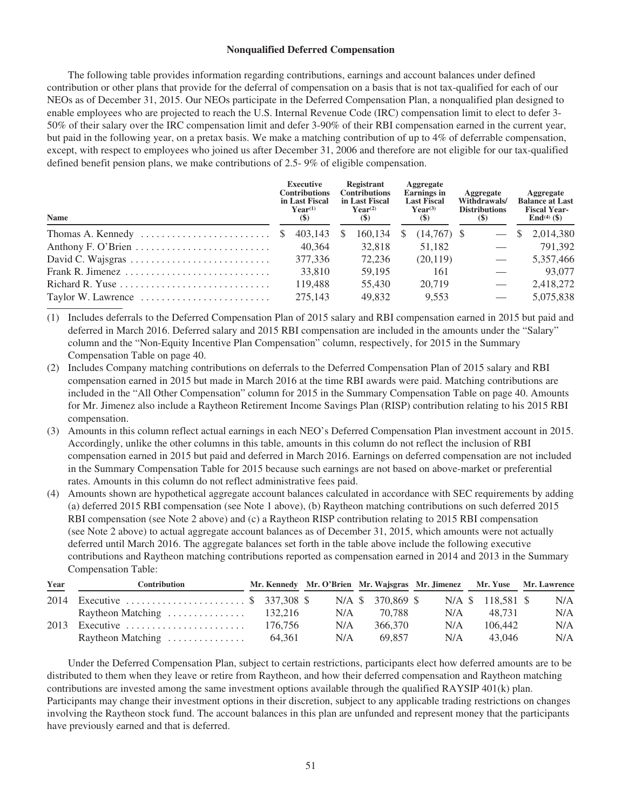## **Nonqualified Deferred Compensation**

The following table provides information regarding contributions, earnings and account balances under defined contribution or other plans that provide for the deferral of compensation on a basis that is not tax-qualified for each of our NEOs as of December 31, 2015. Our NEOs participate in the Deferred Compensation Plan, a nonqualified plan designed to enable employees who are projected to reach the U.S. Internal Revenue Code (IRC) compensation limit to elect to defer 3- 50% of their salary over the IRC compensation limit and defer 3-90% of their RBI compensation earned in the current year, but paid in the following year, on a pretax basis. We make a matching contribution of up to 4% of deferrable compensation, except, with respect to employees who joined us after December 31, 2006 and therefore are not eligible for our tax-qualified defined benefit pension plans, we make contributions of 2.5- 9% of eligible compensation.

| <b>Name</b>                                                      |  | <b>Executive</b><br><b>Contributions</b><br>in Last Fiscal<br>$\mathbf{Year}^{(1)}$<br>(5) |  | Registrant<br><b>Contributions</b><br>in Last Fiscal<br>$Year^{(2)}$<br>$(\mathbb{S})$ |  | Aggregate<br><b>Earnings</b> in<br><b>Last Fiscal</b><br>$Year^{(3)}$<br><b>(\$)</b> |  | Aggregate<br>Withdrawals/<br><b>Distributions</b><br>(S) |              | Aggregate<br><b>Balance at Last</b><br><b>Fiscal Year-</b><br><b>End</b> <sup>(4)</sup> (\$) |  |
|------------------------------------------------------------------|--|--------------------------------------------------------------------------------------------|--|----------------------------------------------------------------------------------------|--|--------------------------------------------------------------------------------------|--|----------------------------------------------------------|--------------|----------------------------------------------------------------------------------------------|--|
| Thomas A. Kennedy $\dots \dots \dots \dots \dots \dots \dots$ \$ |  | $403,143$ \$                                                                               |  | 160.134                                                                                |  | $(14,767)$ \$                                                                        |  |                                                          | <sup>S</sup> | 2,014,380                                                                                    |  |
|                                                                  |  | 40.364                                                                                     |  | 32.818                                                                                 |  | 51,182                                                                               |  |                                                          |              | 791.392                                                                                      |  |
|                                                                  |  | 377,336                                                                                    |  | 72.236                                                                                 |  | (20, 119)                                                                            |  |                                                          |              | 5,357,466                                                                                    |  |
|                                                                  |  | 33,810                                                                                     |  | 59.195                                                                                 |  | 161                                                                                  |  |                                                          |              | 93,077                                                                                       |  |
| Richard R. Yuse                                                  |  | 119.488                                                                                    |  | 55,430                                                                                 |  | 20,719                                                                               |  |                                                          |              | 2,418,272                                                                                    |  |
| Taylor W. Lawrence                                               |  | 275,143                                                                                    |  | 49.832                                                                                 |  | 9.553                                                                                |  |                                                          |              | 5,075,838                                                                                    |  |

(1) Includes deferrals to the Deferred Compensation Plan of 2015 salary and RBI compensation earned in 2015 but paid and deferred in March 2016. Deferred salary and 2015 RBI compensation are included in the amounts under the "Salary" column and the "Non-Equity Incentive Plan Compensation" column, respectively, for 2015 in the Summary Compensation Table on page 40.

- (2) Includes Company matching contributions on deferrals to the Deferred Compensation Plan of 2015 salary and RBI compensation earned in 2015 but made in March 2016 at the time RBI awards were paid. Matching contributions are included in the "All Other Compensation" column for 2015 in the Summary Compensation Table on page 40. Amounts for Mr. Jimenez also include a Raytheon Retirement Income Savings Plan (RISP) contribution relating to his 2015 RBI compensation.
- (3) Amounts in this column reflect actual earnings in each NEO's Deferred Compensation Plan investment account in 2015. Accordingly, unlike the other columns in this table, amounts in this column do not reflect the inclusion of RBI compensation earned in 2015 but paid and deferred in March 2016. Earnings on deferred compensation are not included in the Summary Compensation Table for 2015 because such earnings are not based on above-market or preferential rates. Amounts in this column do not reflect administrative fees paid.
- (4) Amounts shown are hypothetical aggregate account balances calculated in accordance with SEC requirements by adding (a) deferred 2015 RBI compensation (see Note 1 above), (b) Raytheon matching contributions on such deferred 2015 RBI compensation (see Note 2 above) and (c) a Raytheon RISP contribution relating to 2015 RBI compensation (see Note 2 above) to actual aggregate account balances as of December 31, 2015, which amounts were not actually deferred until March 2016. The aggregate balances set forth in the table above include the following executive contributions and Raytheon matching contributions reported as compensation earned in 2014 and 2013 in the Summary Compensation Table:

| Year | Contribution                                                   |         |     |                   | Mr. Kennedy Mr. O'Brien Mr. Wajsgras Mr. Jimenez Mr. Yuse Mr. Lawrence |                   |     |
|------|----------------------------------------------------------------|---------|-----|-------------------|------------------------------------------------------------------------|-------------------|-----|
|      | 2014 Executive  \$ 337,308 \$                                  |         |     | N/A \$ 370,869 \$ |                                                                        | N/A \$ 118.581 \$ | N/A |
|      | Raytheon Matching $\ldots \ldots \ldots \ldots \ldots$ 132,216 |         | N/A | 70.788            | N/A                                                                    | 48.731            | N/A |
|      | $2013$ Executive                                               | 176.756 | N/A | 366,370           | N/A                                                                    | 106.442           | N/A |
|      | Raytheon Matching                                              | 64.361  | N/A | 69.857            | N/A                                                                    | 43.046            | N/A |

Under the Deferred Compensation Plan, subject to certain restrictions, participants elect how deferred amounts are to be distributed to them when they leave or retire from Raytheon, and how their deferred compensation and Raytheon matching contributions are invested among the same investment options available through the qualified RAYSIP 401(k) plan. Participants may change their investment options in their discretion, subject to any applicable trading restrictions on changes involving the Raytheon stock fund. The account balances in this plan are unfunded and represent money that the participants have previously earned and that is deferred.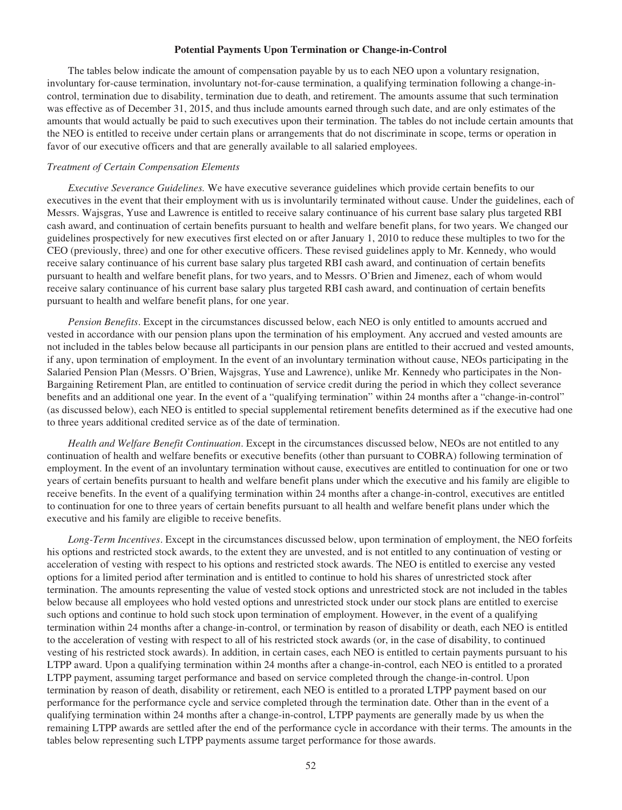#### **Potential Payments Upon Termination or Change-in-Control**

The tables below indicate the amount of compensation payable by us to each NEO upon a voluntary resignation, involuntary for-cause termination, involuntary not-for-cause termination, a qualifying termination following a change-incontrol, termination due to disability, termination due to death, and retirement. The amounts assume that such termination was effective as of December 31, 2015, and thus include amounts earned through such date, and are only estimates of the amounts that would actually be paid to such executives upon their termination. The tables do not include certain amounts that the NEO is entitled to receive under certain plans or arrangements that do not discriminate in scope, terms or operation in favor of our executive officers and that are generally available to all salaried employees.

#### *Treatment of Certain Compensation Elements*

*Executive Severance Guidelines.* We have executive severance guidelines which provide certain benefits to our executives in the event that their employment with us is involuntarily terminated without cause. Under the guidelines, each of Messrs. Wajsgras, Yuse and Lawrence is entitled to receive salary continuance of his current base salary plus targeted RBI cash award, and continuation of certain benefits pursuant to health and welfare benefit plans, for two years. We changed our guidelines prospectively for new executives first elected on or after January 1, 2010 to reduce these multiples to two for the CEO (previously, three) and one for other executive officers. These revised guidelines apply to Mr. Kennedy, who would receive salary continuance of his current base salary plus targeted RBI cash award, and continuation of certain benefits pursuant to health and welfare benefit plans, for two years, and to Messrs. O'Brien and Jimenez, each of whom would receive salary continuance of his current base salary plus targeted RBI cash award, and continuation of certain benefits pursuant to health and welfare benefit plans, for one year.

*Pension Benefits*. Except in the circumstances discussed below, each NEO is only entitled to amounts accrued and vested in accordance with our pension plans upon the termination of his employment. Any accrued and vested amounts are not included in the tables below because all participants in our pension plans are entitled to their accrued and vested amounts, if any, upon termination of employment. In the event of an involuntary termination without cause, NEOs participating in the Salaried Pension Plan (Messrs. O'Brien, Wajsgras, Yuse and Lawrence), unlike Mr. Kennedy who participates in the Non-Bargaining Retirement Plan, are entitled to continuation of service credit during the period in which they collect severance benefits and an additional one year. In the event of a "qualifying termination" within 24 months after a "change-in-control" (as discussed below), each NEO is entitled to special supplemental retirement benefits determined as if the executive had one to three years additional credited service as of the date of termination.

*Health and Welfare Benefit Continuation*. Except in the circumstances discussed below, NEOs are not entitled to any continuation of health and welfare benefits or executive benefits (other than pursuant to COBRA) following termination of employment. In the event of an involuntary termination without cause, executives are entitled to continuation for one or two years of certain benefits pursuant to health and welfare benefit plans under which the executive and his family are eligible to receive benefits. In the event of a qualifying termination within 24 months after a change-in-control, executives are entitled to continuation for one to three years of certain benefits pursuant to all health and welfare benefit plans under which the executive and his family are eligible to receive benefits.

*Long-Term Incentives*. Except in the circumstances discussed below, upon termination of employment, the NEO forfeits his options and restricted stock awards, to the extent they are unvested, and is not entitled to any continuation of vesting or acceleration of vesting with respect to his options and restricted stock awards. The NEO is entitled to exercise any vested options for a limited period after termination and is entitled to continue to hold his shares of unrestricted stock after termination. The amounts representing the value of vested stock options and unrestricted stock are not included in the tables below because all employees who hold vested options and unrestricted stock under our stock plans are entitled to exercise such options and continue to hold such stock upon termination of employment. However, in the event of a qualifying termination within 24 months after a change-in-control, or termination by reason of disability or death, each NEO is entitled to the acceleration of vesting with respect to all of his restricted stock awards (or, in the case of disability, to continued vesting of his restricted stock awards). In addition, in certain cases, each NEO is entitled to certain payments pursuant to his LTPP award. Upon a qualifying termination within 24 months after a change-in-control, each NEO is entitled to a prorated LTPP payment, assuming target performance and based on service completed through the change-in-control. Upon termination by reason of death, disability or retirement, each NEO is entitled to a prorated LTPP payment based on our performance for the performance cycle and service completed through the termination date. Other than in the event of a qualifying termination within 24 months after a change-in-control, LTPP payments are generally made by us when the remaining LTPP awards are settled after the end of the performance cycle in accordance with their terms. The amounts in the tables below representing such LTPP payments assume target performance for those awards.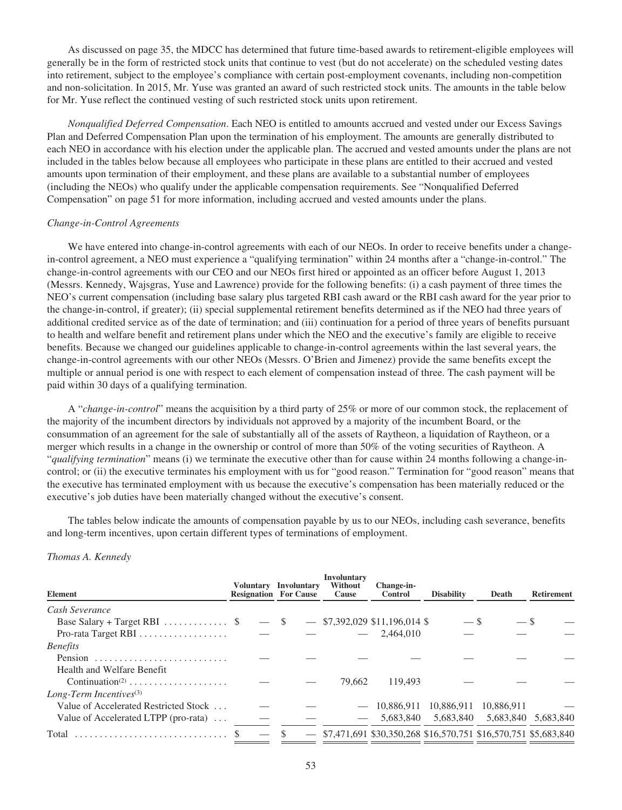As discussed on page 35, the MDCC has determined that future time-based awards to retirement-eligible employees will generally be in the form of restricted stock units that continue to vest (but do not accelerate) on the scheduled vesting dates into retirement, subject to the employee's compliance with certain post-employment covenants, including non-competition and non-solicitation. In 2015, Mr. Yuse was granted an award of such restricted stock units. The amounts in the table below for Mr. Yuse reflect the continued vesting of such restricted stock units upon retirement.

*Nonqualified Deferred Compensation*. Each NEO is entitled to amounts accrued and vested under our Excess Savings Plan and Deferred Compensation Plan upon the termination of his employment. The amounts are generally distributed to each NEO in accordance with his election under the applicable plan. The accrued and vested amounts under the plans are not included in the tables below because all employees who participate in these plans are entitled to their accrued and vested amounts upon termination of their employment, and these plans are available to a substantial number of employees (including the NEOs) who qualify under the applicable compensation requirements. See "Nonqualified Deferred Compensation" on page 51 for more information, including accrued and vested amounts under the plans.

#### *Change-in-Control Agreements*

We have entered into change-in-control agreements with each of our NEOs. In order to receive benefits under a changein-control agreement, a NEO must experience a "qualifying termination" within 24 months after a "change-in-control." The change-in-control agreements with our CEO and our NEOs first hired or appointed as an officer before August 1, 2013 (Messrs. Kennedy, Wajsgras, Yuse and Lawrence) provide for the following benefits: (i) a cash payment of three times the NEO's current compensation (including base salary plus targeted RBI cash award or the RBI cash award for the year prior to the change-in-control, if greater); (ii) special supplemental retirement benefits determined as if the NEO had three years of additional credited service as of the date of termination; and (iii) continuation for a period of three years of benefits pursuant to health and welfare benefit and retirement plans under which the NEO and the executive's family are eligible to receive benefits. Because we changed our guidelines applicable to change-in-control agreements within the last several years, the change-in-control agreements with our other NEOs (Messrs. O'Brien and Jimenez) provide the same benefits except the multiple or annual period is one with respect to each element of compensation instead of three. The cash payment will be paid within 30 days of a qualifying termination.

A "*change-in-control*" means the acquisition by a third party of 25% or more of our common stock, the replacement of the majority of the incumbent directors by individuals not approved by a majority of the incumbent Board, or the consummation of an agreement for the sale of substantially all of the assets of Raytheon, a liquidation of Raytheon, or a merger which results in a change in the ownership or control of more than 50% of the voting securities of Raytheon. A "*qualifying termination*" means (i) we terminate the executive other than for cause within 24 months following a change-incontrol; or (ii) the executive terminates his employment with us for "good reason." Termination for "good reason" means that the executive has terminated employment with us because the executive's compensation has been materially reduced or the executive's job duties have been materially changed without the executive's consent.

The tables below indicate the amounts of compensation payable by us to our NEOs, including cash severance, benefits and long-term incentives, upon certain different types of terminations of employment.

#### *Thomas A. Kennedy*

| Element                                            | <b>Resignation For Cause</b> |        | Voluntary Involuntary | Involuntary<br>Without<br>Cause | Change-in-<br><b>Control</b>                                       | <b>Disability</b> | Death      | <b>Retirement</b> |
|----------------------------------------------------|------------------------------|--------|-----------------------|---------------------------------|--------------------------------------------------------------------|-------------------|------------|-------------------|
| Cash Severance                                     |                              |        |                       |                                 |                                                                    |                   |            |                   |
| Base Salary + Target RBI $\ldots \ldots \ldots$ \$ |                              | $-$ \$ |                       |                                 | $-$ \$7,392,029 \$11,196,014 \$                                    | $-$ \$            |            |                   |
|                                                    |                              |        |                       |                                 | $-2,464,010$                                                       |                   |            |                   |
| <b>Benefits</b>                                    |                              |        |                       |                                 |                                                                    |                   |            |                   |
| Pension                                            |                              |        |                       |                                 |                                                                    |                   |            |                   |
| Health and Welfare Benefit                         |                              |        |                       |                                 |                                                                    |                   |            |                   |
| Continuation <sup>(2)</sup>                        |                              |        |                       | 79.662                          | 119.493                                                            |                   |            |                   |
| Long-Term Incentives $(3)$                         |                              |        |                       |                                 |                                                                    |                   |            |                   |
| Value of Accelerated Restricted Stock              |                              |        |                       |                                 | 10.886.911                                                         | 10.886.911        | 10.886.911 |                   |
| Value of Accelerated LTPP (pro-rata) $\dots$       |                              |        |                       |                                 | 5.683.840                                                          | 5,683,840         | 5,683,840  | 5,683,840         |
|                                                    |                              |        |                       |                                 | $-$ \$7,471,691 \$30,350,268 \$16,570,751 \$16,570,751 \$5,683,840 |                   |            |                   |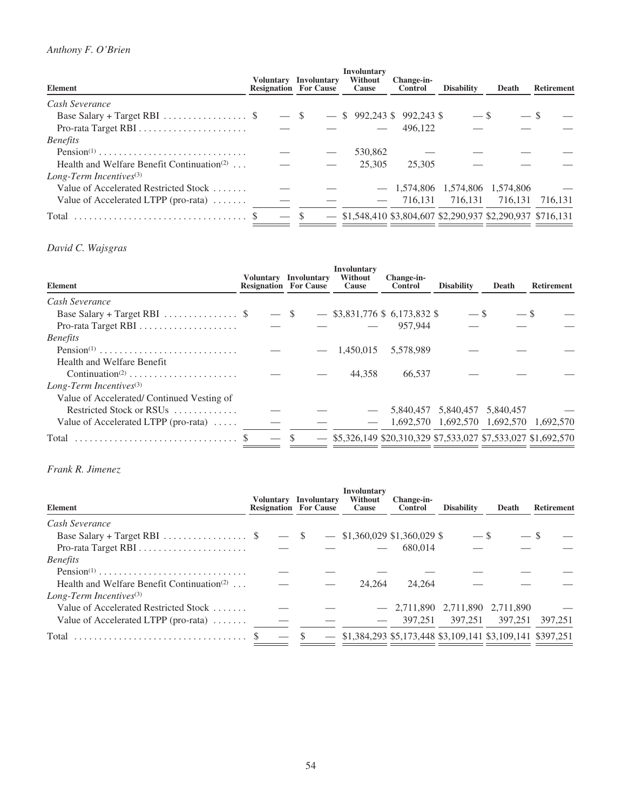# *Anthony F. O'Brien*

| <b>Element</b>                                            |                          | Voluntary Involuntary<br><b>Resignation For Cause</b> | <b>Involuntary</b><br><b>Without</b><br><b>Cause</b> | Change-in-<br>Control | <b>Disability</b>   | Death                                                         | <b>Retirement</b> |
|-----------------------------------------------------------|--------------------------|-------------------------------------------------------|------------------------------------------------------|-----------------------|---------------------|---------------------------------------------------------------|-------------------|
| Cash Severance                                            |                          |                                                       |                                                      |                       |                     |                                                               |                   |
| Base Salary + Target RBI $\ldots \ldots \ldots \ldots$ \$ |                          | $-$ \$                                                | $-$ \$ 992,243 \$ 992,243 \$                         |                       | $-$ \$              |                                                               |                   |
| Pro-rata Target RBI                                       | $\overline{\phantom{a}}$ |                                                       |                                                      | 496.122               |                     |                                                               |                   |
| <b>Benefits</b>                                           |                          |                                                       |                                                      |                       |                     |                                                               |                   |
|                                                           |                          |                                                       | 530,862                                              |                       |                     |                                                               |                   |
| Health and Welfare Benefit Continuation <sup>(2)</sup>    |                          |                                                       | 25,305                                               | 25,305                |                     |                                                               |                   |
| $Long-Term$ Incentives <sup>(3)</sup>                     |                          |                                                       |                                                      |                       |                     |                                                               |                   |
| Value of Accelerated Restricted Stock                     |                          |                                                       |                                                      |                       |                     | $- 1,574,806 \quad 1,574,806 \quad 1,574,806$                 |                   |
| Value of Accelerated LTPP (pro-rata)                      |                          |                                                       |                                                      |                       | $-$ 716.131 716.131 |                                                               | 716.131 716.131   |
|                                                           |                          |                                                       |                                                      |                       |                     | $-$ \$1,548,410 \$3,804,607 \$2,290,937 \$2,290,937 \$716,131 |                   |

# *David C. Wajsgras*

| Element                                                   | Voluntary Involuntary<br><b>Resignation For Cause</b> |        | <b>Involuntary</b><br>Without<br>Cause | Change-in-<br><b>Control</b>                                     | <b>Disability</b> | Death                                   | <b>Retirement</b> |
|-----------------------------------------------------------|-------------------------------------------------------|--------|----------------------------------------|------------------------------------------------------------------|-------------------|-----------------------------------------|-------------------|
| Cash Severance                                            |                                                       |        |                                        |                                                                  |                   |                                         |                   |
| Base Salary + Target RBI $\ldots \ldots \ldots \ldots$ \$ |                                                       | $-$ \$ |                                        | $-$ \$3,831,776 \$ 6,173,832 \$                                  | $-$ \$            | — \$                                    |                   |
|                                                           |                                                       |        |                                        | 957.944                                                          |                   |                                         |                   |
| <i>Benefits</i>                                           |                                                       |        |                                        |                                                                  |                   |                                         |                   |
| Pension <sup>(1)</sup>                                    |                                                       |        | 1.450.015                              | 5,578,989                                                        |                   |                                         |                   |
| Health and Welfare Benefit                                |                                                       |        |                                        |                                                                  |                   |                                         |                   |
| Continuation <sup>(2)</sup>                               |                                                       |        | 44.358                                 | 66.537                                                           |                   |                                         |                   |
| $Long-Term$ Incentives <sup>(3)</sup>                     |                                                       |        |                                        |                                                                  |                   |                                         |                   |
| Value of Accelerated/Continued Vesting of                 |                                                       |        |                                        |                                                                  |                   |                                         |                   |
| Restricted Stock or RSUs                                  |                                                       |        |                                        |                                                                  |                   | 5,840,457 5,840,457 5,840,457           |                   |
| Value of Accelerated LTPP (pro-rata) $\dots$              |                                                       |        |                                        |                                                                  |                   | 1,692,570 1,692,570 1,692,570 1,692,570 |                   |
| Total                                                     |                                                       |        |                                        | $-$ \$5,326,149 \$20,310,329 \$7,533,027 \$7,533,027 \$1,692,570 |                   |                                         |                   |

# *Frank R. Jimenez*

| <b>Element</b>                                            |        | Voluntary Involuntary<br><b>Resignation For Cause</b> | <b>Involuntary</b><br>Without<br>Cause                        | Change-in-<br><b>Control</b> | <b>Disability</b> | Death     | <b>Retirement</b> |
|-----------------------------------------------------------|--------|-------------------------------------------------------|---------------------------------------------------------------|------------------------------|-------------------|-----------|-------------------|
| Cash Severance                                            |        |                                                       |                                                               |                              |                   |           |                   |
| Base Salary + Target RBI $\ldots \ldots \ldots \ldots$ \$ | $-$ \$ |                                                       | $-$ \$1,360,029 \$1,360,029 \$                                |                              | $-$ \$            |           |                   |
|                                                           |        |                                                       |                                                               | 680,014                      |                   |           |                   |
| <b>Benefits</b>                                           |        |                                                       |                                                               |                              |                   |           |                   |
| $Pension(1)$                                              |        |                                                       |                                                               |                              |                   |           |                   |
| Health and Welfare Benefit Continuation <sup>(2)</sup>    |        |                                                       | 24,264                                                        | 24,264                       |                   |           |                   |
| $Long-Term$ Incentives <sup>(3)</sup>                     |        |                                                       |                                                               |                              |                   |           |                   |
| Value of Accelerated Restricted Stock                     |        |                                                       |                                                               | $-2,711,890$ 2,711,890       |                   | 2.711.890 |                   |
| Value of Accelerated LTPP (pro-rata)                      |        |                                                       |                                                               | 397.251                      | 397.251           | 397.251   | 397,251           |
|                                                           |        | -S                                                    | $-$ \$1,384,293 \$5,173,448 \$3,109,141 \$3,109,141 \$397,251 |                              |                   |           |                   |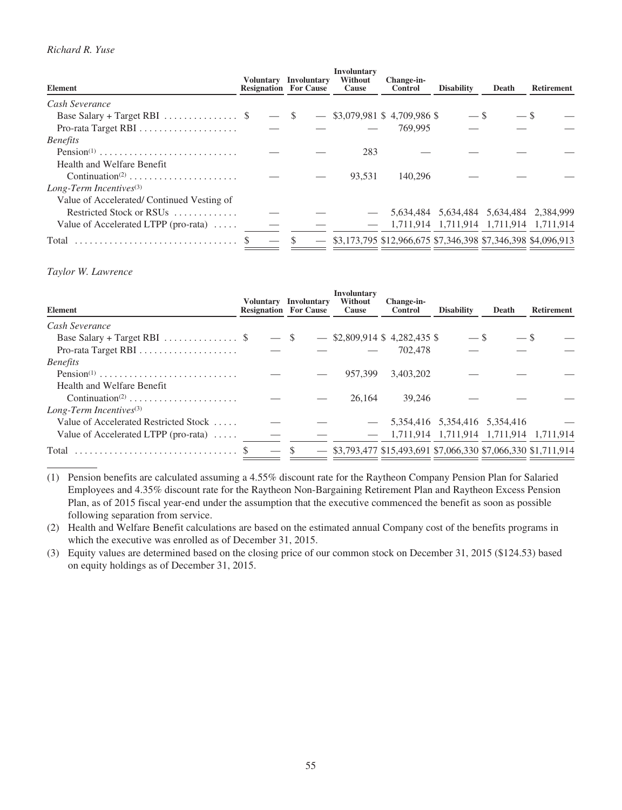# *Richard R. Yuse*

| <b>Element</b>                                            | <b>Resignation For Cause</b> | Voluntary Involuntary | Involuntary<br>Without<br>Cause | Change-in-<br><b>Control</b>                                     | <b>Disability</b> | Death                                   | <b>Retirement</b> |
|-----------------------------------------------------------|------------------------------|-----------------------|---------------------------------|------------------------------------------------------------------|-------------------|-----------------------------------------|-------------------|
| Cash Severance                                            |                              |                       |                                 |                                                                  |                   |                                         |                   |
| Base Salary + Target RBI $\ldots \ldots \ldots \ldots$ \$ | $-$ \$                       |                       |                                 | $-$ \$3,079,981 \$4,709,986 \$                                   | $-$ \$            | $-$ \$                                  |                   |
|                                                           | $\overline{\phantom{0}}$     |                       |                                 | 769,995                                                          |                   |                                         |                   |
| <i>Benefits</i>                                           |                              |                       |                                 |                                                                  |                   |                                         |                   |
| $Pension(1)$                                              |                              |                       | 283                             |                                                                  |                   |                                         |                   |
| Health and Welfare Benefit                                |                              |                       |                                 |                                                                  |                   |                                         |                   |
| Continuation <sup>(2)</sup>                               |                              |                       | 93.531                          | 140,296                                                          |                   |                                         |                   |
| Long-Term Incentives $(3)$                                |                              |                       |                                 |                                                                  |                   |                                         |                   |
| Value of Accelerated/Continued Vesting of                 |                              |                       |                                 |                                                                  |                   |                                         |                   |
| Restricted Stock or RSUs                                  |                              |                       |                                 |                                                                  |                   | 5,634,484 5,634,484 5,634,484 2,384,999 |                   |
| Value of Accelerated LTPP (pro-rata)                      |                              |                       |                                 |                                                                  |                   | 1,711,914 1,711,914 1,711,914 1,711,914 |                   |
| Total                                                     |                              |                       |                                 | $-$ \$3,173,795 \$12,966,675 \$7,346,398 \$7,346,398 \$4,096,913 |                   |                                         |                   |

## *Taylor W. Lawrence*

| <b>Element</b>                                            |        | Voluntary Involuntary<br><b>Resignation For Cause</b> | <b>Involuntary</b><br>Without<br>Cause | Change-in-<br><b>Control</b>                                     | <b>Disability</b>                       | Death | <b>Retirement</b> |
|-----------------------------------------------------------|--------|-------------------------------------------------------|----------------------------------------|------------------------------------------------------------------|-----------------------------------------|-------|-------------------|
| Cash Severance                                            |        |                                                       |                                        |                                                                  |                                         |       |                   |
| Base Salary + Target RBI $\ldots \ldots \ldots \ldots$ \$ | $-$ \$ |                                                       |                                        | $-$ \$2,809,914 \$4,282,435 \$                                   | $-$ S                                   |       |                   |
|                                                           |        |                                                       |                                        | 702,478                                                          |                                         |       |                   |
| <b>Benefits</b>                                           |        |                                                       |                                        |                                                                  |                                         |       |                   |
| Pension <sup>(1)</sup>                                    |        |                                                       | 957,399                                | 3.403.202                                                        |                                         |       |                   |
| Health and Welfare Benefit                                |        |                                                       |                                        |                                                                  |                                         |       |                   |
| Continuation <sup>(2)</sup>                               |        |                                                       | 26,164                                 | 39,246                                                           |                                         |       |                   |
| $Long-Term$ Incentives <sup>(3)</sup>                     |        |                                                       |                                        |                                                                  |                                         |       |                   |
| Value of Accelerated Restricted Stock                     |        |                                                       |                                        |                                                                  | 5,354,416 5,354,416 5,354,416           |       |                   |
| Value of Accelerated LTPP (pro-rata) $\dots$              |        |                                                       |                                        |                                                                  | 1,711,914 1,711,914 1,711,914 1,711,914 |       |                   |
| Total                                                     |        |                                                       |                                        | $-$ \$3,793,477 \$15,493,691 \$7,066,330 \$7,066,330 \$1,711,914 |                                         |       |                   |

(1) Pension benefits are calculated assuming a 4.55% discount rate for the Raytheon Company Pension Plan for Salaried Employees and 4.35% discount rate for the Raytheon Non-Bargaining Retirement Plan and Raytheon Excess Pension Plan, as of 2015 fiscal year-end under the assumption that the executive commenced the benefit as soon as possible following separation from service.

(2) Health and Welfare Benefit calculations are based on the estimated annual Company cost of the benefits programs in which the executive was enrolled as of December 31, 2015.

(3) Equity values are determined based on the closing price of our common stock on December 31, 2015 (\$124.53) based on equity holdings as of December 31, 2015.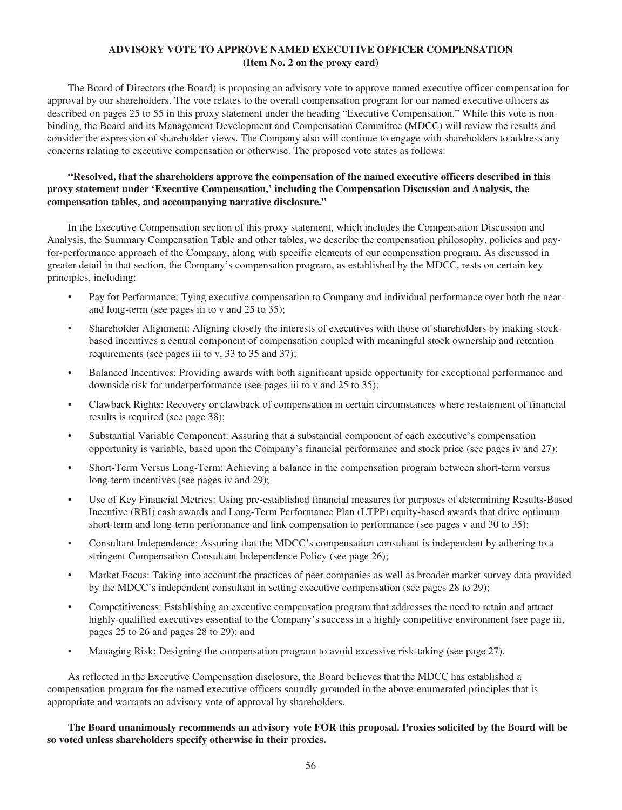# **ADVISORY VOTE TO APPROVE NAMED EXECUTIVE OFFICER COMPENSATION (Item No. 2 on the proxy card)**

The Board of Directors (the Board) is proposing an advisory vote to approve named executive officer compensation for approval by our shareholders. The vote relates to the overall compensation program for our named executive officers as described on pages 25 to 55 in this proxy statement under the heading "Executive Compensation." While this vote is nonbinding, the Board and its Management Development and Compensation Committee (MDCC) will review the results and consider the expression of shareholder views. The Company also will continue to engage with shareholders to address any concerns relating to executive compensation or otherwise. The proposed vote states as follows:

# **"Resolved, that the shareholders approve the compensation of the named executive officers described in this proxy statement under 'Executive Compensation,' including the Compensation Discussion and Analysis, the compensation tables, and accompanying narrative disclosure."**

In the Executive Compensation section of this proxy statement, which includes the Compensation Discussion and Analysis, the Summary Compensation Table and other tables, we describe the compensation philosophy, policies and payfor-performance approach of the Company, along with specific elements of our compensation program. As discussed in greater detail in that section, the Company's compensation program, as established by the MDCC, rests on certain key principles, including:

- Pay for Performance: Tying executive compensation to Company and individual performance over both the nearand long-term (see pages iii to v and 25 to 35);
- Shareholder Alignment: Aligning closely the interests of executives with those of shareholders by making stockbased incentives a central component of compensation coupled with meaningful stock ownership and retention requirements (see pages iii to v, 33 to 35 and 37);
- Balanced Incentives: Providing awards with both significant upside opportunity for exceptional performance and downside risk for underperformance (see pages iii to v and 25 to 35);
- Clawback Rights: Recovery or clawback of compensation in certain circumstances where restatement of financial results is required (see page 38);
- Substantial Variable Component: Assuring that a substantial component of each executive's compensation opportunity is variable, based upon the Company's financial performance and stock price (see pages iv and 27);
- Short-Term Versus Long-Term: Achieving a balance in the compensation program between short-term versus long-term incentives (see pages iv and 29);
- Use of Key Financial Metrics: Using pre-established financial measures for purposes of determining Results-Based Incentive (RBI) cash awards and Long-Term Performance Plan (LTPP) equity-based awards that drive optimum short-term and long-term performance and link compensation to performance (see pages v and 30 to 35);
- Consultant Independence: Assuring that the MDCC's compensation consultant is independent by adhering to a stringent Compensation Consultant Independence Policy (see page 26);
- Market Focus: Taking into account the practices of peer companies as well as broader market survey data provided by the MDCC's independent consultant in setting executive compensation (see pages 28 to 29);
- Competitiveness: Establishing an executive compensation program that addresses the need to retain and attract highly-qualified executives essential to the Company's success in a highly competitive environment (see page iii, pages 25 to 26 and pages 28 to 29); and
- Managing Risk: Designing the compensation program to avoid excessive risk-taking (see page 27).

As reflected in the Executive Compensation disclosure, the Board believes that the MDCC has established a compensation program for the named executive officers soundly grounded in the above-enumerated principles that is appropriate and warrants an advisory vote of approval by shareholders.

**The Board unanimously recommends an advisory vote FOR this proposal. Proxies solicited by the Board will be so voted unless shareholders specify otherwise in their proxies.**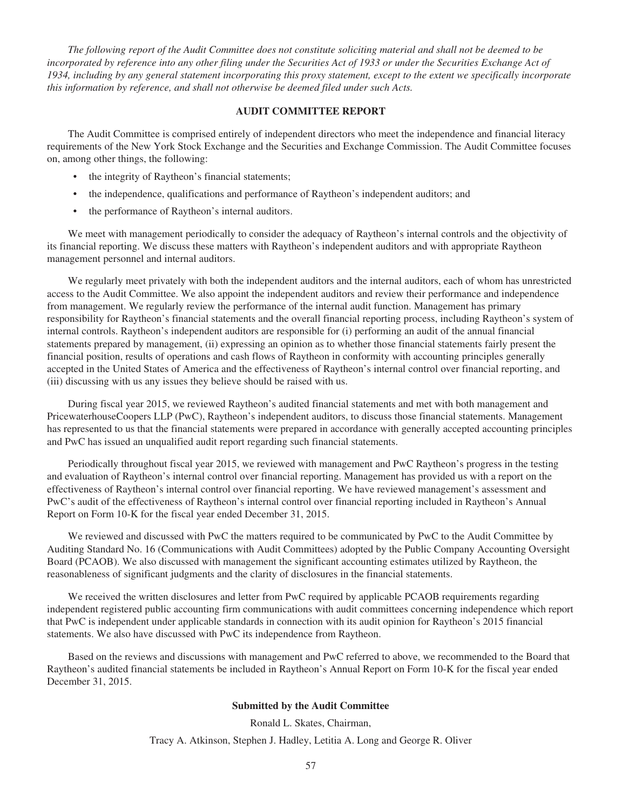*The following report of the Audit Committee does not constitute soliciting material and shall not be deemed to be incorporated by reference into any other filing under the Securities Act of 1933 or under the Securities Exchange Act of 1934, including by any general statement incorporating this proxy statement, except to the extent we specifically incorporate this information by reference, and shall not otherwise be deemed filed under such Acts.*

## **AUDIT COMMITTEE REPORT**

The Audit Committee is comprised entirely of independent directors who meet the independence and financial literacy requirements of the New York Stock Exchange and the Securities and Exchange Commission. The Audit Committee focuses on, among other things, the following:

- the integrity of Raytheon's financial statements;
- the independence, qualifications and performance of Raytheon's independent auditors; and
- the performance of Raytheon's internal auditors.

We meet with management periodically to consider the adequacy of Raytheon's internal controls and the objectivity of its financial reporting. We discuss these matters with Raytheon's independent auditors and with appropriate Raytheon management personnel and internal auditors.

We regularly meet privately with both the independent auditors and the internal auditors, each of whom has unrestricted access to the Audit Committee. We also appoint the independent auditors and review their performance and independence from management. We regularly review the performance of the internal audit function. Management has primary responsibility for Raytheon's financial statements and the overall financial reporting process, including Raytheon's system of internal controls. Raytheon's independent auditors are responsible for (i) performing an audit of the annual financial statements prepared by management, (ii) expressing an opinion as to whether those financial statements fairly present the financial position, results of operations and cash flows of Raytheon in conformity with accounting principles generally accepted in the United States of America and the effectiveness of Raytheon's internal control over financial reporting, and (iii) discussing with us any issues they believe should be raised with us.

During fiscal year 2015, we reviewed Raytheon's audited financial statements and met with both management and PricewaterhouseCoopers LLP (PwC), Raytheon's independent auditors, to discuss those financial statements. Management has represented to us that the financial statements were prepared in accordance with generally accepted accounting principles and PwC has issued an unqualified audit report regarding such financial statements.

Periodically throughout fiscal year 2015, we reviewed with management and PwC Raytheon's progress in the testing and evaluation of Raytheon's internal control over financial reporting. Management has provided us with a report on the effectiveness of Raytheon's internal control over financial reporting. We have reviewed management's assessment and PwC's audit of the effectiveness of Raytheon's internal control over financial reporting included in Raytheon's Annual Report on Form 10-K for the fiscal year ended December 31, 2015.

We reviewed and discussed with PwC the matters required to be communicated by PwC to the Audit Committee by Auditing Standard No. 16 (Communications with Audit Committees) adopted by the Public Company Accounting Oversight Board (PCAOB). We also discussed with management the significant accounting estimates utilized by Raytheon, the reasonableness of significant judgments and the clarity of disclosures in the financial statements.

We received the written disclosures and letter from PwC required by applicable PCAOB requirements regarding independent registered public accounting firm communications with audit committees concerning independence which report that PwC is independent under applicable standards in connection with its audit opinion for Raytheon's 2015 financial statements. We also have discussed with PwC its independence from Raytheon.

Based on the reviews and discussions with management and PwC referred to above, we recommended to the Board that Raytheon's audited financial statements be included in Raytheon's Annual Report on Form 10-K for the fiscal year ended December 31, 2015.

### **Submitted by the Audit Committee**

Ronald L. Skates, Chairman,

Tracy A. Atkinson, Stephen J. Hadley, Letitia A. Long and George R. Oliver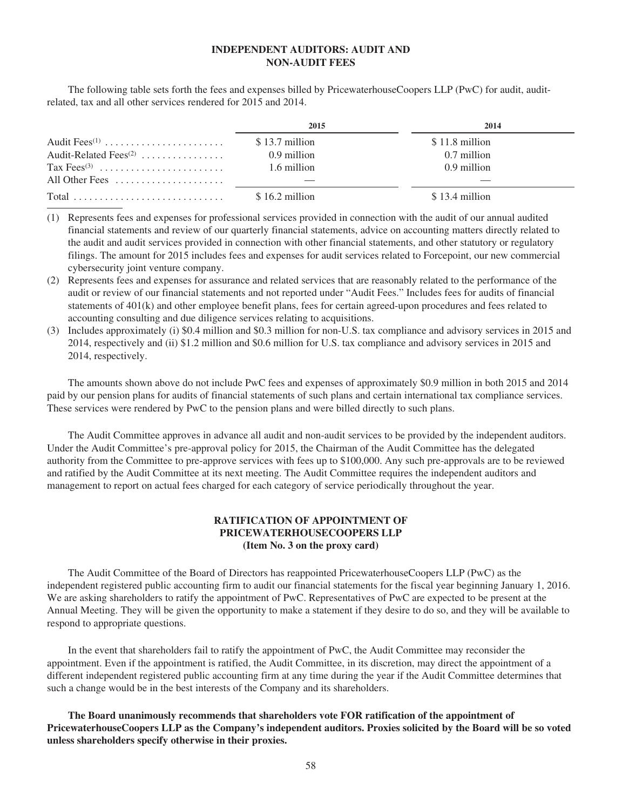# **INDEPENDENT AUDITORS: AUDIT AND NON-AUDIT FEES**

The following table sets forth the fees and expenses billed by PricewaterhouseCoopers LLP (PwC) for audit, auditrelated, tax and all other services rendered for 2015 and 2014.

|                                   | 2015            | 2014           |
|-----------------------------------|-----------------|----------------|
| Audit Fees $^{(1)}$               | \$13.7 million  | \$11.8 million |
| Audit-Related Fees <sup>(2)</sup> | 0.9 million     | 0.7 million    |
|                                   | 1.6 million     | 0.9 million    |
| All Other Fees                    |                 |                |
|                                   | $$16.2$ million | \$13.4 million |

<sup>(1)</sup> Represents fees and expenses for professional services provided in connection with the audit of our annual audited financial statements and review of our quarterly financial statements, advice on accounting matters directly related to the audit and audit services provided in connection with other financial statements, and other statutory or regulatory filings. The amount for 2015 includes fees and expenses for audit services related to Forcepoint, our new commercial cybersecurity joint venture company.

- (2) Represents fees and expenses for assurance and related services that are reasonably related to the performance of the audit or review of our financial statements and not reported under "Audit Fees." Includes fees for audits of financial statements of 401(k) and other employee benefit plans, fees for certain agreed-upon procedures and fees related to accounting consulting and due diligence services relating to acquisitions.
- (3) Includes approximately (i) \$0.4 million and \$0.3 million for non-U.S. tax compliance and advisory services in 2015 and 2014, respectively and (ii) \$1.2 million and \$0.6 million for U.S. tax compliance and advisory services in 2015 and 2014, respectively.

The amounts shown above do not include PwC fees and expenses of approximately \$0.9 million in both 2015 and 2014 paid by our pension plans for audits of financial statements of such plans and certain international tax compliance services. These services were rendered by PwC to the pension plans and were billed directly to such plans.

The Audit Committee approves in advance all audit and non-audit services to be provided by the independent auditors. Under the Audit Committee's pre-approval policy for 2015, the Chairman of the Audit Committee has the delegated authority from the Committee to pre-approve services with fees up to \$100,000. Any such pre-approvals are to be reviewed and ratified by the Audit Committee at its next meeting. The Audit Committee requires the independent auditors and management to report on actual fees charged for each category of service periodically throughout the year.

# **RATIFICATION OF APPOINTMENT OF PRICEWATERHOUSECOOPERS LLP (Item No. 3 on the proxy card)**

The Audit Committee of the Board of Directors has reappointed PricewaterhouseCoopers LLP (PwC) as the independent registered public accounting firm to audit our financial statements for the fiscal year beginning January 1, 2016. We are asking shareholders to ratify the appointment of PwC. Representatives of PwC are expected to be present at the Annual Meeting. They will be given the opportunity to make a statement if they desire to do so, and they will be available to respond to appropriate questions.

In the event that shareholders fail to ratify the appointment of PwC, the Audit Committee may reconsider the appointment. Even if the appointment is ratified, the Audit Committee, in its discretion, may direct the appointment of a different independent registered public accounting firm at any time during the year if the Audit Committee determines that such a change would be in the best interests of the Company and its shareholders.

**The Board unanimously recommends that shareholders vote FOR ratification of the appointment of PricewaterhouseCoopers LLP as the Company's independent auditors. Proxies solicited by the Board will be so voted unless shareholders specify otherwise in their proxies.**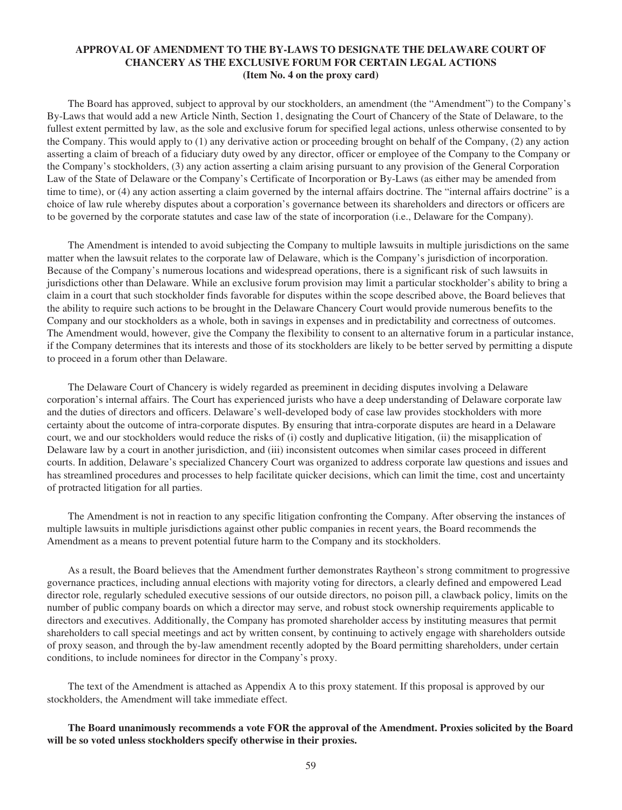# **APPROVAL OF AMENDMENT TO THE BY-LAWS TO DESIGNATE THE DELAWARE COURT OF CHANCERY AS THE EXCLUSIVE FORUM FOR CERTAIN LEGAL ACTIONS (Item No. 4 on the proxy card)**

The Board has approved, subject to approval by our stockholders, an amendment (the "Amendment") to the Company's By-Laws that would add a new Article Ninth, Section 1, designating the Court of Chancery of the State of Delaware, to the fullest extent permitted by law, as the sole and exclusive forum for specified legal actions, unless otherwise consented to by the Company. This would apply to (1) any derivative action or proceeding brought on behalf of the Company, (2) any action asserting a claim of breach of a fiduciary duty owed by any director, officer or employee of the Company to the Company or the Company's stockholders, (3) any action asserting a claim arising pursuant to any provision of the General Corporation Law of the State of Delaware or the Company's Certificate of Incorporation or By-Laws (as either may be amended from time to time), or (4) any action asserting a claim governed by the internal affairs doctrine. The "internal affairs doctrine" is a choice of law rule whereby disputes about a corporation's governance between its shareholders and directors or officers are to be governed by the corporate statutes and case law of the state of incorporation (i.e., Delaware for the Company).

The Amendment is intended to avoid subjecting the Company to multiple lawsuits in multiple jurisdictions on the same matter when the lawsuit relates to the corporate law of Delaware, which is the Company's jurisdiction of incorporation. Because of the Company's numerous locations and widespread operations, there is a significant risk of such lawsuits in jurisdictions other than Delaware. While an exclusive forum provision may limit a particular stockholder's ability to bring a claim in a court that such stockholder finds favorable for disputes within the scope described above, the Board believes that the ability to require such actions to be brought in the Delaware Chancery Court would provide numerous benefits to the Company and our stockholders as a whole, both in savings in expenses and in predictability and correctness of outcomes. The Amendment would, however, give the Company the flexibility to consent to an alternative forum in a particular instance, if the Company determines that its interests and those of its stockholders are likely to be better served by permitting a dispute to proceed in a forum other than Delaware.

The Delaware Court of Chancery is widely regarded as preeminent in deciding disputes involving a Delaware corporation's internal affairs. The Court has experienced jurists who have a deep understanding of Delaware corporate law and the duties of directors and officers. Delaware's well-developed body of case law provides stockholders with more certainty about the outcome of intra-corporate disputes. By ensuring that intra-corporate disputes are heard in a Delaware court, we and our stockholders would reduce the risks of (i) costly and duplicative litigation, (ii) the misapplication of Delaware law by a court in another jurisdiction, and (iii) inconsistent outcomes when similar cases proceed in different courts. In addition, Delaware's specialized Chancery Court was organized to address corporate law questions and issues and has streamlined procedures and processes to help facilitate quicker decisions, which can limit the time, cost and uncertainty of protracted litigation for all parties.

The Amendment is not in reaction to any specific litigation confronting the Company. After observing the instances of multiple lawsuits in multiple jurisdictions against other public companies in recent years, the Board recommends the Amendment as a means to prevent potential future harm to the Company and its stockholders.

As a result, the Board believes that the Amendment further demonstrates Raytheon's strong commitment to progressive governance practices, including annual elections with majority voting for directors, a clearly defined and empowered Lead director role, regularly scheduled executive sessions of our outside directors, no poison pill, a clawback policy, limits on the number of public company boards on which a director may serve, and robust stock ownership requirements applicable to directors and executives. Additionally, the Company has promoted shareholder access by instituting measures that permit shareholders to call special meetings and act by written consent, by continuing to actively engage with shareholders outside of proxy season, and through the by-law amendment recently adopted by the Board permitting shareholders, under certain conditions, to include nominees for director in the Company's proxy.

The text of the Amendment is attached as Appendix A to this proxy statement. If this proposal is approved by our stockholders, the Amendment will take immediate effect.

# **The Board unanimously recommends a vote FOR the approval of the Amendment. Proxies solicited by the Board will be so voted unless stockholders specify otherwise in their proxies.**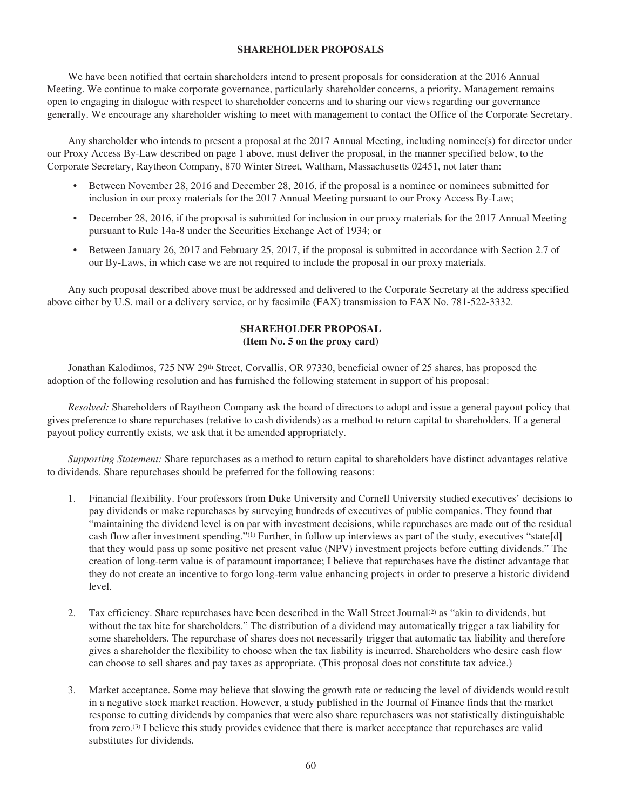# **SHAREHOLDER PROPOSALS**

We have been notified that certain shareholders intend to present proposals for consideration at the 2016 Annual Meeting. We continue to make corporate governance, particularly shareholder concerns, a priority. Management remains open to engaging in dialogue with respect to shareholder concerns and to sharing our views regarding our governance generally. We encourage any shareholder wishing to meet with management to contact the Office of the Corporate Secretary.

Any shareholder who intends to present a proposal at the 2017 Annual Meeting, including nominee(s) for director under our Proxy Access By-Law described on page 1 above, must deliver the proposal, in the manner specified below, to the Corporate Secretary, Raytheon Company, 870 Winter Street, Waltham, Massachusetts 02451, not later than:

- Between November 28, 2016 and December 28, 2016, if the proposal is a nominee or nominees submitted for inclusion in our proxy materials for the 2017 Annual Meeting pursuant to our Proxy Access By-Law;
- December 28, 2016, if the proposal is submitted for inclusion in our proxy materials for the 2017 Annual Meeting pursuant to Rule 14a-8 under the Securities Exchange Act of 1934; or
- Between January 26, 2017 and February 25, 2017, if the proposal is submitted in accordance with Section 2.7 of our By-Laws, in which case we are not required to include the proposal in our proxy materials.

Any such proposal described above must be addressed and delivered to the Corporate Secretary at the address specified above either by U.S. mail or a delivery service, or by facsimile (FAX) transmission to FAX No. 781-522-3332.

# **SHAREHOLDER PROPOSAL (Item No. 5 on the proxy card)**

Jonathan Kalodimos, 725 NW 29<sup>th</sup> Street, Corvallis, OR 97330, beneficial owner of 25 shares, has proposed the adoption of the following resolution and has furnished the following statement in support of his proposal:

*Resolved:* Shareholders of Raytheon Company ask the board of directors to adopt and issue a general payout policy that gives preference to share repurchases (relative to cash dividends) as a method to return capital to shareholders. If a general payout policy currently exists, we ask that it be amended appropriately.

*Supporting Statement:* Share repurchases as a method to return capital to shareholders have distinct advantages relative to dividends. Share repurchases should be preferred for the following reasons:

- 1. Financial flexibility. Four professors from Duke University and Cornell University studied executives' decisions to pay dividends or make repurchases by surveying hundreds of executives of public companies. They found that "maintaining the dividend level is on par with investment decisions, while repurchases are made out of the residual cash flow after investment spending."(1) Further, in follow up interviews as part of the study, executives "state[d] that they would pass up some positive net present value (NPV) investment projects before cutting dividends." The creation of long-term value is of paramount importance; I believe that repurchases have the distinct advantage that they do not create an incentive to forgo long-term value enhancing projects in order to preserve a historic dividend level.
- 2. Tax efficiency. Share repurchases have been described in the Wall Street Journal<sup>(2)</sup> as "akin to dividends, but without the tax bite for shareholders." The distribution of a dividend may automatically trigger a tax liability for some shareholders. The repurchase of shares does not necessarily trigger that automatic tax liability and therefore gives a shareholder the flexibility to choose when the tax liability is incurred. Shareholders who desire cash flow can choose to sell shares and pay taxes as appropriate. (This proposal does not constitute tax advice.)
- 3. Market acceptance. Some may believe that slowing the growth rate or reducing the level of dividends would result in a negative stock market reaction. However, a study published in the Journal of Finance finds that the market response to cutting dividends by companies that were also share repurchasers was not statistically distinguishable from zero.<sup>(3)</sup> I believe this study provides evidence that there is market acceptance that repurchases are valid substitutes for dividends.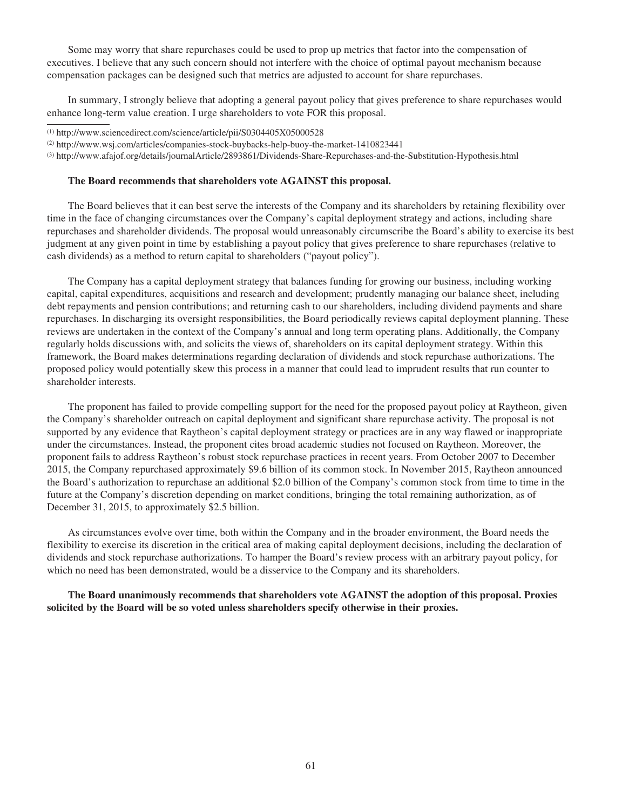Some may worry that share repurchases could be used to prop up metrics that factor into the compensation of executives. I believe that any such concern should not interfere with the choice of optimal payout mechanism because compensation packages can be designed such that metrics are adjusted to account for share repurchases.

In summary, I strongly believe that adopting a general payout policy that gives preference to share repurchases would enhance long-term value creation. I urge shareholders to vote FOR this proposal.

#### **The Board recommends that shareholders vote AGAINST this proposal.**

The Board believes that it can best serve the interests of the Company and its shareholders by retaining flexibility over time in the face of changing circumstances over the Company's capital deployment strategy and actions, including share repurchases and shareholder dividends. The proposal would unreasonably circumscribe the Board's ability to exercise its best judgment at any given point in time by establishing a payout policy that gives preference to share repurchases (relative to cash dividends) as a method to return capital to shareholders ("payout policy").

The Company has a capital deployment strategy that balances funding for growing our business, including working capital, capital expenditures, acquisitions and research and development; prudently managing our balance sheet, including debt repayments and pension contributions; and returning cash to our shareholders, including dividend payments and share repurchases. In discharging its oversight responsibilities, the Board periodically reviews capital deployment planning. These reviews are undertaken in the context of the Company's annual and long term operating plans. Additionally, the Company regularly holds discussions with, and solicits the views of, shareholders on its capital deployment strategy. Within this framework, the Board makes determinations regarding declaration of dividends and stock repurchase authorizations. The proposed policy would potentially skew this process in a manner that could lead to imprudent results that run counter to shareholder interests.

The proponent has failed to provide compelling support for the need for the proposed payout policy at Raytheon, given the Company's shareholder outreach on capital deployment and significant share repurchase activity. The proposal is not supported by any evidence that Raytheon's capital deployment strategy or practices are in any way flawed or inappropriate under the circumstances. Instead, the proponent cites broad academic studies not focused on Raytheon. Moreover, the proponent fails to address Raytheon's robust stock repurchase practices in recent years. From October 2007 to December 2015, the Company repurchased approximately \$9.6 billion of its common stock. In November 2015, Raytheon announced the Board's authorization to repurchase an additional \$2.0 billion of the Company's common stock from time to time in the future at the Company's discretion depending on market conditions, bringing the total remaining authorization, as of December 31, 2015, to approximately \$2.5 billion.

As circumstances evolve over time, both within the Company and in the broader environment, the Board needs the flexibility to exercise its discretion in the critical area of making capital deployment decisions, including the declaration of dividends and stock repurchase authorizations. To hamper the Board's review process with an arbitrary payout policy, for which no need has been demonstrated, would be a disservice to the Company and its shareholders.

**The Board unanimously recommends that shareholders vote AGAINST the adoption of this proposal. Proxies solicited by the Board will be so voted unless shareholders specify otherwise in their proxies.**

<sup>(1)</sup> http://www.sciencedirect.com/science/article/pii/S0304405X05000528

<sup>(2)</sup> http://www.wsj.com/articles/companies-stock-buybacks-help-buoy-the-market-1410823441

<sup>(3)</sup> http://www.afajof.org/details/journalArticle/2893861/Dividends-Share-Repurchases-and-the-Substitution-Hypothesis.html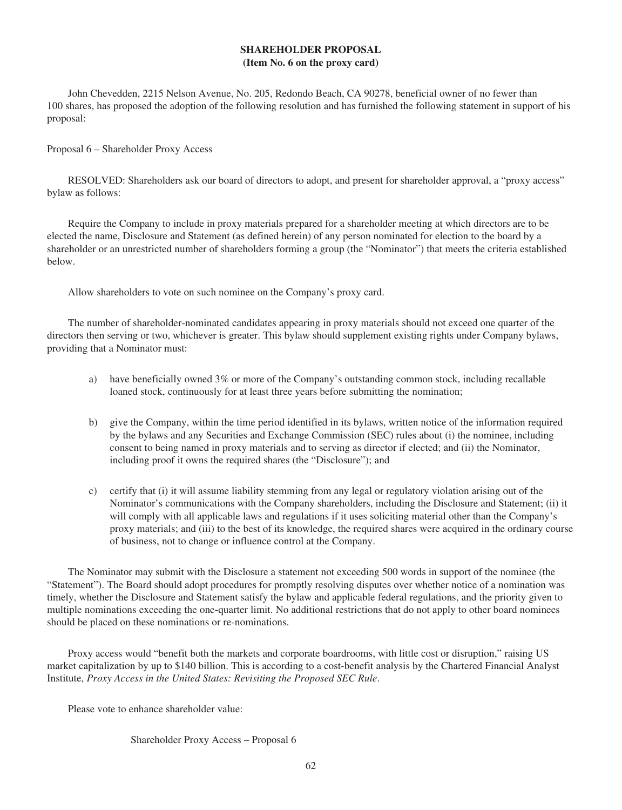# **SHAREHOLDER PROPOSAL (Item No. 6 on the proxy card)**

John Chevedden, 2215 Nelson Avenue, No. 205, Redondo Beach, CA 90278, beneficial owner of no fewer than 100 shares, has proposed the adoption of the following resolution and has furnished the following statement in support of his proposal:

Proposal 6 – Shareholder Proxy Access

RESOLVED: Shareholders ask our board of directors to adopt, and present for shareholder approval, a "proxy access" bylaw as follows:

Require the Company to include in proxy materials prepared for a shareholder meeting at which directors are to be elected the name, Disclosure and Statement (as defined herein) of any person nominated for election to the board by a shareholder or an unrestricted number of shareholders forming a group (the "Nominator") that meets the criteria established below.

Allow shareholders to vote on such nominee on the Company's proxy card.

The number of shareholder-nominated candidates appearing in proxy materials should not exceed one quarter of the directors then serving or two, whichever is greater. This bylaw should supplement existing rights under Company bylaws, providing that a Nominator must:

- a) have beneficially owned 3% or more of the Company's outstanding common stock, including recallable loaned stock, continuously for at least three years before submitting the nomination;
- b) give the Company, within the time period identified in its bylaws, written notice of the information required by the bylaws and any Securities and Exchange Commission (SEC) rules about (i) the nominee, including consent to being named in proxy materials and to serving as director if elected; and (ii) the Nominator, including proof it owns the required shares (the "Disclosure"); and
- c) certify that (i) it will assume liability stemming from any legal or regulatory violation arising out of the Nominator's communications with the Company shareholders, including the Disclosure and Statement; (ii) it will comply with all applicable laws and regulations if it uses soliciting material other than the Company's proxy materials; and (iii) to the best of its knowledge, the required shares were acquired in the ordinary course of business, not to change or influence control at the Company.

The Nominator may submit with the Disclosure a statement not exceeding 500 words in support of the nominee (the "Statement"). The Board should adopt procedures for promptly resolving disputes over whether notice of a nomination was timely, whether the Disclosure and Statement satisfy the bylaw and applicable federal regulations, and the priority given to multiple nominations exceeding the one-quarter limit. No additional restrictions that do not apply to other board nominees should be placed on these nominations or re-nominations.

Proxy access would "benefit both the markets and corporate boardrooms, with little cost or disruption," raising US market capitalization by up to \$140 billion. This is according to a cost-benefit analysis by the Chartered Financial Analyst Institute, *Proxy Access in the United States: Revisiting the Proposed SEC Rule*.

Please vote to enhance shareholder value:

Shareholder Proxy Access – Proposal 6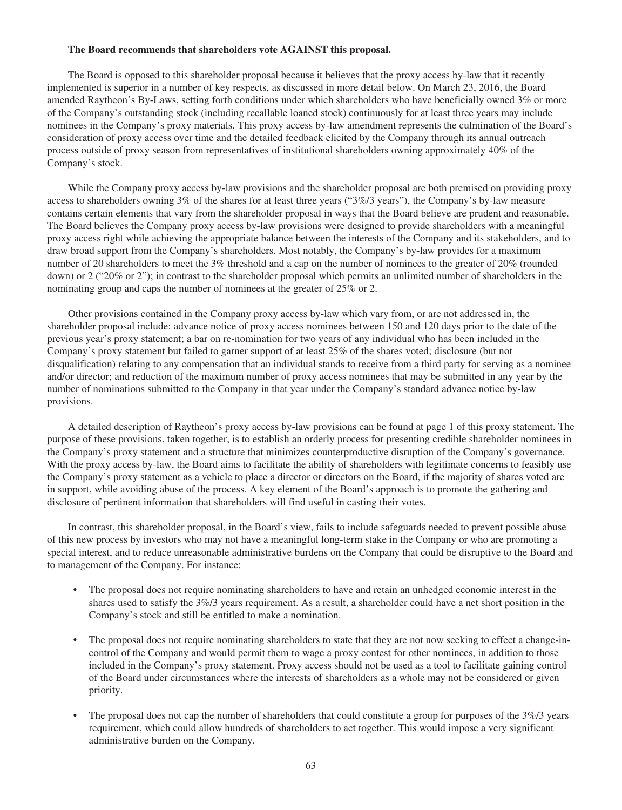#### **The Board recommends that shareholders vote AGAINST this proposal.**

The Board is opposed to this shareholder proposal because it believes that the proxy access by-law that it recently implemented is superior in a number of key respects, as discussed in more detail below. On March 23, 2016, the Board amended Raytheon's By-Laws, setting forth conditions under which shareholders who have beneficially owned 3% or more of the Company's outstanding stock (including recallable loaned stock) continuously for at least three years may include nominees in the Company's proxy materials. This proxy access by-law amendment represents the culmination of the Board's consideration of proxy access over time and the detailed feedback elicited by the Company through its annual outreach process outside of proxy season from representatives of institutional shareholders owning approximately 40% of the Company's stock.

While the Company proxy access by-law provisions and the shareholder proposal are both premised on providing proxy access to shareholders owning 3% of the shares for at least three years ("3%/3 years"), the Company's by-law measure contains certain elements that vary from the shareholder proposal in ways that the Board believe are prudent and reasonable. The Board believes the Company proxy access by-law provisions were designed to provide shareholders with a meaningful proxy access right while achieving the appropriate balance between the interests of the Company and its stakeholders, and to draw broad support from the Company's shareholders. Most notably, the Company's by-law provides for a maximum number of 20 shareholders to meet the 3% threshold and a cap on the number of nominees to the greater of 20% (rounded down) or 2 ("20% or 2"); in contrast to the shareholder proposal which permits an unlimited number of shareholders in the nominating group and caps the number of nominees at the greater of 25% or 2.

Other provisions contained in the Company proxy access by-law which vary from, or are not addressed in, the shareholder proposal include: advance notice of proxy access nominees between 150 and 120 days prior to the date of the previous year's proxy statement; a bar on re-nomination for two years of any individual who has been included in the Company's proxy statement but failed to garner support of at least 25% of the shares voted; disclosure (but not disqualification) relating to any compensation that an individual stands to receive from a third party for serving as a nominee and/or director; and reduction of the maximum number of proxy access nominees that may be submitted in any year by the number of nominations submitted to the Company in that year under the Company's standard advance notice by-law provisions.

A detailed description of Raytheon's proxy access by-law provisions can be found at page 1 of this proxy statement. The purpose of these provisions, taken together, is to establish an orderly process for presenting credible shareholder nominees in the Company's proxy statement and a structure that minimizes counterproductive disruption of the Company's governance. With the proxy access by-law, the Board aims to facilitate the ability of shareholders with legitimate concerns to feasibly use the Company's proxy statement as a vehicle to place a director or directors on the Board, if the majority of shares voted are in support, while avoiding abuse of the process. A key element of the Board's approach is to promote the gathering and disclosure of pertinent information that shareholders will find useful in casting their votes.

In contrast, this shareholder proposal, in the Board's view, fails to include safeguards needed to prevent possible abuse of this new process by investors who may not have a meaningful long-term stake in the Company or who are promoting a special interest, and to reduce unreasonable administrative burdens on the Company that could be disruptive to the Board and to management of the Company. For instance:

- The proposal does not require nominating shareholders to have and retain an unhedged economic interest in the shares used to satisfy the 3%/3 years requirement. As a result, a shareholder could have a net short position in the Company's stock and still be entitled to make a nomination.
- The proposal does not require nominating shareholders to state that they are not now seeking to effect a change-incontrol of the Company and would permit them to wage a proxy contest for other nominees, in addition to those included in the Company's proxy statement. Proxy access should not be used as a tool to facilitate gaining control of the Board under circumstances where the interests of shareholders as a whole may not be considered or given priority.
- The proposal does not cap the number of shareholders that could constitute a group for purposes of the 3%/3 years requirement, which could allow hundreds of shareholders to act together. This would impose a very significant administrative burden on the Company.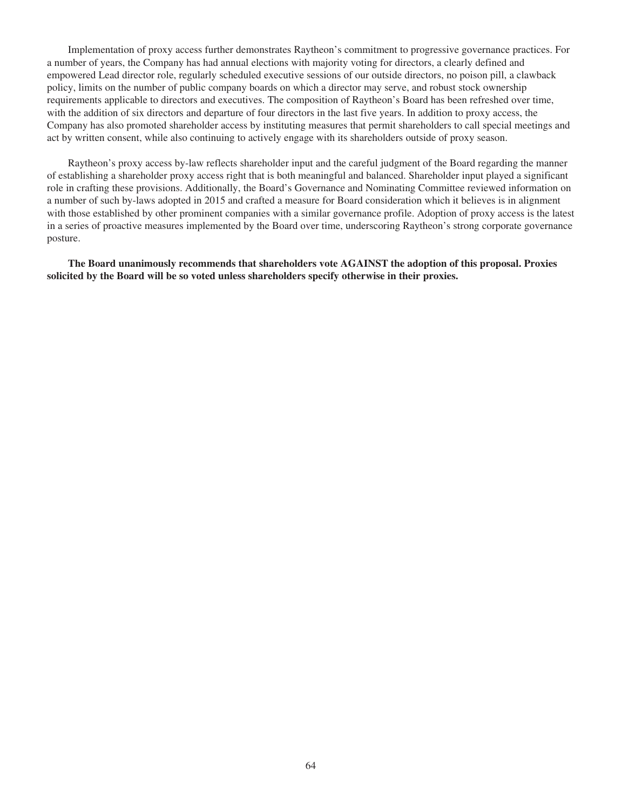Implementation of proxy access further demonstrates Raytheon's commitment to progressive governance practices. For a number of years, the Company has had annual elections with majority voting for directors, a clearly defined and empowered Lead director role, regularly scheduled executive sessions of our outside directors, no poison pill, a clawback policy, limits on the number of public company boards on which a director may serve, and robust stock ownership requirements applicable to directors and executives. The composition of Raytheon's Board has been refreshed over time, with the addition of six directors and departure of four directors in the last five years. In addition to proxy access, the Company has also promoted shareholder access by instituting measures that permit shareholders to call special meetings and act by written consent, while also continuing to actively engage with its shareholders outside of proxy season.

Raytheon's proxy access by-law reflects shareholder input and the careful judgment of the Board regarding the manner of establishing a shareholder proxy access right that is both meaningful and balanced. Shareholder input played a significant role in crafting these provisions. Additionally, the Board's Governance and Nominating Committee reviewed information on a number of such by-laws adopted in 2015 and crafted a measure for Board consideration which it believes is in alignment with those established by other prominent companies with a similar governance profile. Adoption of proxy access is the latest in a series of proactive measures implemented by the Board over time, underscoring Raytheon's strong corporate governance posture.

**The Board unanimously recommends that shareholders vote AGAINST the adoption of this proposal. Proxies solicited by the Board will be so voted unless shareholders specify otherwise in their proxies.**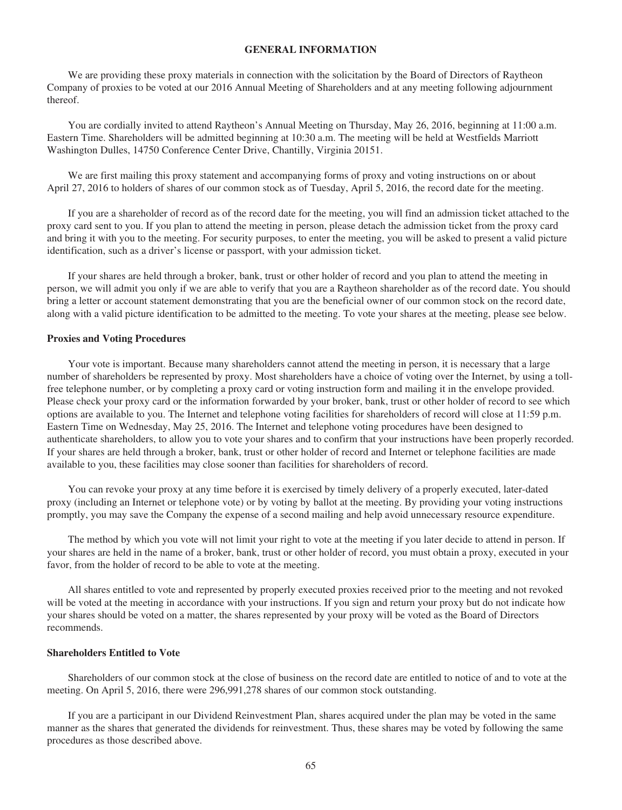## **GENERAL INFORMATION**

We are providing these proxy materials in connection with the solicitation by the Board of Directors of Raytheon Company of proxies to be voted at our 2016 Annual Meeting of Shareholders and at any meeting following adjournment thereof.

You are cordially invited to attend Raytheon's Annual Meeting on Thursday, May 26, 2016, beginning at 11:00 a.m. Eastern Time. Shareholders will be admitted beginning at 10:30 a.m. The meeting will be held at Westfields Marriott Washington Dulles, 14750 Conference Center Drive, Chantilly, Virginia 20151.

We are first mailing this proxy statement and accompanying forms of proxy and voting instructions on or about April 27, 2016 to holders of shares of our common stock as of Tuesday, April 5, 2016, the record date for the meeting.

If you are a shareholder of record as of the record date for the meeting, you will find an admission ticket attached to the proxy card sent to you. If you plan to attend the meeting in person, please detach the admission ticket from the proxy card and bring it with you to the meeting. For security purposes, to enter the meeting, you will be asked to present a valid picture identification, such as a driver's license or passport, with your admission ticket.

If your shares are held through a broker, bank, trust or other holder of record and you plan to attend the meeting in person, we will admit you only if we are able to verify that you are a Raytheon shareholder as of the record date. You should bring a letter or account statement demonstrating that you are the beneficial owner of our common stock on the record date, along with a valid picture identification to be admitted to the meeting. To vote your shares at the meeting, please see below.

#### **Proxies and Voting Procedures**

Your vote is important. Because many shareholders cannot attend the meeting in person, it is necessary that a large number of shareholders be represented by proxy. Most shareholders have a choice of voting over the Internet, by using a tollfree telephone number, or by completing a proxy card or voting instruction form and mailing it in the envelope provided. Please check your proxy card or the information forwarded by your broker, bank, trust or other holder of record to see which options are available to you. The Internet and telephone voting facilities for shareholders of record will close at 11:59 p.m. Eastern Time on Wednesday, May 25, 2016. The Internet and telephone voting procedures have been designed to authenticate shareholders, to allow you to vote your shares and to confirm that your instructions have been properly recorded. If your shares are held through a broker, bank, trust or other holder of record and Internet or telephone facilities are made available to you, these facilities may close sooner than facilities for shareholders of record.

You can revoke your proxy at any time before it is exercised by timely delivery of a properly executed, later-dated proxy (including an Internet or telephone vote) or by voting by ballot at the meeting. By providing your voting instructions promptly, you may save the Company the expense of a second mailing and help avoid unnecessary resource expenditure.

The method by which you vote will not limit your right to vote at the meeting if you later decide to attend in person. If your shares are held in the name of a broker, bank, trust or other holder of record, you must obtain a proxy, executed in your favor, from the holder of record to be able to vote at the meeting.

All shares entitled to vote and represented by properly executed proxies received prior to the meeting and not revoked will be voted at the meeting in accordance with your instructions. If you sign and return your proxy but do not indicate how your shares should be voted on a matter, the shares represented by your proxy will be voted as the Board of Directors recommends.

## **Shareholders Entitled to Vote**

Shareholders of our common stock at the close of business on the record date are entitled to notice of and to vote at the meeting. On April 5, 2016, there were 296,991,278 shares of our common stock outstanding.

If you are a participant in our Dividend Reinvestment Plan, shares acquired under the plan may be voted in the same manner as the shares that generated the dividends for reinvestment. Thus, these shares may be voted by following the same procedures as those described above.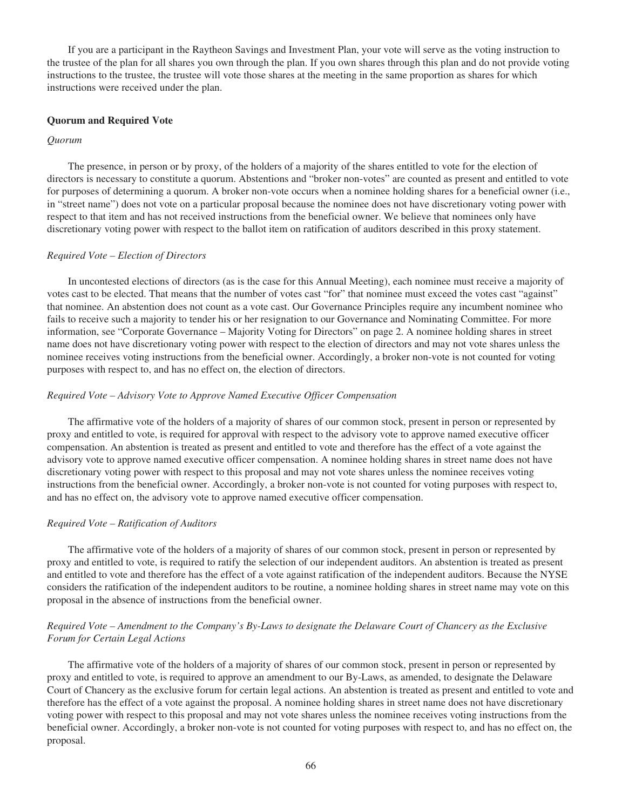If you are a participant in the Raytheon Savings and Investment Plan, your vote will serve as the voting instruction to the trustee of the plan for all shares you own through the plan. If you own shares through this plan and do not provide voting instructions to the trustee, the trustee will vote those shares at the meeting in the same proportion as shares for which instructions were received under the plan.

### **Quorum and Required Vote**

### *Quorum*

The presence, in person or by proxy, of the holders of a majority of the shares entitled to vote for the election of directors is necessary to constitute a quorum. Abstentions and "broker non-votes" are counted as present and entitled to vote for purposes of determining a quorum. A broker non-vote occurs when a nominee holding shares for a beneficial owner (i.e., in "street name") does not vote on a particular proposal because the nominee does not have discretionary voting power with respect to that item and has not received instructions from the beneficial owner. We believe that nominees only have discretionary voting power with respect to the ballot item on ratification of auditors described in this proxy statement.

## *Required Vote – Election of Directors*

In uncontested elections of directors (as is the case for this Annual Meeting), each nominee must receive a majority of votes cast to be elected. That means that the number of votes cast "for" that nominee must exceed the votes cast "against" that nominee. An abstention does not count as a vote cast. Our Governance Principles require any incumbent nominee who fails to receive such a majority to tender his or her resignation to our Governance and Nominating Committee. For more information, see "Corporate Governance – Majority Voting for Directors" on page 2. A nominee holding shares in street name does not have discretionary voting power with respect to the election of directors and may not vote shares unless the nominee receives voting instructions from the beneficial owner. Accordingly, a broker non-vote is not counted for voting purposes with respect to, and has no effect on, the election of directors.

## *Required Vote – Advisory Vote to Approve Named Executive Officer Compensation*

The affirmative vote of the holders of a majority of shares of our common stock, present in person or represented by proxy and entitled to vote, is required for approval with respect to the advisory vote to approve named executive officer compensation. An abstention is treated as present and entitled to vote and therefore has the effect of a vote against the advisory vote to approve named executive officer compensation. A nominee holding shares in street name does not have discretionary voting power with respect to this proposal and may not vote shares unless the nominee receives voting instructions from the beneficial owner. Accordingly, a broker non-vote is not counted for voting purposes with respect to, and has no effect on, the advisory vote to approve named executive officer compensation.

### *Required Vote – Ratification of Auditors*

The affirmative vote of the holders of a majority of shares of our common stock, present in person or represented by proxy and entitled to vote, is required to ratify the selection of our independent auditors. An abstention is treated as present and entitled to vote and therefore has the effect of a vote against ratification of the independent auditors. Because the NYSE considers the ratification of the independent auditors to be routine, a nominee holding shares in street name may vote on this proposal in the absence of instructions from the beneficial owner.

# *Required Vote – Amendment to the Company's By-Laws to designate the Delaware Court of Chancery as the Exclusive Forum for Certain Legal Actions*

The affirmative vote of the holders of a majority of shares of our common stock, present in person or represented by proxy and entitled to vote, is required to approve an amendment to our By-Laws, as amended, to designate the Delaware Court of Chancery as the exclusive forum for certain legal actions. An abstention is treated as present and entitled to vote and therefore has the effect of a vote against the proposal. A nominee holding shares in street name does not have discretionary voting power with respect to this proposal and may not vote shares unless the nominee receives voting instructions from the beneficial owner. Accordingly, a broker non-vote is not counted for voting purposes with respect to, and has no effect on, the proposal.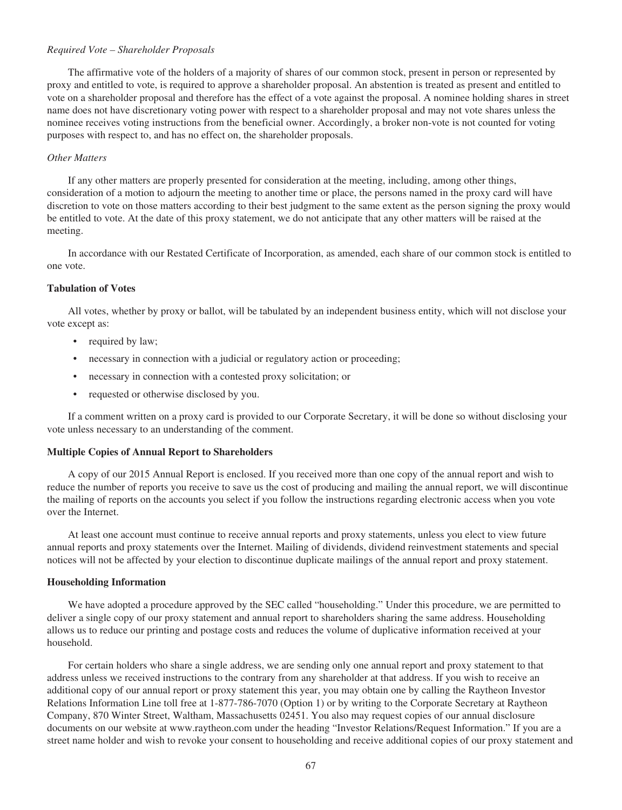### *Required Vote – Shareholder Proposals*

The affirmative vote of the holders of a majority of shares of our common stock, present in person or represented by proxy and entitled to vote, is required to approve a shareholder proposal. An abstention is treated as present and entitled to vote on a shareholder proposal and therefore has the effect of a vote against the proposal. A nominee holding shares in street name does not have discretionary voting power with respect to a shareholder proposal and may not vote shares unless the nominee receives voting instructions from the beneficial owner. Accordingly, a broker non-vote is not counted for voting purposes with respect to, and has no effect on, the shareholder proposals.

### *Other Matters*

If any other matters are properly presented for consideration at the meeting, including, among other things, consideration of a motion to adjourn the meeting to another time or place, the persons named in the proxy card will have discretion to vote on those matters according to their best judgment to the same extent as the person signing the proxy would be entitled to vote. At the date of this proxy statement, we do not anticipate that any other matters will be raised at the meeting.

In accordance with our Restated Certificate of Incorporation, as amended, each share of our common stock is entitled to one vote.

#### **Tabulation of Votes**

All votes, whether by proxy or ballot, will be tabulated by an independent business entity, which will not disclose your vote except as:

- required by law;
- necessary in connection with a judicial or regulatory action or proceeding;
- necessary in connection with a contested proxy solicitation; or
- requested or otherwise disclosed by you.

If a comment written on a proxy card is provided to our Corporate Secretary, it will be done so without disclosing your vote unless necessary to an understanding of the comment.

#### **Multiple Copies of Annual Report to Shareholders**

A copy of our 2015 Annual Report is enclosed. If you received more than one copy of the annual report and wish to reduce the number of reports you receive to save us the cost of producing and mailing the annual report, we will discontinue the mailing of reports on the accounts you select if you follow the instructions regarding electronic access when you vote over the Internet.

At least one account must continue to receive annual reports and proxy statements, unless you elect to view future annual reports and proxy statements over the Internet. Mailing of dividends, dividend reinvestment statements and special notices will not be affected by your election to discontinue duplicate mailings of the annual report and proxy statement.

#### **Householding Information**

We have adopted a procedure approved by the SEC called "householding." Under this procedure, we are permitted to deliver a single copy of our proxy statement and annual report to shareholders sharing the same address. Householding allows us to reduce our printing and postage costs and reduces the volume of duplicative information received at your household.

For certain holders who share a single address, we are sending only one annual report and proxy statement to that address unless we received instructions to the contrary from any shareholder at that address. If you wish to receive an additional copy of our annual report or proxy statement this year, you may obtain one by calling the Raytheon Investor Relations Information Line toll free at 1-877-786-7070 (Option 1) or by writing to the Corporate Secretary at Raytheon Company, 870 Winter Street, Waltham, Massachusetts 02451. You also may request copies of our annual disclosure documents on our website at www.raytheon.com under the heading "Investor Relations/Request Information." If you are a street name holder and wish to revoke your consent to householding and receive additional copies of our proxy statement and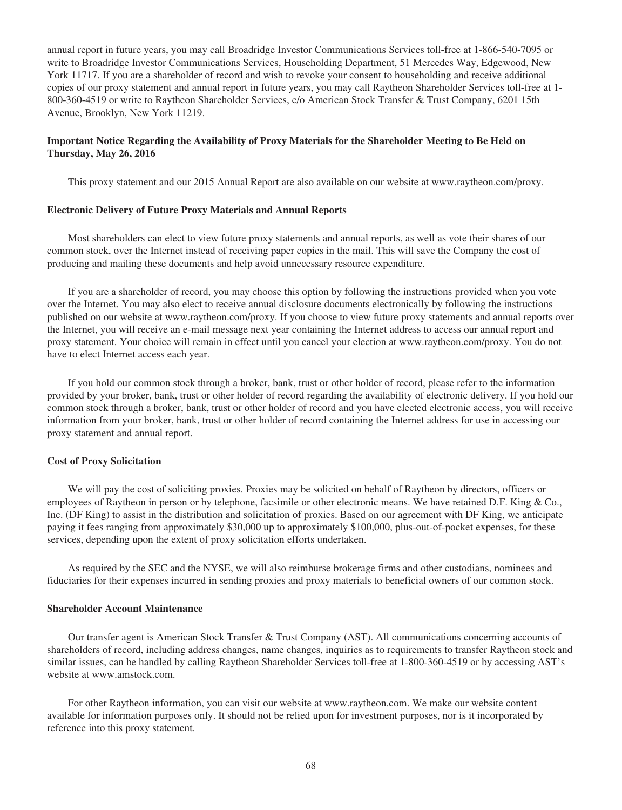annual report in future years, you may call Broadridge Investor Communications Services toll-free at 1-866-540-7095 or write to Broadridge Investor Communications Services, Householding Department, 51 Mercedes Way, Edgewood, New York 11717. If you are a shareholder of record and wish to revoke your consent to householding and receive additional copies of our proxy statement and annual report in future years, you may call Raytheon Shareholder Services toll-free at 1- 800-360-4519 or write to Raytheon Shareholder Services, c/o American Stock Transfer & Trust Company, 6201 15th Avenue, Brooklyn, New York 11219.

## **Important Notice Regarding the Availability of Proxy Materials for the Shareholder Meeting to Be Held on Thursday, May 26, 2016**

This proxy statement and our 2015 Annual Report are also available on our website at www.raytheon.com/proxy.

#### **Electronic Delivery of Future Proxy Materials and Annual Reports**

Most shareholders can elect to view future proxy statements and annual reports, as well as vote their shares of our common stock, over the Internet instead of receiving paper copies in the mail. This will save the Company the cost of producing and mailing these documents and help avoid unnecessary resource expenditure.

If you are a shareholder of record, you may choose this option by following the instructions provided when you vote over the Internet. You may also elect to receive annual disclosure documents electronically by following the instructions published on our website at www.raytheon.com/proxy. If you choose to view future proxy statements and annual reports over the Internet, you will receive an e-mail message next year containing the Internet address to access our annual report and proxy statement. Your choice will remain in effect until you cancel your election at www.raytheon.com/proxy. You do not have to elect Internet access each year.

If you hold our common stock through a broker, bank, trust or other holder of record, please refer to the information provided by your broker, bank, trust or other holder of record regarding the availability of electronic delivery. If you hold our common stock through a broker, bank, trust or other holder of record and you have elected electronic access, you will receive information from your broker, bank, trust or other holder of record containing the Internet address for use in accessing our proxy statement and annual report.

#### **Cost of Proxy Solicitation**

We will pay the cost of soliciting proxies. Proxies may be solicited on behalf of Raytheon by directors, officers or employees of Raytheon in person or by telephone, facsimile or other electronic means. We have retained D.F. King & Co., Inc. (DF King) to assist in the distribution and solicitation of proxies. Based on our agreement with DF King, we anticipate paying it fees ranging from approximately \$30,000 up to approximately \$100,000, plus-out-of-pocket expenses, for these services, depending upon the extent of proxy solicitation efforts undertaken.

As required by the SEC and the NYSE, we will also reimburse brokerage firms and other custodians, nominees and fiduciaries for their expenses incurred in sending proxies and proxy materials to beneficial owners of our common stock.

## **Shareholder Account Maintenance**

Our transfer agent is American Stock Transfer & Trust Company (AST). All communications concerning accounts of shareholders of record, including address changes, name changes, inquiries as to requirements to transfer Raytheon stock and similar issues, can be handled by calling Raytheon Shareholder Services toll-free at 1-800-360-4519 or by accessing AST's website at www.amstock.com.

For other Raytheon information, you can visit our website at www.raytheon.com. We make our website content available for information purposes only. It should not be relied upon for investment purposes, nor is it incorporated by reference into this proxy statement.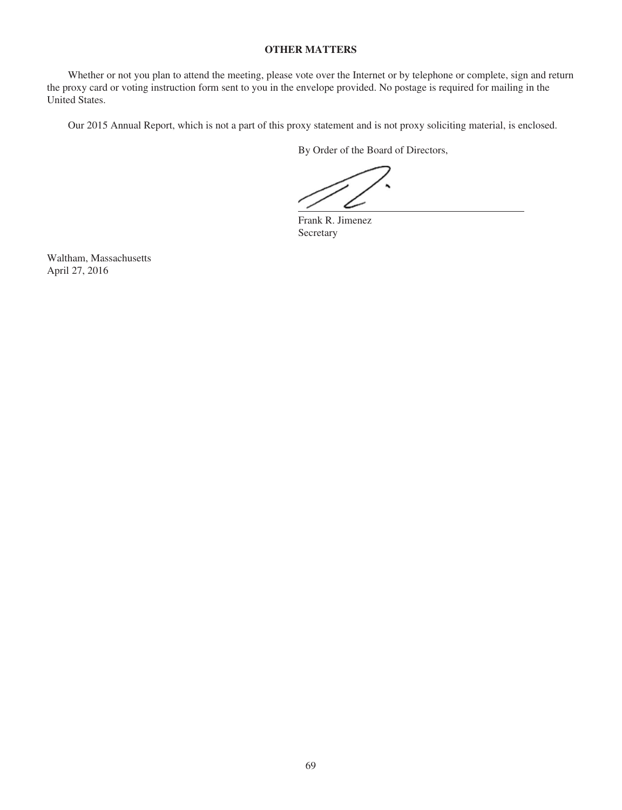# **OTHER MATTERS**

Whether or not you plan to attend the meeting, please vote over the Internet or by telephone or complete, sign and return the proxy card or voting instruction form sent to you in the envelope provided. No postage is required for mailing in the United States.

Our 2015 Annual Report, which is not a part of this proxy statement and is not proxy soliciting material, is enclosed.

By Order of the Board of Directors,

Frank R. Jimenez Secretary

Waltham, Massachusetts April 27, 2016